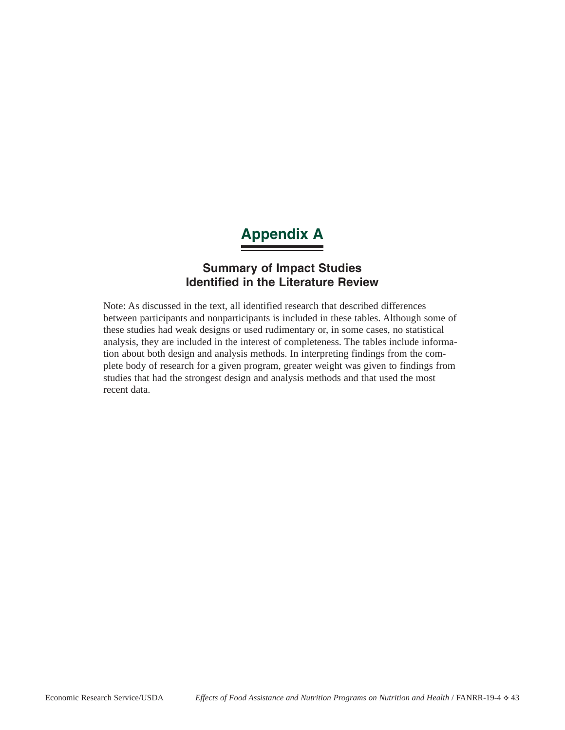# **Appendix A**

# **Summary of Impact Studies Identified in the Literature Review**

Note: As discussed in the text, all identified research that described differences between participants and nonparticipants is included in these tables. Although some of these studies had weak designs or used rudimentary or, in some cases, no statistical analysis, they are included in the interest of completeness. The tables include information about both design and analysis methods. In interpreting findings from the complete body of research for a given program, greater weight was given to findings from studies that had the strongest design and analysis methods and that used the most recent data.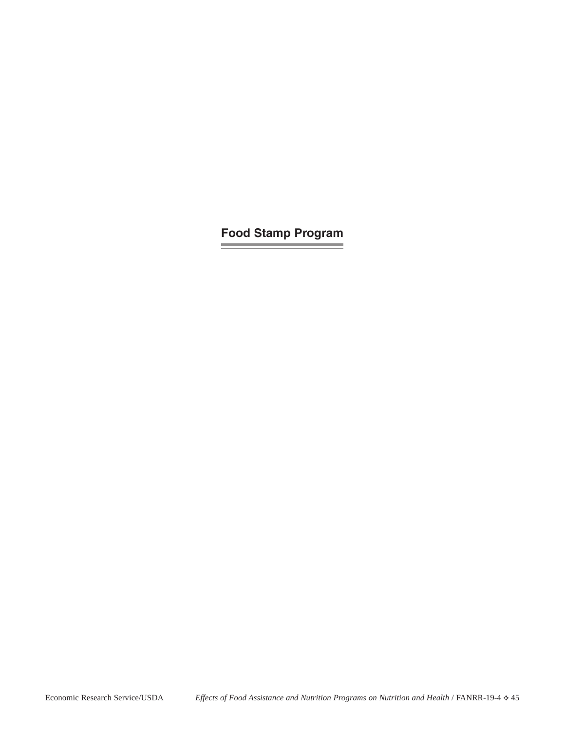**Food Stamp Program**

and the control of the con-

**Service Control of the Control of the Control**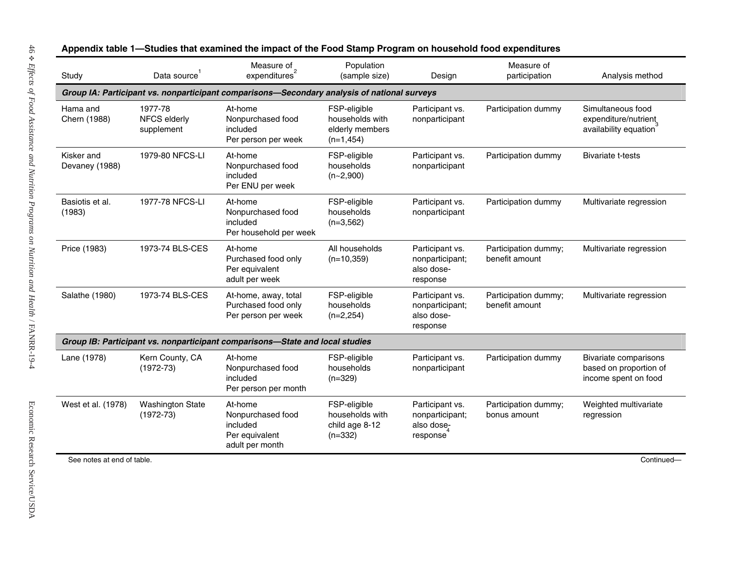| Study                        | Data source                            | Measure of<br>expenditures <sup>2</sup>                                                     | Population<br>(sample size)                                       | Design                                                       | Measure of<br>participation            | Analysis method                                                                |
|------------------------------|----------------------------------------|---------------------------------------------------------------------------------------------|-------------------------------------------------------------------|--------------------------------------------------------------|----------------------------------------|--------------------------------------------------------------------------------|
|                              |                                        | Group IA: Participant vs. nonparticipant comparisons-Secondary analysis of national surveys |                                                                   |                                                              |                                        |                                                                                |
| Hama and<br>Chern (1988)     | 1977-78<br>NFCS elderly<br>supplement  | At-home<br>Nonpurchased food<br>included<br>Per person per week                             | FSP-eligible<br>households with<br>elderly members<br>$(n=1,454)$ | Participant vs.<br>nonparticipant                            | Participation dummy                    | Simultaneous food<br>expenditure/nutrient<br>availability equation             |
| Kisker and<br>Devaney (1988) | 1979-80 NFCS-LI                        | At-home<br>Nonpurchased food<br>included<br>Per ENU per week                                | FSP-eligible<br>households<br>$(n-2,900)$                         | Participant vs.<br>nonparticipant                            | Participation dummy                    | <b>Bivariate t-tests</b>                                                       |
| Basiotis et al.<br>(1983)    | 1977-78 NFCS-LI                        | At-home<br>Nonpurchased food<br>included<br>Per household per week                          | FSP-eligible<br>households<br>$(n=3,562)$                         | Participant vs.<br>nonparticipant                            | Participation dummy                    | Multivariate regression                                                        |
| Price (1983)                 | 1973-74 BLS-CES                        | At-home<br>Purchased food only<br>Per equivalent<br>adult per week                          | All households<br>$(n=10,359)$                                    | Participant vs.<br>nonparticipant;<br>also dose-<br>response | Participation dummy;<br>benefit amount | Multivariate regression                                                        |
| Salathe (1980)               | 1973-74 BLS-CES                        | At-home, away, total<br>Purchased food only<br>Per person per week                          | FSP-eligible<br>households<br>$(n=2,254)$                         | Participant vs.<br>nonparticipant;<br>also dose-<br>response | Participation dummy;<br>benefit amount | Multivariate regression                                                        |
|                              |                                        | Group IB: Participant vs. nonparticipant comparisons-State and local studies                |                                                                   |                                                              |                                        |                                                                                |
| Lane (1978)                  | Kern County, CA<br>$(1972 - 73)$       | At-home<br>Nonpurchased food<br>included<br>Per person per month                            | FSP-eligible<br>households<br>$(n=329)$                           | Participant vs.<br>nonparticipant                            | Participation dummy                    | <b>Bivariate comparisons</b><br>based on proportion of<br>income spent on food |
| West et al. (1978)           | <b>Washington State</b><br>$(1972-73)$ | At-home<br>Nonpurchased food<br>included<br>Per equivalent<br>adult per month               | FSP-eligible<br>households with<br>child age 8-12<br>$(n=332)$    | Participant vs.<br>nonparticipant;<br>also dose-<br>response | Participation dummy;<br>bonus amount   | Weighted multivariate<br>regression                                            |
| See notes at end of table.   |                                        |                                                                                             |                                                                   |                                                              |                                        | Continued-                                                                     |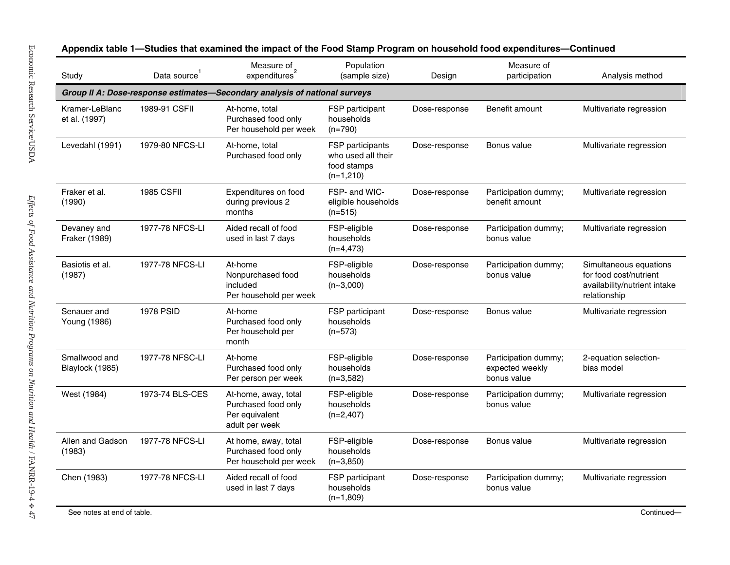| Study                            | Data source       | Measure of $\frac{1}{2}$<br>expenditures                                        | Population<br>(sample size)                                          | Design        | Measure of<br>participation                            | Analysis method                                                                                  |
|----------------------------------|-------------------|---------------------------------------------------------------------------------|----------------------------------------------------------------------|---------------|--------------------------------------------------------|--------------------------------------------------------------------------------------------------|
|                                  |                   | Group II A: Dose-response estimates-Secondary analysis of national surveys      |                                                                      |               |                                                        |                                                                                                  |
| Kramer-LeBlanc<br>et al. (1997)  | 1989-91 CSFII     | At-home, total<br>Purchased food only<br>Per household per week                 | FSP participant<br>households<br>$(n=790)$                           | Dose-response | Benefit amount                                         | Multivariate regression                                                                          |
| Levedahl (1991)                  | 1979-80 NFCS-LI   | At-home, total<br>Purchased food only                                           | FSP participants<br>who used all their<br>food stamps<br>$(n=1,210)$ | Dose-response | Bonus value                                            | Multivariate regression                                                                          |
| Fraker et al.<br>(1990)          | <b>1985 CSFII</b> | Expenditures on food<br>during previous 2<br>months                             | FSP- and WIC-<br>eligible households<br>$(n=515)$                    | Dose-response | Participation dummy;<br>benefit amount                 | Multivariate regression                                                                          |
| Devaney and<br>Fraker (1989)     | 1977-78 NFCS-LI   | Aided recall of food<br>used in last 7 days                                     | FSP-eligible<br>households<br>$(n=4, 473)$                           | Dose-response | Participation dummy;<br>bonus value                    | Multivariate regression                                                                          |
| Basiotis et al.<br>(1987)        | 1977-78 NFCS-LI   | At-home<br>Nonpurchased food<br>included<br>Per household per week              | FSP-eligible<br>households<br>$(n-3,000)$                            | Dose-response | Participation dummy;<br>bonus value                    | Simultaneous equations<br>for food cost/nutrient<br>availability/nutrient intake<br>relationship |
| Senauer and<br>Young (1986)      | <b>1978 PSID</b>  | At-home<br>Purchased food only<br>Per household per<br>month                    | FSP participant<br>households<br>$(n=573)$                           | Dose-response | Bonus value                                            | Multivariate regression                                                                          |
| Smallwood and<br>Blaylock (1985) | 1977-78 NFSC-LI   | At-home<br>Purchased food only<br>Per person per week                           | FSP-eligible<br>households<br>$(n=3,582)$                            | Dose-response | Participation dummy;<br>expected weekly<br>bonus value | 2-equation selection-<br>bias model                                                              |
| West (1984)                      | 1973-74 BLS-CES   | At-home, away, total<br>Purchased food only<br>Per equivalent<br>adult per week | FSP-eligible<br>households<br>$(n=2,407)$                            | Dose-response | Participation dummy;<br>bonus value                    | Multivariate regression                                                                          |
| Allen and Gadson<br>(1983)       | 1977-78 NFCS-LI   | At home, away, total<br>Purchased food only<br>Per household per week           | FSP-eligible<br>households<br>$(n=3,850)$                            | Dose-response | Bonus value                                            | Multivariate regression                                                                          |
| Chen (1983)                      | 1977-78 NFCS-LI   | Aided recall of food<br>used in last 7 days                                     | FSP participant<br>households<br>$(n=1,809)$                         | Dose-response | Participation dummy;<br>bonus value                    | Multivariate regression                                                                          |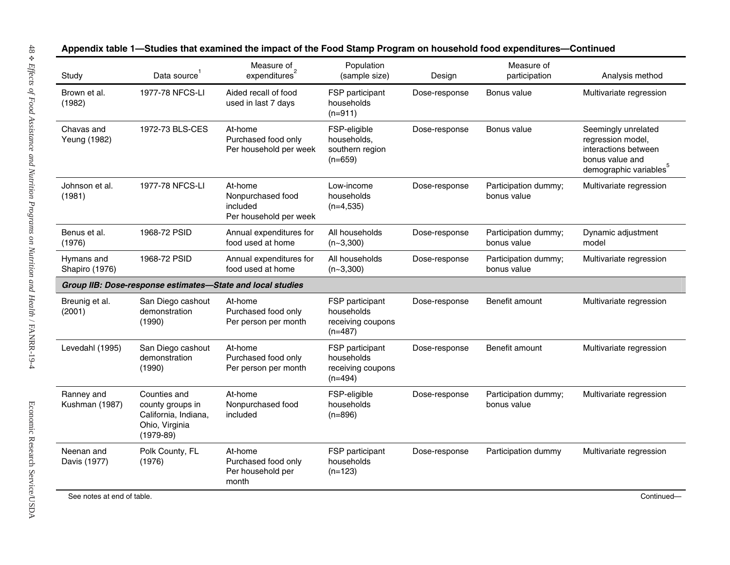| Study                        | Data source                                                                               | Measure of $\frac{1}{2}$<br>expenditures                           | Population<br>(sample size)                                     | Design        | Measure of<br>participation         | Analysis method                                                                                                           |
|------------------------------|-------------------------------------------------------------------------------------------|--------------------------------------------------------------------|-----------------------------------------------------------------|---------------|-------------------------------------|---------------------------------------------------------------------------------------------------------------------------|
| Brown et al.<br>(1982)       | 1977-78 NFCS-LI                                                                           | Aided recall of food<br>used in last 7 days                        | FSP participant<br>households<br>$(n=911)$                      | Dose-response | Bonus value                         | Multivariate regression                                                                                                   |
| Chavas and<br>Yeung (1982)   | 1972-73 BLS-CES                                                                           | At-home<br>Purchased food only<br>Per household per week           | FSP-eligible<br>households,<br>southern region<br>$(n=659)$     | Dose-response | Bonus value                         | Seemingly unrelated<br>regression model,<br>interactions between<br>bonus value and<br>demographic variables <sup>5</sup> |
| Johnson et al.<br>(1981)     | 1977-78 NFCS-LI                                                                           | At-home<br>Nonpurchased food<br>included<br>Per household per week | Low-income<br>households<br>$(n=4,535)$                         | Dose-response | Participation dummy;<br>bonus value | Multivariate regression                                                                                                   |
| Benus et al.<br>(1976)       | 1968-72 PSID                                                                              | Annual expenditures for<br>food used at home                       | All households<br>$(n - 3, 300)$                                | Dose-response | Participation dummy;<br>bonus value | Dynamic adjustment<br>model                                                                                               |
| Hymans and<br>Shapiro (1976) | 1968-72 PSID                                                                              | Annual expenditures for<br>food used at home                       | All households<br>$(n-3,300)$                                   | Dose-response | Participation dummy;<br>bonus value | Multivariate regression                                                                                                   |
|                              | Group IIB: Dose-response estimates-State and local studies                                |                                                                    |                                                                 |               |                                     |                                                                                                                           |
| Breunig et al.<br>(2001)     | San Diego cashout<br>demonstration<br>(1990)                                              | At-home<br>Purchased food only<br>Per person per month             | FSP participant<br>households<br>receiving coupons<br>(n=487)   | Dose-response | Benefit amount                      | Multivariate regression                                                                                                   |
| Levedahl (1995)              | San Diego cashout<br>demonstration<br>(1990)                                              | At-home<br>Purchased food only<br>Per person per month             | FSP participant<br>households<br>receiving coupons<br>$(n=494)$ | Dose-response | Benefit amount                      | Multivariate regression                                                                                                   |
| Ranney and<br>Kushman (1987) | Counties and<br>county groups in<br>California, Indiana,<br>Ohio, Virginia<br>$(1979-89)$ | At-home<br>Nonpurchased food<br>included                           | FSP-eligible<br>households<br>$(n=896)$                         | Dose-response | Participation dummy;<br>bonus value | Multivariate regression                                                                                                   |
| Neenan and<br>Davis (1977)   | Polk County, FL<br>(1976)                                                                 | At-home<br>Purchased food only<br>Per household per<br>month       | FSP participant<br>households<br>$(n=123)$                      | Dose-response | Participation dummy                 | Multivariate regression                                                                                                   |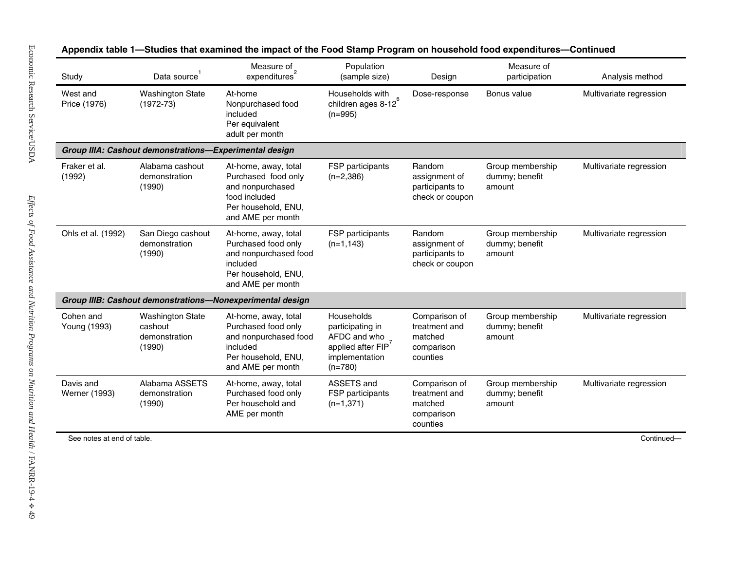| <b>Washington State</b><br>$(1972-73)$<br>Alabama cashout<br>demonstration<br>(1990) | At-home<br>Nonpurchased food<br>included<br>Per equivalent<br>adult per month<br>Group IIIA: Cashout demonstrations-Experimental design<br>At-home, away, total<br>Purchased food only | Households with<br>children ages 8-12 <sup>6</sup><br>$(n=995)$<br>FSP participants                   | Dose-response                                                       | Bonus value                                  | Multivariate regression |
|--------------------------------------------------------------------------------------|----------------------------------------------------------------------------------------------------------------------------------------------------------------------------------------|-------------------------------------------------------------------------------------------------------|---------------------------------------------------------------------|----------------------------------------------|-------------------------|
|                                                                                      |                                                                                                                                                                                        |                                                                                                       |                                                                     |                                              |                         |
|                                                                                      |                                                                                                                                                                                        |                                                                                                       |                                                                     |                                              |                         |
|                                                                                      | and nonpurchased<br>food included<br>Per household, ENU,<br>and AME per month                                                                                                          | $(n=2,386)$                                                                                           | Random<br>assignment of<br>participants to<br>check or coupon       | Group membership<br>dummy; benefit<br>amount | Multivariate regression |
| San Diego cashout<br>demonstration<br>(1990)                                         | At-home, away, total<br>Purchased food only<br>and nonpurchased food<br>included<br>Per household, ENU,<br>and AME per month                                                           | FSP participants<br>$(n=1, 143)$                                                                      | Random<br>assignment of<br>participants to<br>check or coupon       | Group membership<br>dummy; benefit<br>amount | Multivariate regression |
|                                                                                      |                                                                                                                                                                                        |                                                                                                       |                                                                     |                                              |                         |
| <b>Washington State</b><br>cashout<br>demonstration<br>(1990)                        | At-home, away, total<br>Purchased food only<br>and nonpurchased food<br>included<br>Per household, ENU,<br>and AME per month                                                           | Households<br>participating in<br>AFDC and who<br>applied after $FIP7$<br>implementation<br>$(n=780)$ | Comparison of<br>treatment and<br>matched<br>comparison<br>counties | Group membership<br>dummy; benefit<br>amount | Multivariate regression |
| Alabama ASSETS<br>demonstration<br>(1990)                                            | At-home, away, total<br>Purchased food only<br>Per household and<br>AME per month                                                                                                      | ASSETS and<br>FSP participants<br>$(n=1,371)$                                                         | Comparison of<br>treatment and<br>matched<br>comparison<br>counties | Group membership<br>dummy; benefit<br>amount | Multivariate regression |
| See notes at end of table.                                                           |                                                                                                                                                                                        |                                                                                                       |                                                                     |                                              | Continued-              |
|                                                                                      |                                                                                                                                                                                        | Group IIIB: Cashout demonstrations-Nonexperimental design                                             |                                                                     |                                              |                         |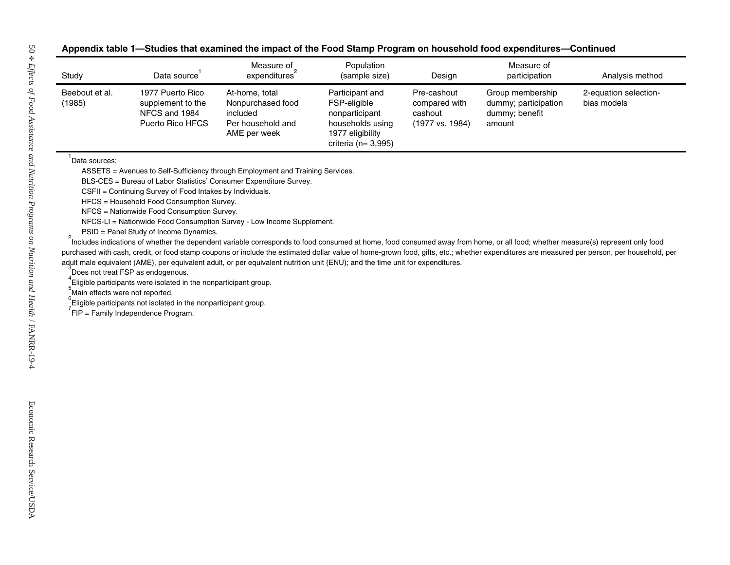| Study                                            | Data source <sup>1</sup>                                                                                                                                                                                                                                                                                                                                                                                         | Measure of $\frac{1}{2}$<br>expenditures                                                                                                                                                                                                                                                                                                                                                                                                                                                                                                                                                                                                                                                                                                        | Population<br>(sample size)                                                                                         | Design                                                     | Measure of<br>participation                                          | Analysis method                      |
|--------------------------------------------------|------------------------------------------------------------------------------------------------------------------------------------------------------------------------------------------------------------------------------------------------------------------------------------------------------------------------------------------------------------------------------------------------------------------|-------------------------------------------------------------------------------------------------------------------------------------------------------------------------------------------------------------------------------------------------------------------------------------------------------------------------------------------------------------------------------------------------------------------------------------------------------------------------------------------------------------------------------------------------------------------------------------------------------------------------------------------------------------------------------------------------------------------------------------------------|---------------------------------------------------------------------------------------------------------------------|------------------------------------------------------------|----------------------------------------------------------------------|--------------------------------------|
| Beebout et al.<br>(1985)                         | 1977 Puerto Rico<br>supplement to the<br>NFCS and 1984<br>Puerto Rico HFCS                                                                                                                                                                                                                                                                                                                                       | At-home, total<br>Nonpurchased food<br>included<br>Per household and<br>AME per week                                                                                                                                                                                                                                                                                                                                                                                                                                                                                                                                                                                                                                                            | Participant and<br>FSP-eligible<br>nonparticipant<br>households using<br>1977 eligibility<br>criteria ( $n=3,995$ ) | Pre-cashout<br>compared with<br>cashout<br>(1977 vs. 1984) | Group membership<br>dummy; participation<br>dummy; benefit<br>amount | 2-equation selection-<br>bias models |
| Data sources:<br>Main effects were not reported. | CSFII = Continuing Survey of Food Intakes by Individuals.<br>HFCS = Household Food Consumption Survey.<br>NFCS = Nationwide Food Consumption Survey.<br>PSID = Panel Study of Income Dynamics.<br>Does not treat FSP as endogenous.<br>Eligible participants were isolated in the nonparticipant group.<br>Eligible participants not isolated in the nonparticipant group.<br>FIP = Family Independence Program. | ASSETS = Avenues to Self-Sufficiency through Employment and Training Services.<br>BLS-CES = Bureau of Labor Statistics' Consumer Expenditure Survey.<br>NFCS-LI = Nationwide Food Consumption Survey - Low Income Supplement.<br>Includes indications of whether the dependent variable corresponds to food consumed at home, food consumed away from home, or all food; whether measure(s) represent only food<br>purchased with cash, credit, or food stamp coupons or include the estimated dollar value of home-grown food, gifts, etc.; whether expenditures are measured per person, per household, per<br>adult male equivalent (AME), per equivalent adult, or per equivalent nutrition unit (ENU); and the time unit for expenditures. |                                                                                                                     |                                                            |                                                                      |                                      |
|                                                  |                                                                                                                                                                                                                                                                                                                                                                                                                  |                                                                                                                                                                                                                                                                                                                                                                                                                                                                                                                                                                                                                                                                                                                                                 |                                                                                                                     |                                                            |                                                                      |                                      |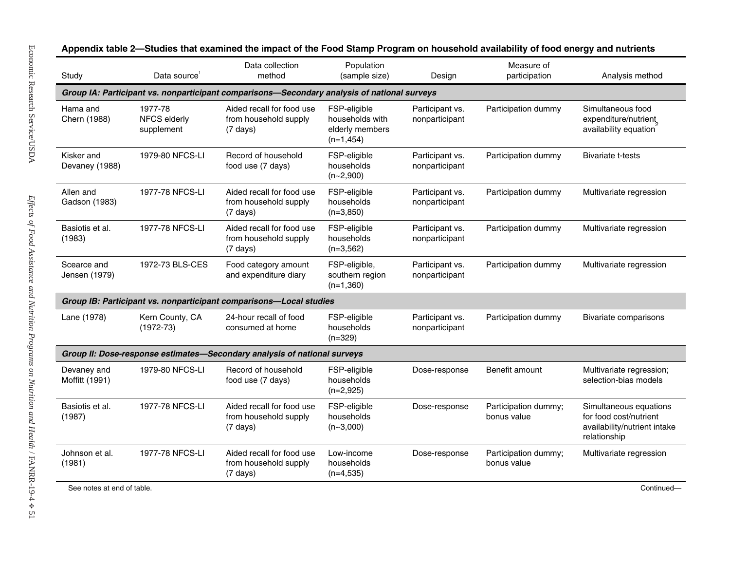| Study                         | Data source <sup>1</sup>              | Data collection<br>method                                                                   | Population<br>(sample size)                                        | Design                            | Measure of<br>participation         | Analysis method                                                                                  |
|-------------------------------|---------------------------------------|---------------------------------------------------------------------------------------------|--------------------------------------------------------------------|-----------------------------------|-------------------------------------|--------------------------------------------------------------------------------------------------|
|                               |                                       | Group IA: Participant vs. nonparticipant comparisons-Secondary analysis of national surveys |                                                                    |                                   |                                     |                                                                                                  |
| Hama and<br>Chern (1988)      | 1977-78<br>NFCS elderly<br>supplement | Aided recall for food use<br>from household supply<br>$(7 \text{ days})$                    | FSP-eligible<br>households with<br>elderly members<br>$(n=1, 454)$ | Participant vs.<br>nonparticipant | Participation dummy                 | Simultaneous food<br>expenditure/nutrient<br>availability equation                               |
| Kisker and<br>Devaney (1988)  | 1979-80 NFCS-LI                       | Record of household<br>food use (7 days)                                                    | FSP-eligible<br>households<br>$(n-2,900)$                          | Participant vs.<br>nonparticipant | Participation dummy                 | <b>Bivariate t-tests</b>                                                                         |
| Allen and<br>Gadson (1983)    | 1977-78 NFCS-LI                       | Aided recall for food use<br>from household supply<br>$(7 \text{ days})$                    | FSP-eligible<br>households<br>$(n=3,850)$                          | Participant vs.<br>nonparticipant | Participation dummy                 | Multivariate regression                                                                          |
| Basiotis et al.<br>(1983)     | 1977-78 NFCS-LI                       | Aided recall for food use<br>from household supply<br>$(7 \text{ days})$                    | FSP-eligible<br>households<br>$(n=3,562)$                          | Participant vs.<br>nonparticipant | Participation dummy                 | Multivariate regression                                                                          |
| Scearce and<br>Jensen (1979)  | 1972-73 BLS-CES                       | Food category amount<br>and expenditure diary                                               | FSP-eligible,<br>southern region<br>$(n=1,360)$                    | Participant vs.<br>nonparticipant | Participation dummy                 | Multivariate regression                                                                          |
|                               |                                       | Group IB: Participant vs. nonparticipant comparisons-Local studies                          |                                                                    |                                   |                                     |                                                                                                  |
| Lane (1978)                   | Kern County, CA<br>$(1972 - 73)$      | 24-hour recall of food<br>consumed at home                                                  | FSP-eligible<br>households<br>$(n=329)$                            | Participant vs.<br>nonparticipant | Participation dummy                 | Bivariate comparisons                                                                            |
|                               |                                       | Group II: Dose-response estimates-Secondary analysis of national surveys                    |                                                                    |                                   |                                     |                                                                                                  |
| Devaney and<br>Moffitt (1991) | 1979-80 NFCS-LI                       | Record of household<br>food use (7 days)                                                    | FSP-eligible<br>households<br>$(n=2,925)$                          | Dose-response                     | Benefit amount                      | Multivariate regression;<br>selection-bias models                                                |
| Basiotis et al.<br>(1987)     | 1977-78 NFCS-LI                       | Aided recall for food use<br>from household supply<br>$(7 \text{ days})$                    | FSP-eligible<br>households<br>$(n-3,000)$                          | Dose-response                     | Participation dummy;<br>bonus value | Simultaneous equations<br>for food cost/nutrient<br>availability/nutrient intake<br>relationship |
| Johnson et al.<br>(1981)      | 1977-78 NFCS-LI                       | Aided recall for food use<br>from household supply<br>$(7 \text{ days})$                    | Low-income<br>households<br>$(n=4,535)$                            | Dose-response                     | Participation dummy;<br>bonus value | Multivariate regression                                                                          |
| See notes at end of table.    |                                       |                                                                                             |                                                                    |                                   |                                     | Continued-                                                                                       |

**mpact of the Food Stamp Program on household availability of food energ y and nutrients**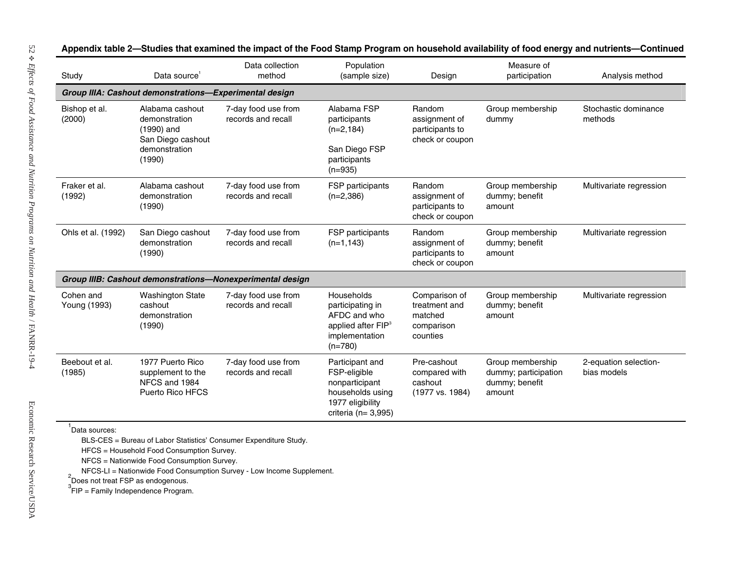| Group IIIA: Cashout demonstrations-Experimental design<br>Alabama cashout<br>demonstration<br>(1990) and<br>San Diego cashout<br>demonstration<br>Alabama cashout<br>demonstration<br>San Diego cashout<br>demonstration | 7-day food use from<br>records and recall<br>7-day food use from<br>records and recall<br>7-day food use from<br>records and recall                                                                                                                                                              | Alabama FSP<br>participants<br>$(n=2, 184)$<br>San Diego FSP<br>participants<br>$(n=935)$<br>FSP participants<br>$(n=2,386)$<br>FSP participants<br>$(n=1, 143)$ | Random<br>assignment of<br>participants to<br>check or coupon<br>Random<br>assignment of<br>participants to<br>check or coupon<br>Random<br>assignment of | Group membership<br>dummy<br>Group membership<br>dummy; benefit<br>amount<br>Group membership<br>dummy; benefit | Stochastic dominance<br>methods<br>Multivariate regression<br>Multivariate regression |
|--------------------------------------------------------------------------------------------------------------------------------------------------------------------------------------------------------------------------|--------------------------------------------------------------------------------------------------------------------------------------------------------------------------------------------------------------------------------------------------------------------------------------------------|------------------------------------------------------------------------------------------------------------------------------------------------------------------|-----------------------------------------------------------------------------------------------------------------------------------------------------------|-----------------------------------------------------------------------------------------------------------------|---------------------------------------------------------------------------------------|
|                                                                                                                                                                                                                          |                                                                                                                                                                                                                                                                                                  |                                                                                                                                                                  |                                                                                                                                                           |                                                                                                                 |                                                                                       |
|                                                                                                                                                                                                                          |                                                                                                                                                                                                                                                                                                  |                                                                                                                                                                  |                                                                                                                                                           |                                                                                                                 |                                                                                       |
|                                                                                                                                                                                                                          |                                                                                                                                                                                                                                                                                                  |                                                                                                                                                                  |                                                                                                                                                           |                                                                                                                 |                                                                                       |
|                                                                                                                                                                                                                          |                                                                                                                                                                                                                                                                                                  |                                                                                                                                                                  | participants to<br>check or coupon                                                                                                                        | amount                                                                                                          |                                                                                       |
|                                                                                                                                                                                                                          | Group IIIB: Cashout demonstrations-Nonexperimental design                                                                                                                                                                                                                                        |                                                                                                                                                                  |                                                                                                                                                           |                                                                                                                 |                                                                                       |
|                                                                                                                                                                                                                          |                                                                                                                                                                                                                                                                                                  | Households<br>participating in<br>AFDC and who<br>applied after FIP <sup>3</sup><br>implementation<br>$(n=780)$                                                  | Comparison of<br>treatment and<br>matched<br>comparison<br>counties                                                                                       | Group membership<br>dummy; benefit<br>amount                                                                    | Multivariate regression                                                               |
|                                                                                                                                                                                                                          |                                                                                                                                                                                                                                                                                                  | Participant and<br>FSP-eligible<br>nonparticipant<br>households using<br>1977 eligibility<br>criteria ( $n=3,995$ )                                              | Pre-cashout<br>compared with<br>cashout<br>(1977 vs. 1984)                                                                                                | Group membership<br>dummy; participation<br>dummy; benefit<br>amount                                            | 2-equation selection-<br>bias models                                                  |
|                                                                                                                                                                                                                          | <b>Washington State</b><br>demonstration<br>1977 Puerto Rico<br>supplement to the<br>NFCS and 1984<br>Puerto Rico HFCS<br>HFCS = Household Food Consumption Survey.<br>NFCS = Nationwide Food Consumption Survey.<br>$2$ Does not treat FSP as endogenous.<br>FIP = Family Independence Program. | 7-day food use from<br>records and recall<br>7-day food use from<br>records and recall<br>BLS-CES = Bureau of Labor Statistics' Consumer Expenditure Study.      | NFCS-LI = Nationwide Food Consumption Survey - Low Income Supplement.                                                                                     |                                                                                                                 |                                                                                       |

**mpact of the Food Stamp Program on household availability of food energ y and nutrients— Continued**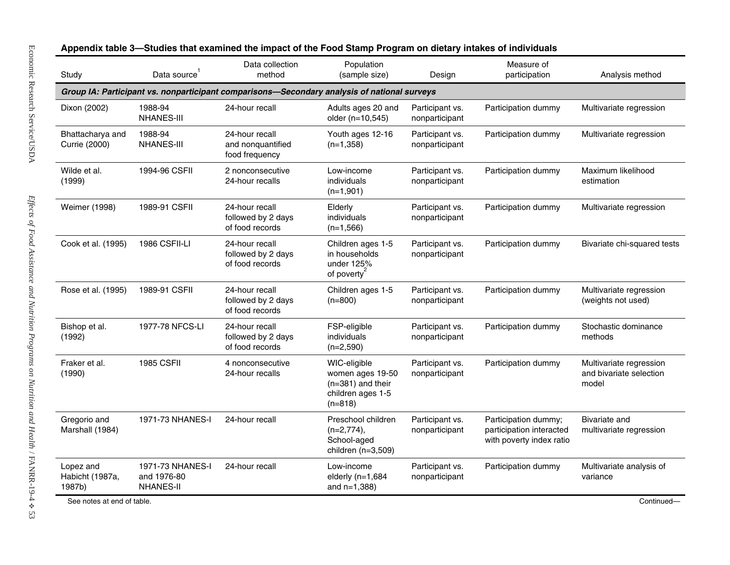| Study                                  | Data source                                         | Data collection<br>method                                                                   | Population<br>(sample size)                                                               | Design                            | Measure of<br>participation                                                  | Analysis method                                             |
|----------------------------------------|-----------------------------------------------------|---------------------------------------------------------------------------------------------|-------------------------------------------------------------------------------------------|-----------------------------------|------------------------------------------------------------------------------|-------------------------------------------------------------|
|                                        |                                                     | Group IA: Participant vs. nonparticipant comparisons-Secondary analysis of national surveys |                                                                                           |                                   |                                                                              |                                                             |
| Dixon (2002)                           | 1988-94<br><b>NHANES-III</b>                        | 24-hour recall                                                                              | Adults ages 20 and<br>older (n=10,545)                                                    | Participant vs.<br>nonparticipant | Participation dummy                                                          | Multivariate regression                                     |
| Bhattacharya and<br>Currie (2000)      | 1988-94<br><b>NHANES-III</b>                        | 24-hour recall<br>and nonquantified<br>food frequency                                       | Youth ages 12-16<br>$(n=1,358)$                                                           | Participant vs.<br>nonparticipant | Participation dummy                                                          | Multivariate regression                                     |
| Wilde et al.<br>(1999)                 | 1994-96 CSFII                                       | 2 nonconsecutive<br>24-hour recalls                                                         | Low-income<br>individuals<br>$(n=1,901)$                                                  | Participant vs.<br>nonparticipant | Participation dummy                                                          | Maximum likelihood<br>estimation                            |
| Weimer (1998)                          | 1989-91 CSFII                                       | 24-hour recall<br>followed by 2 days<br>of food records                                     | Elderly<br>individuals<br>$(n=1,566)$                                                     | Participant vs.<br>nonparticipant | Participation dummy                                                          | Multivariate regression                                     |
| Cook et al. (1995)                     | 1986 CSFII-LI                                       | 24-hour recall<br>followed by 2 days<br>of food records                                     | Children ages 1-5<br>in households<br>under 125%<br>of poverty                            | Participant vs.<br>nonparticipant | Participation dummy                                                          | Bivariate chi-squared tests                                 |
| Rose et al. (1995)                     | 1989-91 CSFII                                       | 24-hour recall<br>followed by 2 days<br>of food records                                     | Children ages 1-5<br>$(n=800)$                                                            | Participant vs.<br>nonparticipant | Participation dummy                                                          | Multivariate regression<br>(weights not used)               |
| Bishop et al.<br>(1992)                | 1977-78 NFCS-LI                                     | 24-hour recall<br>followed by 2 days<br>of food records                                     | FSP-eligible<br>individuals<br>$(n=2,590)$                                                | Participant vs.<br>nonparticipant | Participation dummy                                                          | Stochastic dominance<br>methods                             |
| Fraker et al.<br>(1990)                | <b>1985 CSFII</b>                                   | 4 nonconsecutive<br>24-hour recalls                                                         | WIC-eligible<br>women ages 19-50<br>$(n=381)$ and their<br>children ages 1-5<br>$(n=818)$ | Participant vs.<br>nonparticipant | Participation dummy                                                          | Multivariate regression<br>and bivariate selection<br>model |
| Gregorio and<br>Marshall (1984)        | 1971-73 NHANES-I                                    | 24-hour recall                                                                              | Preschool children<br>$(n=2,774)$ ,<br>School-aged<br>children (n=3,509)                  | Participant vs.<br>nonparticipant | Participation dummy;<br>participation interacted<br>with poverty index ratio | Bivariate and<br>multivariate regression                    |
| Lopez and<br>Habicht (1987a,<br>1987b) | 1971-73 NHANES-I<br>and 1976-80<br><b>NHANES-II</b> | 24-hour recall                                                                              | Low-income<br>elderly $(n=1,684)$<br>and $n=1,388$ )                                      | Participant vs.<br>nonparticipant | Participation dummy                                                          | Multivariate analysis of<br>variance                        |

## **mpact of the Food Stamp Program on dietary intakes of individuals**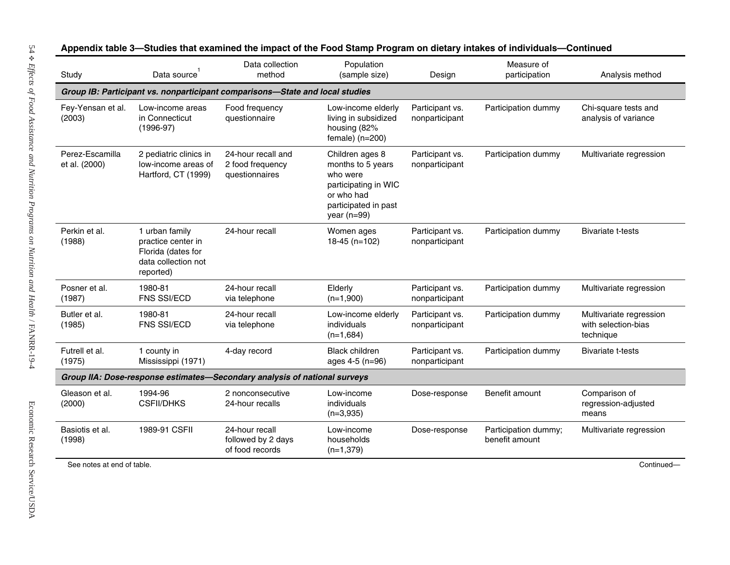| Study                            | Data source <sup>1</sup>                                                                       | Data collection<br>method                                                    | Population<br>(sample size)                                                                                                     | Design                            | Measure of<br>participation            | Analysis method                                             |
|----------------------------------|------------------------------------------------------------------------------------------------|------------------------------------------------------------------------------|---------------------------------------------------------------------------------------------------------------------------------|-----------------------------------|----------------------------------------|-------------------------------------------------------------|
|                                  |                                                                                                | Group IB: Participant vs. nonparticipant comparisons-State and local studies |                                                                                                                                 |                                   |                                        |                                                             |
| Fey-Yensan et al.<br>(2003)      | Low-income areas<br>in Connecticut<br>$(1996-97)$                                              | Food frequency<br>questionnaire                                              | Low-income elderly<br>living in subsidized<br>housing (82%<br>$female)$ (n=200)                                                 | Participant vs.<br>nonparticipant | Participation dummy                    | Chi-square tests and<br>analysis of variance                |
| Perez-Escamilla<br>et al. (2000) | 2 pediatric clinics in<br>low-income areas of<br>Hartford, CT (1999)                           | 24-hour recall and<br>2 food frequency<br>questionnaires                     | Children ages 8<br>months to 5 years<br>who were<br>participating in WIC<br>or who had<br>participated in past<br>year $(n=99)$ | Participant vs.<br>nonparticipant | Participation dummy                    | Multivariate regression                                     |
| Perkin et al.<br>(1988)          | 1 urban family<br>practice center in<br>Florida (dates for<br>data collection not<br>reported) | 24-hour recall                                                               | Women ages<br>18-45 (n=102)                                                                                                     | Participant vs.<br>nonparticipant | Participation dummy                    | <b>Bivariate t-tests</b>                                    |
| Posner et al.<br>(1987)          | 1980-81<br>FNS SSI/ECD                                                                         | 24-hour recall<br>via telephone                                              | Elderly<br>$(n=1,900)$                                                                                                          | Participant vs.<br>nonparticipant | Participation dummy                    | Multivariate regression                                     |
| Butler et al.<br>(1985)          | 1980-81<br><b>FNS SSI/ECD</b>                                                                  | 24-hour recall<br>via telephone                                              | Low-income elderly<br>individuals<br>$(n=1,684)$                                                                                | Participant vs.<br>nonparticipant | Participation dummy                    | Multivariate regression<br>with selection-bias<br>technique |
| Futrell et al.<br>(1975)         | 1 county in<br>Mississippi (1971)                                                              | 4-day record                                                                 | <b>Black children</b><br>ages 4-5 (n=96)                                                                                        | Participant vs.<br>nonparticipant | Participation dummy                    | <b>Bivariate t-tests</b>                                    |
|                                  |                                                                                                | Group IIA: Dose-response estimates-Secondary analysis of national surveys    |                                                                                                                                 |                                   |                                        |                                                             |
| Gleason et al.<br>(2000)         | 1994-96<br><b>CSFII/DHKS</b>                                                                   | 2 nonconsecutive<br>24-hour recalls                                          | Low-income<br>individuals<br>$(n=3,935)$                                                                                        | Dose-response                     | Benefit amount                         | Comparison of<br>regression-adjusted<br>means               |
| Basiotis et al.<br>(1998)        | 1989-91 CSFII                                                                                  | 24-hour recall<br>followed by 2 days<br>of food records                      | Low-income<br>households<br>$(n=1,379)$                                                                                         | Dose-response                     | Participation dummy;<br>benefit amount | Multivariate regression                                     |
| See notes at end of table.       |                                                                                                |                                                                              |                                                                                                                                 |                                   |                                        | Continued-                                                  |

**3—Studies that examined the i mpact of the Food Stamp Program on dietary intakes of individuals— Continued**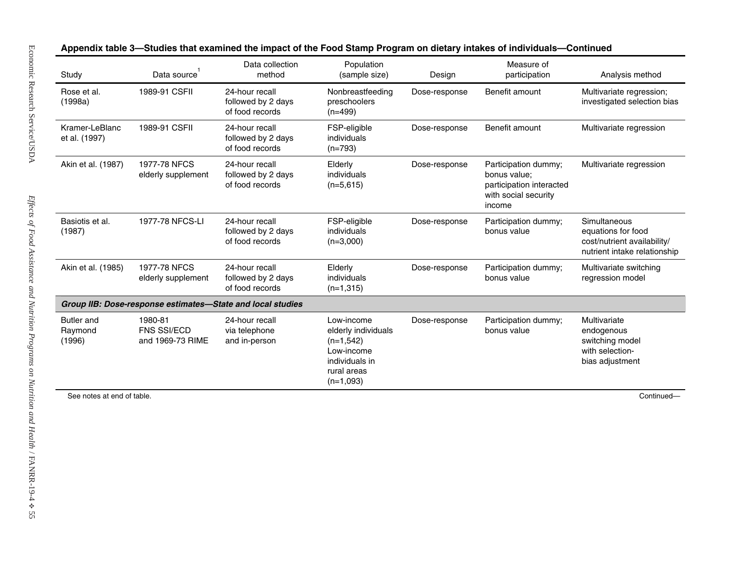|                                        | Data source <sup>1</sup>                   | Data collection<br>method                                  | Population<br>(sample size)                                                                                    | Design        | Measure of<br>participation                                                                        | Analysis method                                                                                   |
|----------------------------------------|--------------------------------------------|------------------------------------------------------------|----------------------------------------------------------------------------------------------------------------|---------------|----------------------------------------------------------------------------------------------------|---------------------------------------------------------------------------------------------------|
| Rose et al.<br>(1998a)                 | 1989-91 CSFII                              | 24-hour recall<br>followed by 2 days<br>of food records    | Nonbreastfeeding<br>preschoolers<br>$(n=499)$                                                                  | Dose-response | Benefit amount                                                                                     | Multivariate regression;<br>investigated selection bias                                           |
| Kramer-LeBlanc<br>et al. (1997)        | 1989-91 CSFII                              | 24-hour recall<br>followed by 2 days<br>of food records    | FSP-eligible<br>individuals<br>$(n=793)$                                                                       | Dose-response | Benefit amount                                                                                     | Multivariate regression                                                                           |
| Akin et al. (1987)                     | 1977-78 NFCS<br>elderly supplement         | 24-hour recall<br>followed by 2 days<br>of food records    | Elderly<br>individuals<br>$(n=5,615)$                                                                          | Dose-response | Participation dummy;<br>bonus value;<br>participation interacted<br>with social security<br>income | Multivariate regression                                                                           |
| Basiotis et al.<br>(1987)              | 1977-78 NFCS-LI                            | 24-hour recall<br>followed by 2 days<br>of food records    | FSP-eligible<br>individuals<br>$(n=3,000)$                                                                     | Dose-response | Participation dummy;<br>bonus value                                                                | Simultaneous<br>equations for food<br>cost/nutrient availability/<br>nutrient intake relationship |
| Akin et al. (1985)                     | 1977-78 NFCS<br>elderly supplement         | 24-hour recall<br>followed by 2 days<br>of food records    | Elderly<br>individuals<br>$(n=1,315)$                                                                          | Dose-response | Participation dummy;<br>bonus value                                                                | Multivariate switching<br>regression model                                                        |
|                                        |                                            | Group IIB: Dose-response estimates-State and local studies |                                                                                                                |               |                                                                                                    |                                                                                                   |
| <b>Butler</b> and<br>Raymond<br>(1996) | 1980-81<br>FNS SSI/ECD<br>and 1969-73 RIME | 24-hour recall<br>via telephone<br>and in-person           | Low-income<br>elderly individuals<br>$(n=1,542)$<br>Low-income<br>individuals in<br>rural areas<br>$(n=1,093)$ | Dose-response | Participation dummy;<br>bonus value                                                                | Multivariate<br>endogenous<br>switching model<br>with selection-<br>bias adjustment               |
| See notes at end of table.             |                                            |                                                            |                                                                                                                |               |                                                                                                    | Continued-                                                                                        |

#### **3—Studies that examined the i mpact of the Food Stamp Program on dietary intakes of individuals— Continued**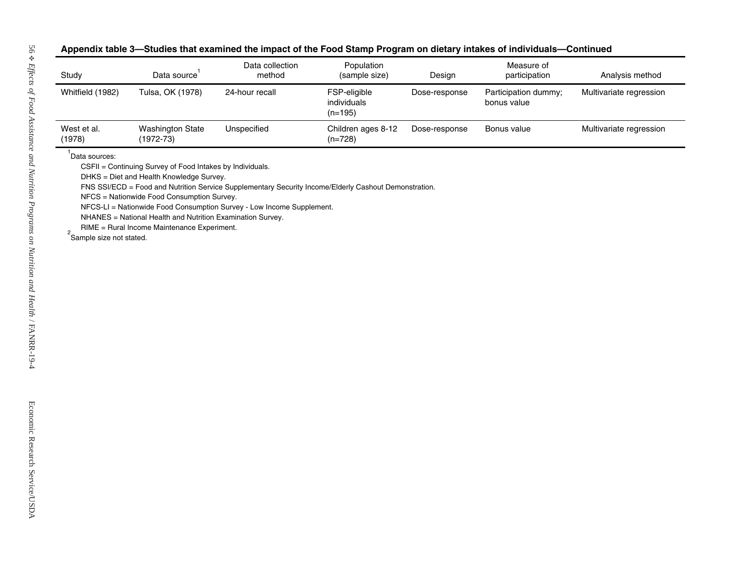| Study                       | Data source <sup>1</sup>                                                                                                                                | Data collection<br>method                                                                                                                                                      | Population<br>(sample size)              | Design        | Measure of<br>participation         | Analysis method         |
|-----------------------------|---------------------------------------------------------------------------------------------------------------------------------------------------------|--------------------------------------------------------------------------------------------------------------------------------------------------------------------------------|------------------------------------------|---------------|-------------------------------------|-------------------------|
| Whitfield (1982)            | Tulsa, OK (1978)                                                                                                                                        | 24-hour recall                                                                                                                                                                 | FSP-eligible<br>individuals<br>$(n=195)$ | Dose-response | Participation dummy;<br>bonus value | Multivariate regression |
| West et al.<br>(1978)       | <b>Washington State</b><br>$(1972 - 73)$                                                                                                                | Unspecified                                                                                                                                                                    | Children ages 8-12<br>$(n=728)$          | Dose-response | Bonus value                         | Multivariate regression |
| $2$ Sample size not stated. | NFCS = Nationwide Food Consumption Survey.<br>NHANES = National Health and Nutrition Examination Survey.<br>RIME = Rural Income Maintenance Experiment. | FNS SSI/ECD = Food and Nutrition Service Supplementary Security Income/Elderly Cashout Demonstration.<br>NFCS-LI = Nationwide Food Consumption Survey - Low Income Supplement. |                                          |               |                                     |                         |
|                             |                                                                                                                                                         |                                                                                                                                                                                |                                          |               |                                     |                         |

#### **mpact of the Food Stamp Program on dietary intakes of individuals— Continued**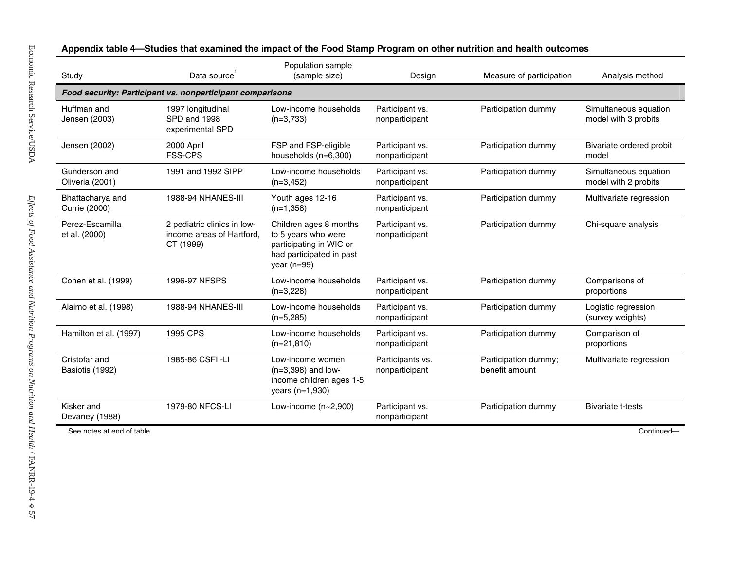| Food security: Participant vs. nonparticipant comparisons |                                                                       | (sample size)                                                                                                           | Design                             | Measure of participation               | Analysis method                               |
|-----------------------------------------------------------|-----------------------------------------------------------------------|-------------------------------------------------------------------------------------------------------------------------|------------------------------------|----------------------------------------|-----------------------------------------------|
|                                                           |                                                                       |                                                                                                                         |                                    |                                        |                                               |
| Huffman and<br>Jensen (2003)                              | 1997 longitudinal<br>SPD and 1998<br>experimental SPD                 | Low-income households<br>$(n=3,733)$                                                                                    | Participant vs.<br>nonparticipant  | Participation dummy                    | Simultaneous equation<br>model with 3 probits |
| Jensen (2002)                                             | 2000 April<br>FSS-CPS                                                 | FSP and FSP-eligible<br>households (n=6,300)                                                                            | Participant vs.<br>nonparticipant  | Participation dummy                    | Bivariate ordered probit<br>model             |
| Gunderson and<br>Oliveria (2001)                          | 1991 and 1992 SIPP                                                    | Low-income households<br>$(n=3, 452)$                                                                                   | Participant vs.<br>nonparticipant  | Participation dummy                    | Simultaneous equation<br>model with 2 probits |
| Bhattacharya and<br>Currie (2000)                         | 1988-94 NHANES-III                                                    | Youth ages 12-16<br>$(n=1,358)$                                                                                         | Participant vs.<br>nonparticipant  | Participation dummy                    | Multivariate regression                       |
| Perez-Escamilla<br>et al. (2000)                          | 2 pediatric clinics in low-<br>income areas of Hartford,<br>CT (1999) | Children ages 8 months<br>to 5 years who were<br>participating in WIC or<br>had participated in past<br>year ( $n=99$ ) | Participant vs.<br>nonparticipant  | Participation dummy                    | Chi-square analysis                           |
| Cohen et al. (1999)                                       | 1996-97 NFSPS                                                         | Low-income households<br>$(n=3,228)$                                                                                    | Participant vs.<br>nonparticipant  | Participation dummy                    | Comparisons of<br>proportions                 |
| Alaimo et al. (1998)                                      | <b>1988-94 NHANES-III</b>                                             | Low-income households<br>$(n=5,285)$                                                                                    | Participant vs.<br>nonparticipant  | Participation dummy                    | Logistic regression<br>(survey weights)       |
| Hamilton et al. (1997)                                    | 1995 CPS                                                              | Low-income households<br>$(n=21,810)$                                                                                   | Participant vs.<br>nonparticipant  | Participation dummy                    | Comparison of<br>proportions                  |
| Cristofar and<br>Basiotis (1992)                          | 1985-86 CSFII-LI                                                      | Low-income women<br>$(n=3,398)$ and low-<br>income children ages 1-5<br>years (n=1,930)                                 | Participants vs.<br>nonparticipant | Participation dummy;<br>benefit amount | Multivariate regression                       |
| Kisker and<br>Devaney (1988)                              | 1979-80 NFCS-LI                                                       | Low-income $(n-2,900)$                                                                                                  | Participant vs.<br>nonparticipant  | Participation dummy                    | <b>Bivariate t-tests</b>                      |
| See notes at end of table.                                |                                                                       |                                                                                                                         |                                    |                                        | Continued-                                    |

Appendix table 4-Studies that examined the impact of the Food Stamp Program on other nutrition and health outcomes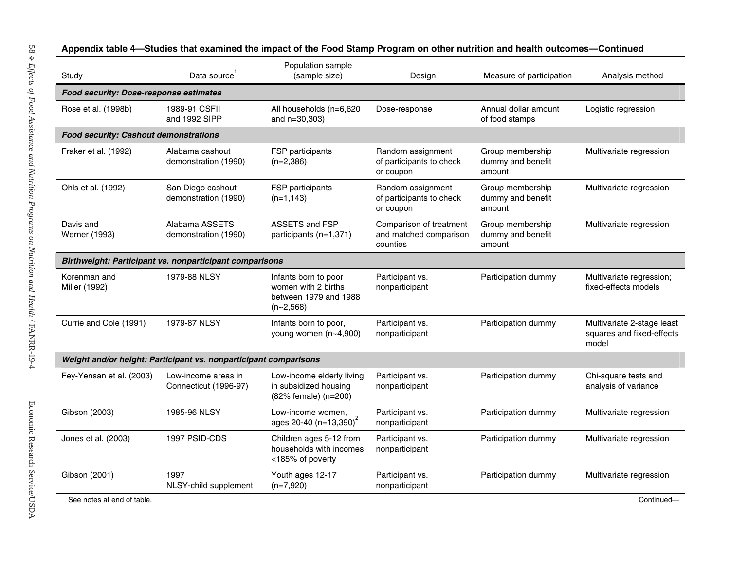| Study                                         | Data source                                                      | Population sample<br>(sample size)                                                  | Design                                                        | Measure of participation                        | Analysis method                                                  |
|-----------------------------------------------|------------------------------------------------------------------|-------------------------------------------------------------------------------------|---------------------------------------------------------------|-------------------------------------------------|------------------------------------------------------------------|
| <b>Food security: Dose-response estimates</b> |                                                                  |                                                                                     |                                                               |                                                 |                                                                  |
| Rose et al. (1998b)                           | 1989-91 CSFII<br>and 1992 SIPP                                   | All households (n=6,620<br>and n=30,303)                                            | Dose-response                                                 | Annual dollar amount<br>of food stamps          | Logistic regression                                              |
| <b>Food security: Cashout demonstrations</b>  |                                                                  |                                                                                     |                                                               |                                                 |                                                                  |
| Fraker et al. (1992)                          | Alabama cashout<br>demonstration (1990)                          | FSP participants<br>$(n=2,386)$                                                     | Random assignment<br>of participants to check<br>or coupon    | Group membership<br>dummy and benefit<br>amount | Multivariate regression                                          |
| Ohls et al. (1992)                            | San Diego cashout<br>demonstration (1990)                        | FSP participants<br>$(n=1, 143)$                                                    | Random assignment<br>of participants to check<br>or coupon    | Group membership<br>dummy and benefit<br>amount | Multivariate regression                                          |
| Davis and<br>Werner (1993)                    | Alabama ASSETS<br>demonstration (1990)                           | ASSETS and FSP<br>participants (n=1,371)                                            | Comparison of treatment<br>and matched comparison<br>counties | Group membership<br>dummy and benefit<br>amount | Multivariate regression                                          |
|                                               | <b>Birthweight: Participant vs. nonparticipant comparisons</b>   |                                                                                     |                                                               |                                                 |                                                                  |
| Korenman and<br>Miller (1992)                 | 1979-88 NLSY                                                     | Infants born to poor<br>women with 2 births<br>between 1979 and 1988<br>$(n-2,568)$ | Participant vs.<br>nonparticipant                             | Participation dummy                             | Multivariate regression;<br>fixed-effects models                 |
| Currie and Cole (1991)                        | 1979-87 NLSY                                                     | Infants born to poor,<br>young women (n~4,900)                                      | Participant vs.<br>nonparticipant                             | Participation dummy                             | Multivariate 2-stage least<br>squares and fixed-effects<br>model |
|                                               | Weight and/or height: Participant vs. nonparticipant comparisons |                                                                                     |                                                               |                                                 |                                                                  |
| Fey-Yensan et al. (2003)                      | Low-income areas in<br>Connecticut (1996-97)                     | Low-income elderly living<br>in subsidized housing<br>(82% female) (n=200)          | Participant vs.<br>nonparticipant                             | Participation dummy                             | Chi-square tests and<br>analysis of variance                     |
| Gibson (2003)                                 | 1985-96 NLSY                                                     | Low-income women,<br>ages 20-40 $(n=13,390)^2$                                      | Participant vs.<br>nonparticipant                             | Participation dummy                             | Multivariate regression                                          |
| Jones et al. (2003)                           | 1997 PSID-CDS                                                    | Children ages 5-12 from<br>households with incomes<br><185% of poverty              | Participant vs.<br>nonparticipant                             | Participation dummy                             | Multivariate regression                                          |
|                                               | 1997                                                             | Youth ages 12-17                                                                    | Participant vs.                                               | Participation dummy                             | Multivariate regression                                          |

**4—Studies that examined the i mpact of the Food Stamp Program on other nutrition and health outcomes—Continued**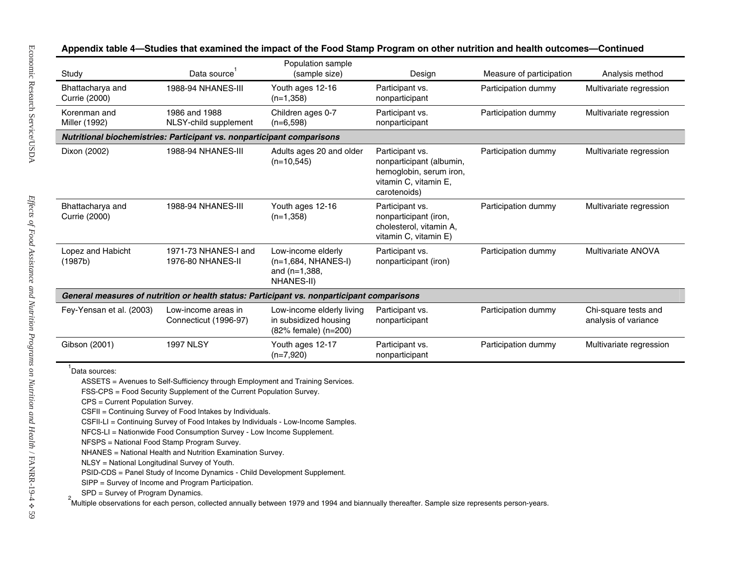| Study                                             | Data source                                                                                                                                                                                                                                                                                                                                                                                                                                                                                                                                     | Population sample<br>(sample size)                                                         | Design                                                                                                          | Measure of participation | Analysis method                              |
|---------------------------------------------------|-------------------------------------------------------------------------------------------------------------------------------------------------------------------------------------------------------------------------------------------------------------------------------------------------------------------------------------------------------------------------------------------------------------------------------------------------------------------------------------------------------------------------------------------------|--------------------------------------------------------------------------------------------|-----------------------------------------------------------------------------------------------------------------|--------------------------|----------------------------------------------|
| Bhattacharya and<br>Currie (2000)                 | 1988-94 NHANES-III                                                                                                                                                                                                                                                                                                                                                                                                                                                                                                                              | Youth ages 12-16<br>$(n=1,358)$                                                            | Participant vs.<br>nonparticipant                                                                               | Participation dummy      | Multivariate regression                      |
| Korenman and<br>Miller (1992)                     | 1986 and 1988<br>NLSY-child supplement                                                                                                                                                                                                                                                                                                                                                                                                                                                                                                          | Children ages 0-7<br>$(n=6,598)$                                                           | Participant vs.<br>nonparticipant                                                                               | Participation dummy      | Multivariate regression                      |
|                                                   | Nutritional biochemistries: Participant vs. nonparticipant comparisons                                                                                                                                                                                                                                                                                                                                                                                                                                                                          |                                                                                            |                                                                                                                 |                          |                                              |
| Dixon (2002)                                      | <b>1988-94 NHANES-III</b>                                                                                                                                                                                                                                                                                                                                                                                                                                                                                                                       | Adults ages 20 and older<br>$(n=10,545)$                                                   | Participant vs.<br>nonparticipant (albumin,<br>hemoglobin, serum iron,<br>vitamin C, vitamin E,<br>carotenoids) | Participation dummy      | Multivariate regression                      |
| Bhattacharya and<br>Currie (2000)                 | 1988-94 NHANES-III                                                                                                                                                                                                                                                                                                                                                                                                                                                                                                                              | Youth ages 12-16<br>$(n=1,358)$                                                            | Participant vs.<br>nonparticipant (iron,<br>cholesterol, vitamin A,<br>vitamin C, vitamin E)                    | Participation dummy      | Multivariate regression                      |
| Lopez and Habicht<br>(1987b)                      | 1971-73 NHANES-I and<br>1976-80 NHANES-II                                                                                                                                                                                                                                                                                                                                                                                                                                                                                                       | Low-income elderly<br>$(n=1,684, NHANES-I)$<br>and $(n=1,388,$<br>NHANES-II)               | Participant vs.<br>nonparticipant (iron)                                                                        | Participation dummy      | Multivariate ANOVA                           |
|                                                   |                                                                                                                                                                                                                                                                                                                                                                                                                                                                                                                                                 | General measures of nutrition or health status: Participant vs. nonparticipant comparisons |                                                                                                                 |                          |                                              |
| Fey-Yensan et al. (2003)                          | Low-income areas in<br>Connecticut (1996-97)                                                                                                                                                                                                                                                                                                                                                                                                                                                                                                    | Low-income elderly living<br>in subsidized housing<br>(82% female) (n=200)                 | Participant vs.<br>nonparticipant                                                                               | Participation dummy      | Chi-square tests and<br>analysis of variance |
| Gibson (2001)                                     | <b>1997 NLSY</b>                                                                                                                                                                                                                                                                                                                                                                                                                                                                                                                                | Youth ages 12-17<br>$(n=7,920)$                                                            | Participant vs.<br>nonparticipant                                                                               | Participation dummy      | Multivariate regression                      |
| Data sources:<br>CPS = Current Population Survey. | ASSETS = Avenues to Self-Sufficiency through Employment and Training Services.<br>FSS-CPS = Food Security Supplement of the Current Population Survey.<br>CSFII = Continuing Survey of Food Intakes by Individuals.<br>CSFII-LI = Continuing Survey of Food Intakes by Individuals - Low-Income Samples.<br>NFCS-LI = Nationwide Food Consumption Survey - Low Income Supplement.<br>NFSPS = National Food Stamp Program Survey.<br>NHANES = National Health and Nutrition Examination Survey.<br>NLSY = National Longitudinal Survey of Youth. | PSID-CDS = Panel Study of Income Dynamics - Child Development Supplement.                  |                                                                                                                 |                          |                                              |

**mpact of the Food Stamp Program on other nutrition and health outcomes—Continued**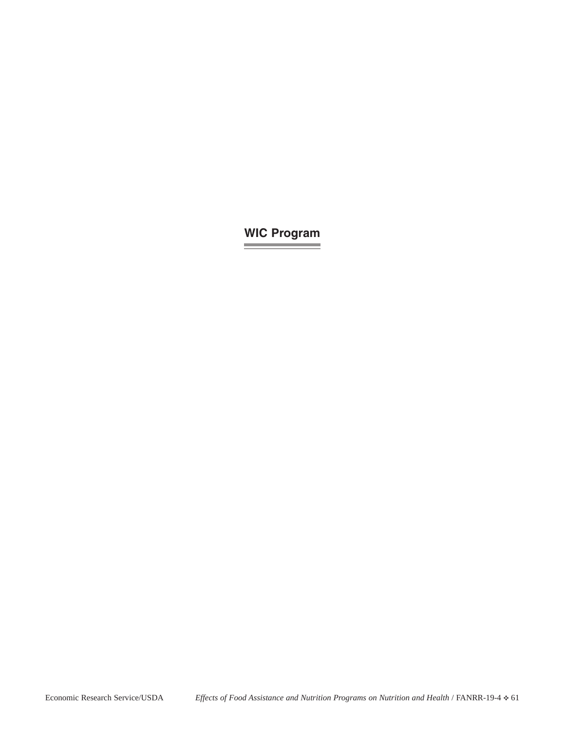# **WIC Program**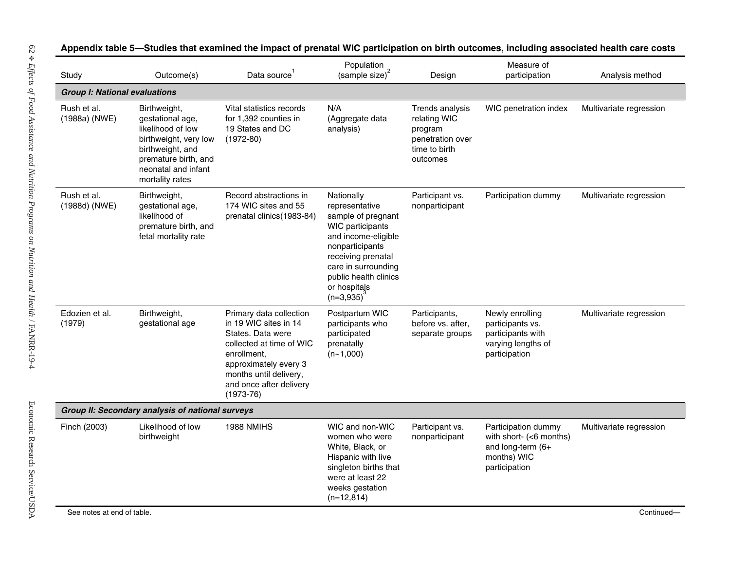| Study                                | Outcome(s)                                                                                                                                                           | Data source                                                                                                                                                                                                   | Population<br>$(sample size)^2$                                                                                                                                                                                       | Design                                                                                      | Measure of<br>participation                                                                         | Analysis method         |
|--------------------------------------|----------------------------------------------------------------------------------------------------------------------------------------------------------------------|---------------------------------------------------------------------------------------------------------------------------------------------------------------------------------------------------------------|-----------------------------------------------------------------------------------------------------------------------------------------------------------------------------------------------------------------------|---------------------------------------------------------------------------------------------|-----------------------------------------------------------------------------------------------------|-------------------------|
| <b>Group I: National evaluations</b> |                                                                                                                                                                      |                                                                                                                                                                                                               |                                                                                                                                                                                                                       |                                                                                             |                                                                                                     |                         |
| Rush et al.<br>(1988a) (NWE)         | Birthweight,<br>gestational age,<br>likelihood of low<br>birthweight, very low<br>birthweight, and<br>premature birth, and<br>neonatal and infant<br>mortality rates | Vital statistics records<br>for 1,392 counties in<br>19 States and DC<br>$(1972-80)$                                                                                                                          | N/A<br>(Aggregate data<br>analysis)                                                                                                                                                                                   | Trends analysis<br>relating WIC<br>program<br>penetration over<br>time to birth<br>outcomes | WIC penetration index                                                                               | Multivariate regression |
| Rush et al.<br>(1988d) (NWE)         | Birthweight,<br>gestational age,<br>likelihood of<br>premature birth, and<br>fetal mortality rate                                                                    | Record abstractions in<br>174 WIC sites and 55<br>prenatal clinics (1983-84)                                                                                                                                  | Nationally<br>representative<br>sample of pregnant<br>WIC participants<br>and income-eligible<br>nonparticipants<br>receiving prenatal<br>care in surrounding<br>public health clinics<br>or hospitals<br>$(n=3,935)$ | Participant vs.<br>nonparticipant                                                           | Participation dummy                                                                                 | Multivariate regression |
| Edozien et al.<br>(1979)             | Birthweight,<br>gestational age                                                                                                                                      | Primary data collection<br>in 19 WIC sites in 14<br>States. Data were<br>collected at time of WIC<br>enrollment,<br>approximately every 3<br>months until delivery,<br>and once after delivery<br>$(1973-76)$ | Postpartum WIC<br>participants who<br>participated<br>prenatally<br>$(n-1,000)$                                                                                                                                       | Participants,<br>before vs. after,<br>separate groups                                       | Newly enrolling<br>participants vs.<br>participants with<br>varying lengths of<br>participation     | Multivariate regression |
|                                      | Group II: Secondary analysis of national surveys                                                                                                                     |                                                                                                                                                                                                               |                                                                                                                                                                                                                       |                                                                                             |                                                                                                     |                         |
| Finch (2003)                         | Likelihood of low<br>birthweight                                                                                                                                     | 1988 NMIHS                                                                                                                                                                                                    | WIC and non-WIC<br>women who were<br>White, Black, or<br>Hispanic with live<br>singleton births that<br>were at least 22<br>weeks gestation<br>$(n=12,814)$                                                           | Participant vs.<br>nonparticipant                                                           | Participation dummy<br>with short- (<6 months)<br>and long-term (6+<br>months) WIC<br>participation | Multivariate regression |

#### **5—Studies that examined the i mpact of prenatal WIC participation on birth outc omes, including associated health care costs**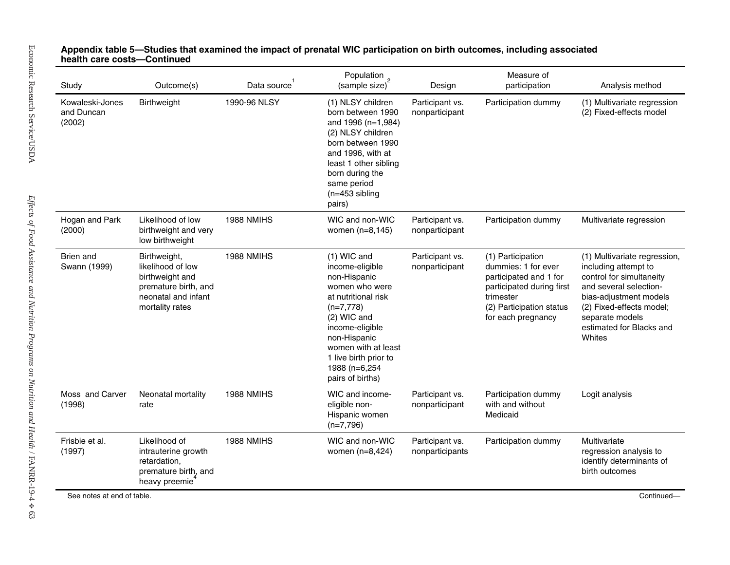| Study                                   | Outcome(s)                                                                                                             | Data source <sup>1</sup> | Population<br>(sample size) <sup>2</sup>                                                                                                                                                                                                        | Design                             | Measure of<br>participation                                                                                                                                    | Analysis method                                                                                                                                                                                                           |
|-----------------------------------------|------------------------------------------------------------------------------------------------------------------------|--------------------------|-------------------------------------------------------------------------------------------------------------------------------------------------------------------------------------------------------------------------------------------------|------------------------------------|----------------------------------------------------------------------------------------------------------------------------------------------------------------|---------------------------------------------------------------------------------------------------------------------------------------------------------------------------------------------------------------------------|
| Kowaleski-Jones<br>and Duncan<br>(2002) | Birthweight                                                                                                            | 1990-96 NLSY             | (1) NLSY children<br>born between 1990<br>and 1996 (n=1,984)<br>(2) NLSY children<br>born between 1990<br>and 1996, with at<br>least 1 other sibling<br>born during the<br>same period<br>$(n=453$ sibling<br>pairs)                            | Participant vs.<br>nonparticipant  | Participation dummy                                                                                                                                            | (1) Multivariate regression<br>(2) Fixed-effects model                                                                                                                                                                    |
| Hogan and Park<br>(2000)                | Likelihood of low<br>birthweight and very<br>low birthweight                                                           | 1988 NMIHS               | WIC and non-WIC<br>women (n=8,145)                                                                                                                                                                                                              | Participant vs.<br>nonparticipant  | Participation dummy                                                                                                                                            | Multivariate regression                                                                                                                                                                                                   |
| Brien and<br>Swann (1999)               | Birthweight,<br>likelihood of low<br>birthweight and<br>premature birth, and<br>neonatal and infant<br>mortality rates | 1988 NMIHS               | $(1)$ WIC and<br>income-eligible<br>non-Hispanic<br>women who were<br>at nutritional risk<br>$(n=7,778)$<br>(2) WIC and<br>income-eligible<br>non-Hispanic<br>women with at least<br>1 live birth prior to<br>1988 (n=6,254<br>pairs of births) | Participant vs.<br>nonparticipant  | (1) Participation<br>dummies: 1 for ever<br>participated and 1 for<br>participated during first<br>trimester<br>(2) Participation status<br>for each pregnancy | (1) Multivariate regression,<br>including attempt to<br>control for simultaneity<br>and several selection-<br>bias-adjustment models<br>(2) Fixed-effects model;<br>separate models<br>estimated for Blacks and<br>Whites |
| Moss and Carver<br>(1998)               | Neonatal mortality<br>rate                                                                                             | 1988 NMIHS               | WIC and income-<br>eligible non-<br>Hispanic women<br>$(n=7,796)$                                                                                                                                                                               | Participant vs.<br>nonparticipant  | Participation dummy<br>with and without<br>Medicaid                                                                                                            | Logit analysis                                                                                                                                                                                                            |
| Frisbie et al.<br>(1997)                | Likelihood of<br>intrauterine growth<br>retardation,<br>premature birth, and<br>heavy preemie                          | 1988 NMIHS               | WIC and non-WIC<br>women (n=8,424)                                                                                                                                                                                                              | Participant vs.<br>nonparticipants | Participation dummy                                                                                                                                            | Multivariate<br>regression analysis to<br>identify determinants of<br>birth outcomes                                                                                                                                      |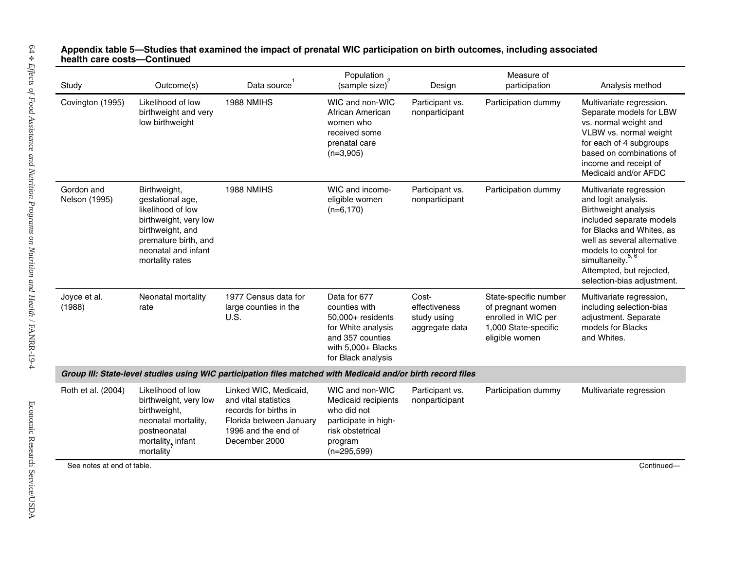| Likelihood of low<br>1988 NMIHS<br>Covington (1995)<br>WIC and non-WIC<br>Participant vs.<br>Participation dummy<br>birthweight and very<br>African American<br>nonparticipant<br>low birthweight<br>women who<br>received some<br>prenatal care<br>$(n=3,905)$<br>Gordon and<br>1988 NMIHS<br>WIC and income-<br>Birthweight,<br>Participant vs.<br>Participation dummy<br>Nelson (1995)<br>gestational age,<br>eligible women<br>nonparticipant<br>likelihood of low<br>$(n=6,170)$<br>birthweight, very low<br>birthweight, and<br>premature birth, and<br>neonatal and infant<br>mortality rates<br>Joyce et al.<br>Neonatal mortality<br>1977 Census data for<br>Data for 677<br>Cost-<br>State-specific number<br>(1988)<br>large counties in the<br>counties with<br>effectiveness<br>of pregnant women<br>rate<br>U.S.<br>enrolled in WIC per<br>50,000+ residents<br>study using<br>1,000 State-specific<br>for White analysis<br>aggregate data<br>and 357 counties<br>eligible women<br>and Whites.<br>with $5,000+$ Blacks<br>for Black analysis<br>Group III: State-level studies using WIC participation files matched with Medicaid and/or birth record files<br>Roth et al. (2004)<br>Likelihood of low<br>Linked WIC, Medicaid,<br>WIC and non-WIC<br>Participant vs.<br>Participation dummy<br>birthweight, very low<br>and vital statistics<br>Medicaid recipients<br>nonparticipant<br>birthweight,<br>records for births in<br>who did not<br>neonatal mortality,<br>Florida between January<br>participate in high-<br>1996 and the end of<br>risk obstetrical<br>postneonatal<br>mortality, infant<br>December 2000<br>program | Study | Outcome(s)             | Data source <sup>1</sup> | Population<br>(sample size) <sup>2</sup> | Design | Measure of<br>participation | Analysis method                                                                                                                                                                                                                                                                    |
|-------------------------------------------------------------------------------------------------------------------------------------------------------------------------------------------------------------------------------------------------------------------------------------------------------------------------------------------------------------------------------------------------------------------------------------------------------------------------------------------------------------------------------------------------------------------------------------------------------------------------------------------------------------------------------------------------------------------------------------------------------------------------------------------------------------------------------------------------------------------------------------------------------------------------------------------------------------------------------------------------------------------------------------------------------------------------------------------------------------------------------------------------------------------------------------------------------------------------------------------------------------------------------------------------------------------------------------------------------------------------------------------------------------------------------------------------------------------------------------------------------------------------------------------------------------------------------------------------------------------------------------------------------|-------|------------------------|--------------------------|------------------------------------------|--------|-----------------------------|------------------------------------------------------------------------------------------------------------------------------------------------------------------------------------------------------------------------------------------------------------------------------------|
|                                                                                                                                                                                                                                                                                                                                                                                                                                                                                                                                                                                                                                                                                                                                                                                                                                                                                                                                                                                                                                                                                                                                                                                                                                                                                                                                                                                                                                                                                                                                                                                                                                                       |       |                        |                          |                                          |        |                             | Multivariate regression.<br>Separate models for LBW<br>vs. normal weight and<br>VLBW vs. normal weight<br>for each of 4 subgroups<br>based on combinations of<br>income and receipt of<br>Medicaid and/or AFDC                                                                     |
|                                                                                                                                                                                                                                                                                                                                                                                                                                                                                                                                                                                                                                                                                                                                                                                                                                                                                                                                                                                                                                                                                                                                                                                                                                                                                                                                                                                                                                                                                                                                                                                                                                                       |       |                        |                          |                                          |        |                             | Multivariate regression<br>and logit analysis.<br>Birthweight analysis<br>included separate models<br>for Blacks and Whites, as<br>well as several alternative<br>models to control for<br>simultaneity. <sup>5, 6</sup><br>Attempted, but rejected,<br>selection-bias adjustment. |
|                                                                                                                                                                                                                                                                                                                                                                                                                                                                                                                                                                                                                                                                                                                                                                                                                                                                                                                                                                                                                                                                                                                                                                                                                                                                                                                                                                                                                                                                                                                                                                                                                                                       |       |                        |                          |                                          |        |                             | Multivariate regression,<br>including selection-bias<br>adjustment. Separate<br>models for Blacks                                                                                                                                                                                  |
|                                                                                                                                                                                                                                                                                                                                                                                                                                                                                                                                                                                                                                                                                                                                                                                                                                                                                                                                                                                                                                                                                                                                                                                                                                                                                                                                                                                                                                                                                                                                                                                                                                                       |       |                        |                          |                                          |        |                             |                                                                                                                                                                                                                                                                                    |
|                                                                                                                                                                                                                                                                                                                                                                                                                                                                                                                                                                                                                                                                                                                                                                                                                                                                                                                                                                                                                                                                                                                                                                                                                                                                                                                                                                                                                                                                                                                                                                                                                                                       |       | mortality <sup>®</sup> |                          | $(n=295,599)$                            |        |                             | Multivariate regression                                                                                                                                                                                                                                                            |
| See notes at end of table.                                                                                                                                                                                                                                                                                                                                                                                                                                                                                                                                                                                                                                                                                                                                                                                                                                                                                                                                                                                                                                                                                                                                                                                                                                                                                                                                                                                                                                                                                                                                                                                                                            |       |                        |                          |                                          |        |                             | Continued-                                                                                                                                                                                                                                                                         |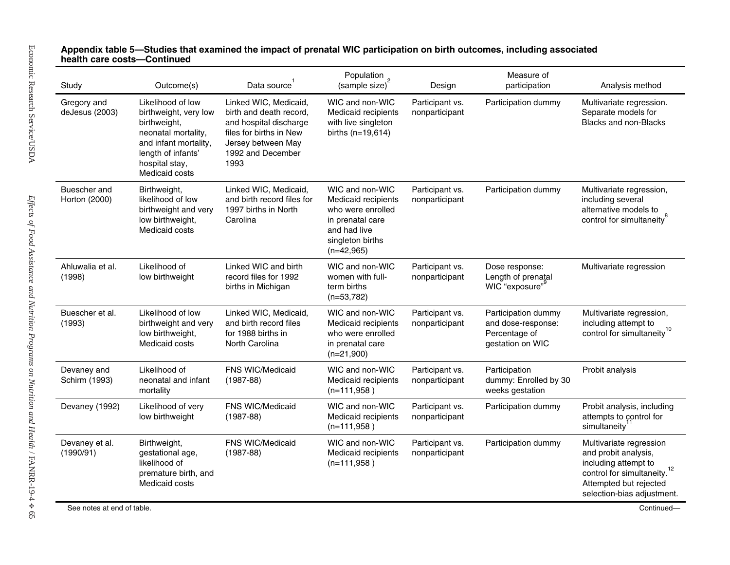| Study                         | Outcome(s)                                                                                                                                                           | Data source <sup>1</sup>                                                                                                                                 | Population<br>(sample size) <sup>2</sup>                                                                                            | Design                            | Measure of<br>participation                                                    | Analysis method                                                                                                                                                            |
|-------------------------------|----------------------------------------------------------------------------------------------------------------------------------------------------------------------|----------------------------------------------------------------------------------------------------------------------------------------------------------|-------------------------------------------------------------------------------------------------------------------------------------|-----------------------------------|--------------------------------------------------------------------------------|----------------------------------------------------------------------------------------------------------------------------------------------------------------------------|
| Gregory and<br>deJesus (2003) | Likelihood of low<br>birthweight, very low<br>birthweight,<br>neonatal mortality,<br>and infant mortality,<br>length of infants'<br>hospital stay,<br>Medicaid costs | Linked WIC, Medicaid,<br>birth and death record,<br>and hospital discharge<br>files for births in New<br>Jersey between May<br>1992 and December<br>1993 | WIC and non-WIC<br>Medicaid recipients<br>with live singleton<br>births $(n=19,614)$                                                | Participant vs.<br>nonparticipant | Participation dummy                                                            | Multivariate regression.<br>Separate models for<br><b>Blacks and non-Blacks</b>                                                                                            |
| Buescher and<br>Horton (2000) | Birthweight,<br>likelihood of low<br>birthweight and very<br>low birthweight,<br>Medicaid costs                                                                      | Linked WIC, Medicaid,<br>and birth record files for<br>1997 births in North<br>Carolina                                                                  | WIC and non-WIC<br>Medicaid recipients<br>who were enrolled<br>in prenatal care<br>and had live<br>singleton births<br>$(n=42,965)$ | Participant vs.<br>nonparticipant | Participation dummy                                                            | Multivariate regression,<br>including several<br>alternative models to<br>control for simultaneity <sup>8</sup>                                                            |
| Ahluwalia et al.<br>(1998)    | Likelihood of<br>low birthweight                                                                                                                                     | Linked WIC and birth<br>record files for 1992<br>births in Michigan                                                                                      | WIC and non-WIC<br>women with full-<br>term births<br>$(n=53,782)$                                                                  | Participant vs.<br>nonparticipant | Dose response:<br>Length of prenatal<br>WIC "exposure"                         | Multivariate regression                                                                                                                                                    |
| Buescher et al.<br>(1993)     | Likelihood of low<br>birthweight and very<br>low birthweight,<br>Medicaid costs                                                                                      | Linked WIC, Medicaid,<br>and birth record files<br>for 1988 births in<br>North Carolina                                                                  | WIC and non-WIC<br>Medicaid recipients<br>who were enrolled<br>in prenatal care<br>$(n=21,900)$                                     | Participant vs.<br>nonparticipant | Participation dummy<br>and dose-response:<br>Percentage of<br>gestation on WIC | Multivariate regression,<br>including attempt to<br>control for simultaneity <sup>10</sup>                                                                                 |
| Devaney and<br>Schirm (1993)  | Likelihood of<br>neonatal and infant<br>mortality                                                                                                                    | <b>FNS WIC/Medicaid</b><br>$(1987 - 88)$                                                                                                                 | WIC and non-WIC<br>Medicaid recipients<br>$(n=111,958)$                                                                             | Participant vs.<br>nonparticipant | Participation<br>dummy: Enrolled by 30<br>weeks gestation                      | Probit analysis                                                                                                                                                            |
| Devaney (1992)                | Likelihood of very<br>low birthweight                                                                                                                                | FNS WIC/Medicaid<br>$(1987 - 88)$                                                                                                                        | WIC and non-WIC<br>Medicaid recipients<br>$(n=111,958)$                                                                             | Participant vs.<br>nonparticipant | Participation dummy                                                            | Probit analysis, including<br>attempts to control for<br>simultaneity                                                                                                      |
| Devaney et al.<br>(1990/91)   | Birthweight,<br>gestational age,<br>likelihood of<br>premature birth, and<br>Medicaid costs                                                                          | FNS WIC/Medicaid<br>$(1987 - 88)$                                                                                                                        | WIC and non-WIC<br>Medicaid recipients<br>$(n=111,958)$                                                                             | Participant vs.<br>nonparticipant | Participation dummy                                                            | Multivariate regression<br>and probit analysis,<br>including attempt to<br>control for simultaneity. <sup>12</sup><br>Attempted but rejected<br>selection-bias adjustment. |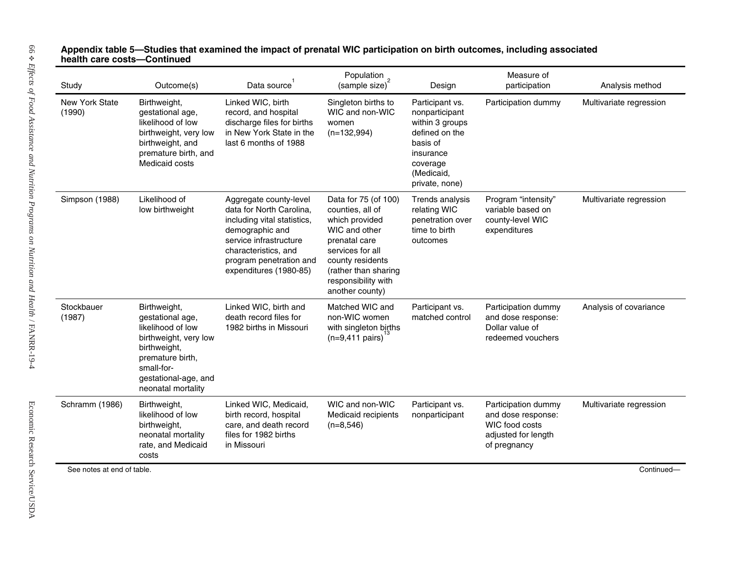| Study                    | Outcome(s)                                                                                                                                                                     | Data source <sup>1</sup>                                                                                                                                                                                    | Population<br>(sample size) <sup>2</sup>                                                                                                                                                               | Design                                                                                                                                      | Measure of<br>participation                                                                        | Analysis method         |
|--------------------------|--------------------------------------------------------------------------------------------------------------------------------------------------------------------------------|-------------------------------------------------------------------------------------------------------------------------------------------------------------------------------------------------------------|--------------------------------------------------------------------------------------------------------------------------------------------------------------------------------------------------------|---------------------------------------------------------------------------------------------------------------------------------------------|----------------------------------------------------------------------------------------------------|-------------------------|
| New York State<br>(1990) | Birthweight,<br>gestational age,<br>likelihood of low<br>birthweight, very low<br>birthweight, and<br>premature birth, and<br>Medicaid costs                                   | Linked WIC, birth<br>record, and hospital<br>discharge files for births<br>in New York State in the<br>last 6 months of 1988                                                                                | Singleton births to<br>WIC and non-WIC<br>women<br>$(n=132,994)$                                                                                                                                       | Participant vs.<br>nonparticipant<br>within 3 groups<br>defined on the<br>basis of<br>insurance<br>coverage<br>(Medicaid,<br>private, none) | Participation dummy                                                                                | Multivariate regression |
| Simpson (1988)           | Likelihood of<br>low birthweight                                                                                                                                               | Aggregate county-level<br>data for North Carolina,<br>including vital statistics,<br>demographic and<br>service infrastructure<br>characteristics, and<br>program penetration and<br>expenditures (1980-85) | Data for 75 (of 100)<br>counties, all of<br>which provided<br>WIC and other<br>prenatal care<br>services for all<br>county residents<br>(rather than sharing<br>responsibility with<br>another county) | Trends analysis<br>relating WIC<br>penetration over<br>time to birth<br>outcomes                                                            | Program "intensity"<br>variable based on<br>county-level WIC<br>expenditures                       | Multivariate regression |
| Stockbauer<br>(1987)     | Birthweight,<br>gestational age,<br>likelihood of low<br>birthweight, very low<br>birthweight,<br>premature birth,<br>small-for-<br>gestational-age, and<br>neonatal mortality | Linked WIC, birth and<br>death record files for<br>1982 births in Missouri                                                                                                                                  | Matched WIC and<br>non-WIC women<br>with singleton births<br>$(n=9,411 \text{ pairs})$                                                                                                                 | Participant vs.<br>matched control                                                                                                          | Participation dummy<br>and dose response:<br>Dollar value of<br>redeemed vouchers                  | Analysis of covariance  |
| Schramm (1986)           | Birthweight,<br>likelihood of low<br>birthweight,<br>neonatal mortality<br>rate, and Medicaid<br>costs                                                                         | Linked WIC, Medicaid,<br>birth record, hospital<br>care, and death record<br>files for 1982 births<br>in Missouri                                                                                           | WIC and non-WIC<br>Medicaid recipients<br>$(n=8,546)$                                                                                                                                                  | Participant vs.<br>nonparticipant                                                                                                           | Participation dummy<br>and dose response:<br>WIC food costs<br>adjusted for length<br>of pregnancy | Multivariate regression |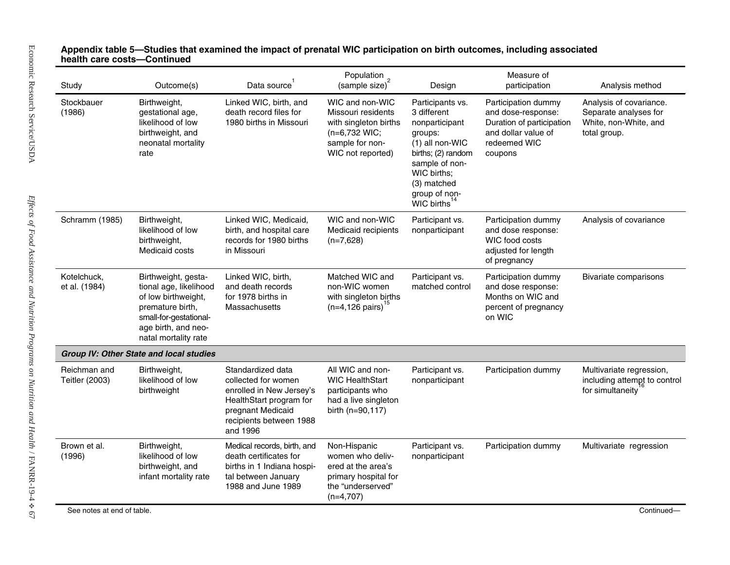### **5—Studies that examined the i mpact of prenatal WIC participation on birth outc omes, including associated health care costs—Continued**

| Study                          | Outcome(s)                                                                                                                                                        | Data source <sup>1</sup>                                                                                                                                    | Population<br>(sample size) <sup>2</sup>                                                                                | Design                                                                                                                                                                                      | Measure of<br>participation                                                                                              | Analysis method                                                                           |
|--------------------------------|-------------------------------------------------------------------------------------------------------------------------------------------------------------------|-------------------------------------------------------------------------------------------------------------------------------------------------------------|-------------------------------------------------------------------------------------------------------------------------|---------------------------------------------------------------------------------------------------------------------------------------------------------------------------------------------|--------------------------------------------------------------------------------------------------------------------------|-------------------------------------------------------------------------------------------|
| Stockbauer<br>(1986)           | Birthweight,<br>gestational age,<br>likelihood of low<br>birthweight, and<br>neonatal mortality<br>rate                                                           | Linked WIC, birth, and<br>death record files for<br>1980 births in Missouri                                                                                 | WIC and non-WIC<br>Missouri residents<br>with singleton births<br>(n=6,732 WIC;<br>sample for non-<br>WIC not reported) | Participants vs.<br>3 different<br>nonparticipant<br>groups:<br>(1) all non-WIC<br>births; (2) random<br>sample of non-<br>WIC births:<br>(3) matched<br>group of non-<br><b>WIC births</b> | Participation dummy<br>and dose-response:<br>Duration of participation<br>and dollar value of<br>redeemed WIC<br>coupons | Analysis of covariance.<br>Separate analyses for<br>White, non-White, and<br>total group. |
| Schramm (1985)                 | Birthweight,<br>likelihood of low<br>birthweight,<br>Medicaid costs                                                                                               | Linked WIC, Medicaid,<br>birth, and hospital care<br>records for 1980 births<br>in Missouri                                                                 | WIC and non-WIC<br>Medicaid recipients<br>$(n=7,628)$                                                                   | Participant vs.<br>nonparticipant                                                                                                                                                           | Participation dummy<br>and dose response:<br>WIC food costs<br>adjusted for length<br>of pregnancy                       | Analysis of covariance                                                                    |
| Kotelchuck,<br>et al. (1984)   | Birthweight, gesta-<br>tional age, likelihood<br>of low birthweight,<br>premature birth,<br>small-for-gestational-<br>age birth, and neo-<br>natal mortality rate | Linked WIC, birth,<br>and death records<br>for 1978 births in<br>Massachusetts                                                                              | Matched WIC and<br>non-WIC women<br>with singleton births<br>$(n=4, 126 \text{ pairs})$                                 | Participant vs.<br>matched control                                                                                                                                                          | Participation dummy<br>and dose response:<br>Months on WIC and<br>percent of pregnancy<br>on WIC                         | Bivariate comparisons                                                                     |
|                                | <b>Group IV: Other State and local studies</b>                                                                                                                    |                                                                                                                                                             |                                                                                                                         |                                                                                                                                                                                             |                                                                                                                          |                                                                                           |
| Reichman and<br>Teitler (2003) | Birthweight,<br>likelihood of low<br>birthweight                                                                                                                  | Standardized data<br>collected for women<br>enrolled in New Jersey's<br>HealthStart program for<br>pregnant Medicaid<br>recipients between 1988<br>and 1996 | All WIC and non-<br><b>WIC HealthStart</b><br>participants who<br>had a live singleton<br>birth (n=90,117)              | Participant vs.<br>nonparticipant                                                                                                                                                           | Participation dummy                                                                                                      | Multivariate regression,<br>including attempt to control<br>for simultaneity              |
| Brown et al.<br>(1996)         | Birthweight,<br>likelihood of low<br>birthweight, and<br>infant mortality rate                                                                                    | Medical records, birth, and<br>death certificates for<br>births in 1 Indiana hospi-<br>tal between January<br>1988 and June 1989                            | Non-Hispanic<br>women who deliv-<br>ered at the area's<br>primary hospital for<br>the "underserved"<br>$(n=4,707)$      | Participant vs.<br>nonparticipant                                                                                                                                                           | Participation dummy                                                                                                      | Multivariate regression                                                                   |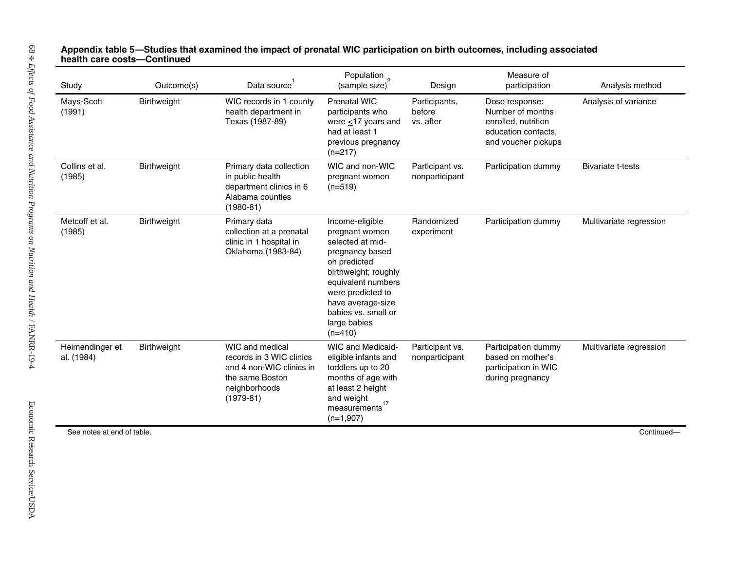| Study                         | Outcome(s)  | Data source <sup>1</sup>                                                                                                   | Population<br>(sample size) <sup>2</sup>                                                                                                                                                                                             | Design                               | Measure of<br>participation                                                                             | Analysis method          |
|-------------------------------|-------------|----------------------------------------------------------------------------------------------------------------------------|--------------------------------------------------------------------------------------------------------------------------------------------------------------------------------------------------------------------------------------|--------------------------------------|---------------------------------------------------------------------------------------------------------|--------------------------|
| Mays-Scott<br>(1991)          | Birthweight | WIC records in 1 county<br>health department in<br>Texas (1987-89)                                                         | <b>Prenatal WIC</b><br>participants who<br>were $\leq$ 17 years and<br>had at least 1<br>previous pregnancy<br>$(n=217)$                                                                                                             | Participants,<br>before<br>vs. after | Dose response:<br>Number of months<br>enrolled, nutrition<br>education contacts,<br>and voucher pickups | Analysis of variance     |
| Collins et al.<br>(1985)      | Birthweight | Primary data collection<br>in public health<br>department clinics in 6<br>Alabama counties<br>$(1980 - 81)$                | WIC and non-WIC<br>pregnant women<br>$(n=519)$                                                                                                                                                                                       | Participant vs.<br>nonparticipant    | Participation dummy                                                                                     | <b>Bivariate t-tests</b> |
| Metcoff et al.<br>(1985)      | Birthweight | Primary data<br>collection at a prenatal<br>clinic in 1 hospital in<br>Oklahoma (1983-84)                                  | Income-eligible<br>pregnant women<br>selected at mid-<br>pregnancy based<br>on predicted<br>birthweight; roughly<br>equivalent numbers<br>were predicted to<br>have average-size<br>babies vs. small or<br>large babies<br>$(n=410)$ | Randomized<br>experiment             | Participation dummy                                                                                     | Multivariate regression  |
| Heimendinger et<br>al. (1984) | Birthweight | WIC and medical<br>records in 3 WIC clinics<br>and 4 non-WIC clinics in<br>the same Boston<br>neighborhoods<br>$(1979-81)$ | <b>WIC and Medicaid-</b><br>eligible infants and<br>toddlers up to 20<br>months of age with<br>at least 2 height<br>and weight<br>measurements <sup>17</sup><br>$(n=1,907)$                                                          | Participant vs.<br>nonparticipant    | Participation dummy<br>based on mother's<br>participation in WIC<br>during pregnancy                    | Multivariate regression  |
| See notes at end of table.    |             |                                                                                                                            |                                                                                                                                                                                                                                      |                                      |                                                                                                         |                          |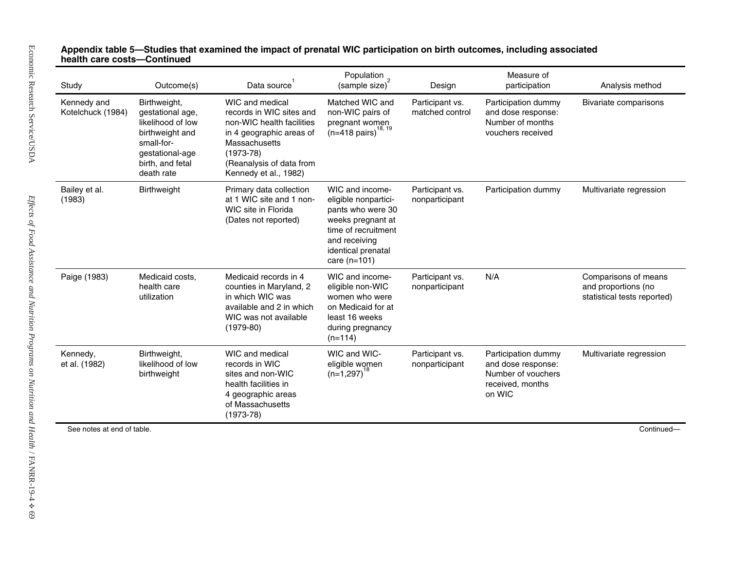| Kennedy and<br>Birthweight,<br>Kotelchuck (1984)<br>gestational age,<br>likelihood of low<br>birthweight and<br>small-for-<br>$(1973-78)$<br>gestational-age<br>birth, and fetal<br>death rate<br>Bailey et al.<br>Birthweight<br>(1983)<br>Paige (1983)<br>Medicaid costs,<br>health care<br>utilization | WIC and medical<br>records in WIC sites and<br>non-WIC health facilities<br>in 4 geographic areas of<br>Massachusetts<br>(Reanalysis of data from<br>Kennedy et al., 1982)<br>Primary data collection<br>at 1 WIC site and 1 non-<br>WIC site in Florida<br>(Dates not reported)<br>Medicaid records in 4 | Matched WIC and<br>non-WIC pairs of<br>pregnant women<br>$(n=418 \text{ pairs})$<br>WIC and income-<br>eligible nonpartici-<br>pants who were 30<br>weeks pregnant at<br>time of recruitment<br>and receiving<br>identical prenatal<br>care $(n=101)$ | Participant vs.<br>matched control<br>Participant vs.<br>nonparticipant | Participation dummy<br>and dose response:<br>Number of months<br>vouchers received<br>Participation dummy | Bivariate comparisons<br>Multivariate regression                           |
|-----------------------------------------------------------------------------------------------------------------------------------------------------------------------------------------------------------------------------------------------------------------------------------------------------------|-----------------------------------------------------------------------------------------------------------------------------------------------------------------------------------------------------------------------------------------------------------------------------------------------------------|-------------------------------------------------------------------------------------------------------------------------------------------------------------------------------------------------------------------------------------------------------|-------------------------------------------------------------------------|-----------------------------------------------------------------------------------------------------------|----------------------------------------------------------------------------|
|                                                                                                                                                                                                                                                                                                           |                                                                                                                                                                                                                                                                                                           |                                                                                                                                                                                                                                                       |                                                                         |                                                                                                           |                                                                            |
|                                                                                                                                                                                                                                                                                                           |                                                                                                                                                                                                                                                                                                           |                                                                                                                                                                                                                                                       |                                                                         |                                                                                                           |                                                                            |
| $(1979-80)$                                                                                                                                                                                                                                                                                               | counties in Maryland, 2<br>in which WIC was<br>available and 2 in which<br>WIC was not available                                                                                                                                                                                                          | WIC and income-<br>eligible non-WIC<br>women who were<br>on Medicaid for at<br>least 16 weeks<br>during pregnancy<br>$(n=114)$                                                                                                                        | Participant vs.<br>nonparticipant                                       | N/A                                                                                                       | Comparisons of means<br>and proportions (no<br>statistical tests reported) |
| Kennedy,<br>Birthweight,<br>likelihood of low<br>et al. (1982)<br>birthweight<br>$(1973-78)$                                                                                                                                                                                                              | WIC and medical<br>records in WIC<br>sites and non-WIC<br>health facilities in<br>4 geographic areas<br>of Massachusetts                                                                                                                                                                                  | WIC and WIC-<br>eligible women<br>$(n=1,297)$                                                                                                                                                                                                         | Participant vs.<br>nonparticipant                                       | Participation dummy<br>and dose response:<br>Number of vouchers<br>received, months<br>on WIC             | Multivariate regression                                                    |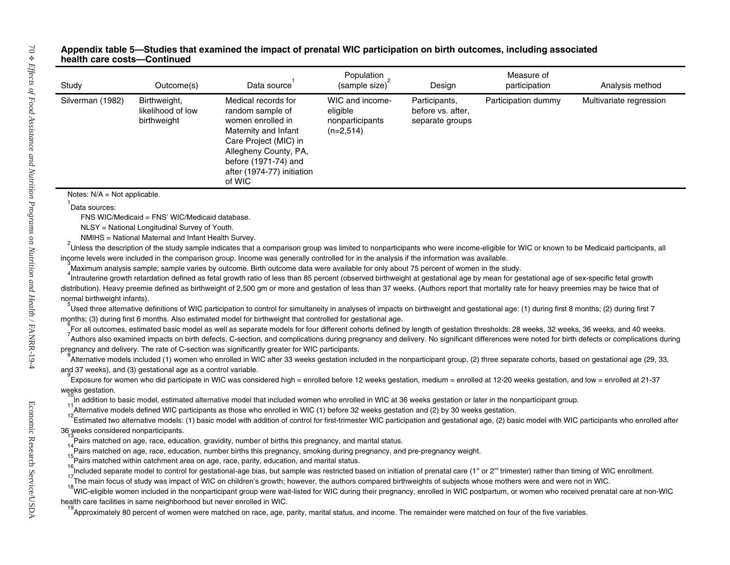#### **5—Studies that examined the i mpact of prenatal WIC participation on birth outc omes, including associated health care costs—Continued**

| Study                                | Outcome(s)                                                             | Data source <sup>1</sup>                                                                                                                                                                               | Population<br>(sample size) <sup>2</sup>                      | Design                                                | Measure of<br>participation | Analysis method         |
|--------------------------------------|------------------------------------------------------------------------|--------------------------------------------------------------------------------------------------------------------------------------------------------------------------------------------------------|---------------------------------------------------------------|-------------------------------------------------------|-----------------------------|-------------------------|
| Silverman (1982)                     | Birthweight,<br>likelihood of low<br>birthweight                       | Medical records for<br>random sample of<br>women enrolled in<br>Maternity and Infant<br>Care Project (MIC) in<br>Allegheny County, PA,<br>before (1971-74) and<br>after (1974-77) initiation<br>of WIC | WIC and income-<br>eligible<br>nonparticipants<br>$(n=2,514)$ | Participants,<br>before vs. after,<br>separate groups | Participation dummy         | Multivariate regression |
| Notes: $N/A = Not$ applicable.       |                                                                        |                                                                                                                                                                                                        |                                                               |                                                       |                             |                         |
| $1$ Data sources:                    |                                                                        |                                                                                                                                                                                                        |                                                               |                                                       |                             |                         |
|                                      | FNS WIC/Medicaid = FNS' WIC/Medicaid database.                         |                                                                                                                                                                                                        |                                                               |                                                       |                             |                         |
|                                      | NLSY = National Longitudinal Survey of Youth.                          |                                                                                                                                                                                                        |                                                               |                                                       |                             |                         |
|                                      | NMIHS = National Maternal and Infant Health Survey.                    |                                                                                                                                                                                                        |                                                               |                                                       |                             |                         |
|                                      |                                                                        | Unless the description of the study sample indicates that a comparison group was limited to nonparticipants who were income-eligible for WIC or known to be Medicaid participants, all                 |                                                               |                                                       |                             |                         |
|                                      |                                                                        | income levels were included in the comparison group. Income was generally controlled for in the analysis if the information was available.                                                             |                                                               |                                                       |                             |                         |
|                                      |                                                                        | Maximum analysis sample; sample varies by outcome. Birth outcome data were available for only about 75 percent of women in the study.                                                                  |                                                               |                                                       |                             |                         |
|                                      |                                                                        | Intrauterine growth retardation defined as fetal growth ratio of less than 85 percent (observed birthweight at gestational age by mean for gestational age of sex-specific fetal growth                |                                                               |                                                       |                             |                         |
|                                      |                                                                        | distribution). Heavy preemie defined as birthweight of 2,500 gm or more and gestation of less than 37 weeks. (Authors report that mortality rate for heavy preemies may be twice that of               |                                                               |                                                       |                             |                         |
| normal birthweight infants).         |                                                                        |                                                                                                                                                                                                        |                                                               |                                                       |                             |                         |
|                                      |                                                                        |                                                                                                                                                                                                        |                                                               |                                                       |                             |                         |
|                                      |                                                                        | Used three alternative definitions of WIC participation to control for simultaneity in analyses of impacts on birthweight and gestational age: (1) during first 8 months; (2) during first 7           |                                                               |                                                       |                             |                         |
|                                      |                                                                        | months; (3) during first 6 months. Also estimated model for birthweight that controlled for gestational age.                                                                                           |                                                               |                                                       |                             |                         |
|                                      |                                                                        | For all outcomes, estimated basic model as well as separate models for four different cohorts defined by length of gestation thresholds: 28 weeks, 32 weeks, 36 weeks, and 40 weeks.                   |                                                               |                                                       |                             |                         |
|                                      |                                                                        | Authors also examined impacts on birth defects, C-section, and complications during pregnancy and delivery. No significant differences were noted for birth defects or complications during            |                                                               |                                                       |                             |                         |
|                                      |                                                                        | pregnancy and delivery. The rate of C-section was significantly greater for WIC participants.                                                                                                          |                                                               |                                                       |                             |                         |
|                                      |                                                                        | Alternative models included (1) women who enrolled in WIC after 33 weeks gestation included in the nonparticipant group, (2) three separate cohorts, based on gestational age (29, 33,                 |                                                               |                                                       |                             |                         |
|                                      | and 37 weeks), and (3) gestational age as a control variable.          |                                                                                                                                                                                                        |                                                               |                                                       |                             |                         |
|                                      |                                                                        | Exposure for women who did participate in WIC was considered high = enrolled before 12 weeks gestation, medium = enrolled at 12-20 weeks gestation, and low = enrolled at 21-37                        |                                                               |                                                       |                             |                         |
| weeks gestation.                     |                                                                        |                                                                                                                                                                                                        |                                                               |                                                       |                             |                         |
|                                      |                                                                        | In addition to basic model, estimated alternative model that included women who enrolled in WIC at 36 weeks gestation or later in the nonparticipant group.                                            |                                                               |                                                       |                             |                         |
|                                      |                                                                        | Alternative models defined WIC participants as those who enrolled in WIC (1) before 32 weeks gestation and (2) by 30 weeks gestation.                                                                  |                                                               |                                                       |                             |                         |
|                                      |                                                                        | Estimated two alternative models: (1) basic model with addition of control for first-trimester WIC participation and gestational age, (2) basic model with WIC participants who enrolled after         |                                                               |                                                       |                             |                         |
| 36 weeks considered nonparticipants. |                                                                        |                                                                                                                                                                                                        |                                                               |                                                       |                             |                         |
|                                      |                                                                        | Pairs matched on age, race, education, gravidity, number of births this pregnancy, and marital status.                                                                                                 |                                                               |                                                       |                             |                         |
|                                      |                                                                        | .<br>Pairs matched on age, race, education, number births this pregnancy, smoking during pregnancy, and pre-pregnancy weight.                                                                          |                                                               |                                                       |                             |                         |
|                                      |                                                                        | Pairs matched within catchment area on age, race, parity, education, and marital status.                                                                                                               |                                                               |                                                       |                             |                         |
|                                      |                                                                        | Included separate model to control for gestational-age bias, but sample was restricted based on initiation of prenatal care (1st or 2 <sup>nd</sup> trimester) rather than timing of WIC enrollment.   |                                                               |                                                       |                             |                         |
|                                      |                                                                        | The main focus of study was impact of WIC on children's growth; however, the authors compared birthweights of subjects whose mothers were and were not in WIC.                                         |                                                               |                                                       |                             |                         |
|                                      |                                                                        |                                                                                                                                                                                                        |                                                               |                                                       |                             |                         |
|                                      | health care facilities in same neighborhood but never enrolled in WIC. | 18 The main reces of one of the monparticipant group were wait-listed for WIC during their pregnancy, enrolled in WIC postpartum, or women who received prenatal care at non-WIC                       |                                                               |                                                       |                             |                         |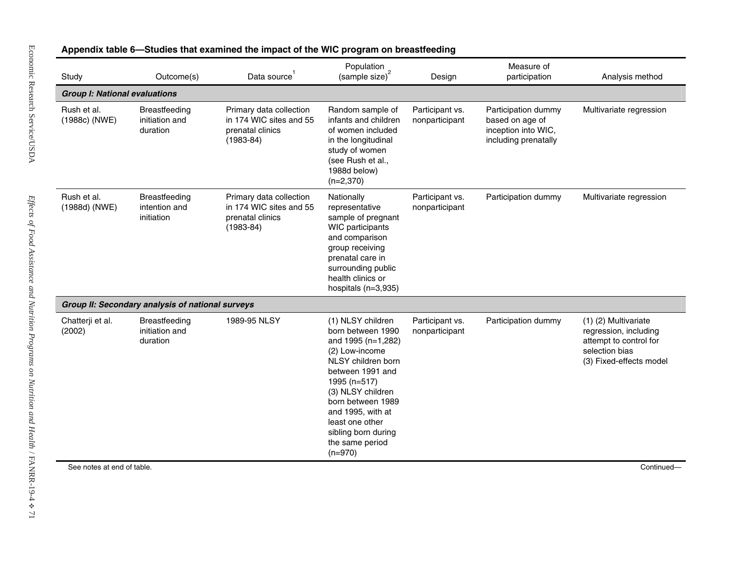| Study                                | Outcome(s)                                       | Data source                                                                             | Population<br>(sample size) <sup>2</sup>                                                                                                                                                                                                                                          | Design                            | Measure of<br>participation                                                           | Analysis method                                                                                                      |
|--------------------------------------|--------------------------------------------------|-----------------------------------------------------------------------------------------|-----------------------------------------------------------------------------------------------------------------------------------------------------------------------------------------------------------------------------------------------------------------------------------|-----------------------------------|---------------------------------------------------------------------------------------|----------------------------------------------------------------------------------------------------------------------|
| <b>Group I: National evaluations</b> |                                                  |                                                                                         |                                                                                                                                                                                                                                                                                   |                                   |                                                                                       |                                                                                                                      |
| Rush et al.<br>(1988c) (NWE)         | Breastfeeding<br>initiation and<br>duration      | Primary data collection<br>in 174 WIC sites and 55<br>prenatal clinics<br>$(1983 - 84)$ | Random sample of<br>infants and children<br>of women included<br>in the longitudinal<br>study of women<br>(see Rush et al.,<br>1988d below)<br>$(n=2,370)$                                                                                                                        | Participant vs.<br>nonparticipant | Participation dummy<br>based on age of<br>inception into WIC,<br>including prenatally | Multivariate regression                                                                                              |
| Rush et al.<br>(1988d) (NWE)         | Breastfeeding<br>intention and<br>initiation     | Primary data collection<br>in 174 WIC sites and 55<br>prenatal clinics<br>$(1983 - 84)$ | Nationally<br>representative<br>sample of pregnant<br><b>WIC</b> participants<br>and comparison<br>group receiving<br>prenatal care in<br>surrounding public<br>health clinics or<br>hospitals (n=3,935)                                                                          | Participant vs.<br>nonparticipant | Participation dummy                                                                   | Multivariate regression                                                                                              |
|                                      | Group II: Secondary analysis of national surveys |                                                                                         |                                                                                                                                                                                                                                                                                   |                                   |                                                                                       |                                                                                                                      |
| Chatterji et al.<br>(2002)           | Breastfeeding<br>initiation and<br>duration      | 1989-95 NLSY                                                                            | (1) NLSY children<br>born between 1990<br>and 1995 (n=1,282)<br>(2) Low-income<br>NLSY children born<br>between 1991 and<br>1995 (n=517)<br>(3) NLSY children<br>born between 1989<br>and 1995, with at<br>least one other<br>sibling born during<br>the same period<br>$(n=970)$ | Participant vs.<br>nonparticipant | Participation dummy                                                                   | (1) (2) Multivariate<br>regression, including<br>attempt to control for<br>selection bias<br>(3) Fixed-effects model |
|                                      | See notes at end of table.                       |                                                                                         |                                                                                                                                                                                                                                                                                   |                                   |                                                                                       | Continued-                                                                                                           |

### **mpact of the WIC progr a m on breastfeeding**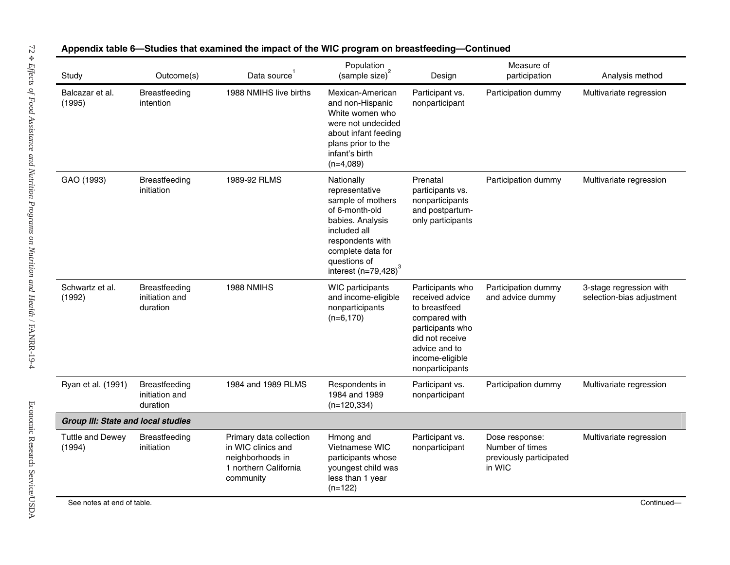| Study                                     | Outcome(s)                                  | Data source                                                                                             | Population<br>(sample size) <sup>2</sup>                                                                                                                                                    | Design                                                                                                                                                              | Measure of<br>participation                                            | Analysis method                                      |
|-------------------------------------------|---------------------------------------------|---------------------------------------------------------------------------------------------------------|---------------------------------------------------------------------------------------------------------------------------------------------------------------------------------------------|---------------------------------------------------------------------------------------------------------------------------------------------------------------------|------------------------------------------------------------------------|------------------------------------------------------|
| Balcazar et al.<br>(1995)                 | Breastfeeding<br>intention                  | 1988 NMIHS live births                                                                                  | Mexican-American<br>and non-Hispanic<br>White women who<br>were not undecided<br>about infant feeding<br>plans prior to the<br>infant's birth<br>$(n=4,089)$                                | Participant vs.<br>nonparticipant                                                                                                                                   | Participation dummy                                                    | Multivariate regression                              |
| GAO (1993)                                | Breastfeeding<br>initiation                 | 1989-92 RLMS                                                                                            | Nationally<br>representative<br>sample of mothers<br>of 6-month-old<br>babies. Analysis<br>included all<br>respondents with<br>complete data for<br>questions of<br>interest $(n=79,428)^3$ | Prenatal<br>participants vs.<br>nonparticipants<br>and postpartum-<br>only participants                                                                             | Participation dummy                                                    | Multivariate regression                              |
| Schwartz et al.<br>(1992)                 | Breastfeeding<br>initiation and<br>duration | 1988 NMIHS                                                                                              | WIC participants<br>and income-eligible<br>nonparticipants<br>$(n=6,170)$                                                                                                                   | Participants who<br>received advice<br>to breastfeed<br>compared with<br>participants who<br>did not receive<br>advice and to<br>income-eligible<br>nonparticipants | Participation dummy<br>and advice dummy                                | 3-stage regression with<br>selection-bias adjustment |
| Ryan et al. (1991)                        | Breastfeeding<br>initiation and<br>duration | 1984 and 1989 RLMS                                                                                      | Respondents in<br>1984 and 1989<br>$(n=120, 334)$                                                                                                                                           | Participant vs.<br>nonparticipant                                                                                                                                   | Participation dummy                                                    | Multivariate regression                              |
| <b>Group III: State and local studies</b> |                                             |                                                                                                         |                                                                                                                                                                                             |                                                                                                                                                                     |                                                                        |                                                      |
| <b>Tuttle and Dewey</b><br>(1994)         | Breastfeeding<br>initiation                 | Primary data collection<br>in WIC clinics and<br>neighborhoods in<br>1 northern California<br>community | Hmong and<br>Vietnamese WIC<br>participants whose<br>youngest child was<br>less than 1 year<br>$(n=122)$                                                                                    | Participant vs.<br>nonparticipant                                                                                                                                   | Dose response:<br>Number of times<br>previously participated<br>in WIC | Multivariate regression                              |

## Appendix table 6-Studies that examined the impact of the WIC program on breastfeeding-Continued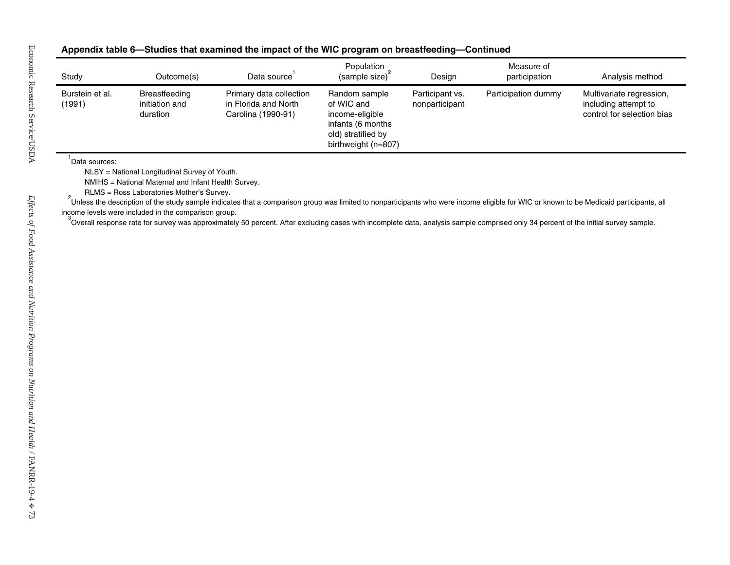#### **6—Studies that examined the i mpact of the WIC program on breastfeeding—Continued**

| Study                     | Outcome(s)                                                                                                                                        | Data source <sup>1</sup>                                                                                                                                                                            | Population<br>(sample size) <sup>2</sup>                                                                         | Design                            | Measure of<br>participation | Analysis method                                                                |
|---------------------------|---------------------------------------------------------------------------------------------------------------------------------------------------|-----------------------------------------------------------------------------------------------------------------------------------------------------------------------------------------------------|------------------------------------------------------------------------------------------------------------------|-----------------------------------|-----------------------------|--------------------------------------------------------------------------------|
| Burstein et al.<br>(1991) | Breastfeeding<br>initiation and<br>duration                                                                                                       | Primary data collection<br>in Florida and North<br>Carolina (1990-91)                                                                                                                               | Random sample<br>of WIC and<br>income-eligible<br>infants (6 months<br>old) stratified by<br>birthweight (n=807) | Participant vs.<br>nonparticipant | Participation dummy         | Multivariate regression,<br>including attempt to<br>control for selection bias |
| Data sources:             | NLSY = National Longitudinal Survey of Youth.<br>NMIHS = National Maternal and Infant Health Survey.<br>RLMS = Ross Laboratories Mother's Survey. | <sup>2</sup> Unless the description of the study sample indicates that a comparison group was limited to nonparticipants who were income eligible for WIC or known to be Medicaid participants, all |                                                                                                                  |                                   |                             |                                                                                |
|                           | income levels were included in the comparison group.                                                                                              | Overall response rate for survey was approximately 50 percent. After excluding cases with incomplete data, analysis sample comprised only 34 percent of the initial survey sample.                  |                                                                                                                  |                                   |                             |                                                                                |
|                           |                                                                                                                                                   |                                                                                                                                                                                                     |                                                                                                                  |                                   |                             |                                                                                |
|                           |                                                                                                                                                   |                                                                                                                                                                                                     |                                                                                                                  |                                   |                             |                                                                                |
|                           |                                                                                                                                                   |                                                                                                                                                                                                     |                                                                                                                  |                                   |                             |                                                                                |
|                           |                                                                                                                                                   |                                                                                                                                                                                                     |                                                                                                                  |                                   |                             |                                                                                |
|                           |                                                                                                                                                   |                                                                                                                                                                                                     |                                                                                                                  |                                   |                             |                                                                                |
|                           |                                                                                                                                                   |                                                                                                                                                                                                     |                                                                                                                  |                                   |                             |                                                                                |
|                           |                                                                                                                                                   |                                                                                                                                                                                                     |                                                                                                                  |                                   |                             |                                                                                |
|                           |                                                                                                                                                   |                                                                                                                                                                                                     |                                                                                                                  |                                   |                             |                                                                                |
|                           |                                                                                                                                                   |                                                                                                                                                                                                     |                                                                                                                  |                                   |                             |                                                                                |
|                           |                                                                                                                                                   |                                                                                                                                                                                                     |                                                                                                                  |                                   |                             |                                                                                |
|                           |                                                                                                                                                   |                                                                                                                                                                                                     |                                                                                                                  |                                   |                             |                                                                                |
|                           |                                                                                                                                                   |                                                                                                                                                                                                     |                                                                                                                  |                                   |                             |                                                                                |
|                           |                                                                                                                                                   |                                                                                                                                                                                                     |                                                                                                                  |                                   |                             |                                                                                |
|                           |                                                                                                                                                   |                                                                                                                                                                                                     |                                                                                                                  |                                   |                             |                                                                                |
|                           |                                                                                                                                                   |                                                                                                                                                                                                     |                                                                                                                  |                                   |                             |                                                                                |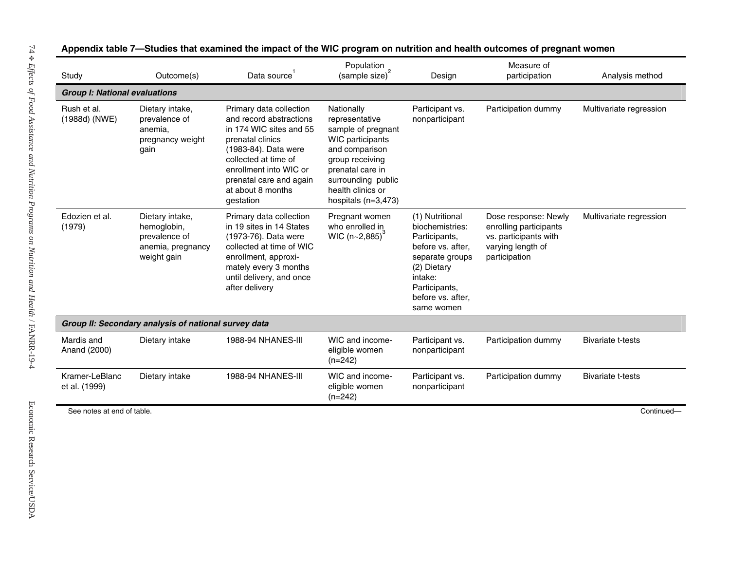| Study                                | Outcome(s)                                                                          | Data source                                                                                                                                                                                                                              | Population<br>(sample size) <sup>2</sup>                                                                                                                                                            | Design                                                                                                                                                                    | Measure of<br>participation                                                                                   | Analysis method          |
|--------------------------------------|-------------------------------------------------------------------------------------|------------------------------------------------------------------------------------------------------------------------------------------------------------------------------------------------------------------------------------------|-----------------------------------------------------------------------------------------------------------------------------------------------------------------------------------------------------|---------------------------------------------------------------------------------------------------------------------------------------------------------------------------|---------------------------------------------------------------------------------------------------------------|--------------------------|
| <b>Group I: National evaluations</b> |                                                                                     |                                                                                                                                                                                                                                          |                                                                                                                                                                                                     |                                                                                                                                                                           |                                                                                                               |                          |
| Rush et al.<br>(1988d) (NWE)         | Dietary intake,<br>prevalence of<br>anemia.<br>pregnancy weight<br>gain             | Primary data collection<br>and record abstractions<br>in 174 WIC sites and 55<br>prenatal clinics<br>(1983-84). Data were<br>collected at time of<br>enrollment into WIC or<br>prenatal care and again<br>at about 8 months<br>gestation | Nationally<br>representative<br>sample of pregnant<br>WIC participants<br>and comparison<br>group receiving<br>prenatal care in<br>surrounding public<br>health clinics or<br>hospitals $(n=3,473)$ | Participant vs.<br>nonparticipant                                                                                                                                         | Participation dummy                                                                                           | Multivariate regression  |
| Edozien et al.<br>(1979)             | Dietary intake,<br>hemoglobin,<br>prevalence of<br>anemia, pregnancy<br>weight gain | Primary data collection<br>in 19 sites in 14 States<br>(1973-76). Data were<br>collected at time of WIC<br>enrollment, approxi-<br>mately every 3 months<br>until delivery, and once<br>after delivery                                   | Pregnant women<br>who enrolled in<br>WIC $(n - 2, 885)^{3}$                                                                                                                                         | (1) Nutritional<br>biochemistries:<br>Participants,<br>before vs. after,<br>separate groups<br>(2) Dietary<br>intake:<br>Participants,<br>before vs. after,<br>same women | Dose response: Newly<br>enrolling participants<br>vs. participants with<br>varying length of<br>participation | Multivariate regression  |
|                                      | Group II: Secondary analysis of national survey data                                |                                                                                                                                                                                                                                          |                                                                                                                                                                                                     |                                                                                                                                                                           |                                                                                                               |                          |
| Mardis and<br>Anand (2000)           | Dietary intake                                                                      | <b>1988-94 NHANES-III</b>                                                                                                                                                                                                                | WIC and income-<br>eligible women<br>$(n=242)$                                                                                                                                                      | Participant vs.<br>nonparticipant                                                                                                                                         | Participation dummy                                                                                           | Bivariate t-tests        |
| Kramer-LeBlanc<br>et al. (1999)      | Dietary intake                                                                      | <b>1988-94 NHANES-III</b>                                                                                                                                                                                                                | WIC and income-<br>eligible women<br>$(n=242)$                                                                                                                                                      | Participant vs.<br>nonparticipant                                                                                                                                         | Participation dummy                                                                                           | <b>Bivariate t-tests</b> |
|                                      | See notes at end of table.                                                          |                                                                                                                                                                                                                                          |                                                                                                                                                                                                     |                                                                                                                                                                           |                                                                                                               | Continued-               |

#### **7—Studies that examined the i mpact of the WIC program on nutrition and health outcomes of pregn ant women**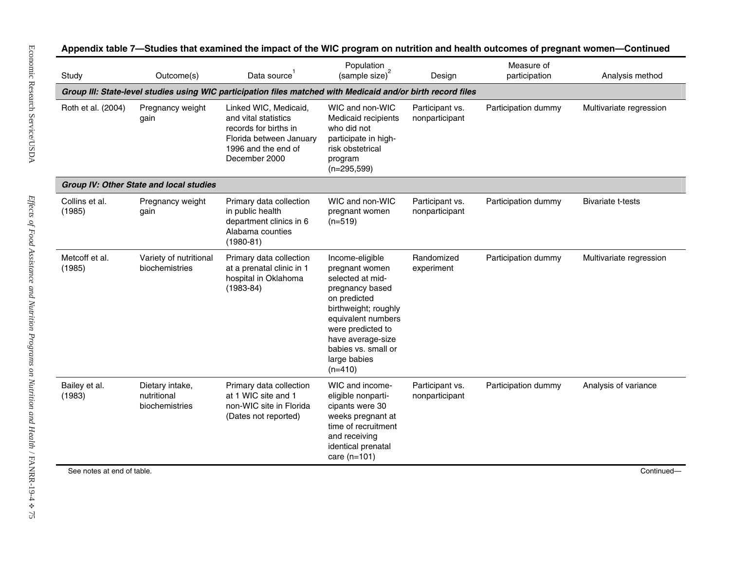| Study                      | Outcome(s)                                       | Data source                                                                                                                               | Population<br>(sample size) <sup>2</sup>                                                                                                                                                                                             | Design                            | Measure of<br>participation | Analysis method          |
|----------------------------|--------------------------------------------------|-------------------------------------------------------------------------------------------------------------------------------------------|--------------------------------------------------------------------------------------------------------------------------------------------------------------------------------------------------------------------------------------|-----------------------------------|-----------------------------|--------------------------|
|                            |                                                  | Group III: State-level studies using WIC participation files matched with Medicaid and/or birth record files                              |                                                                                                                                                                                                                                      |                                   |                             |                          |
| Roth et al. (2004)         | Pregnancy weight<br>gain                         | Linked WIC, Medicaid,<br>and vital statistics<br>records for births in<br>Florida between January<br>1996 and the end of<br>December 2000 | WIC and non-WIC<br>Medicaid recipients<br>who did not<br>participate in high-<br>risk obstetrical<br>program<br>$(n=295,599)$                                                                                                        | Participant vs.<br>nonparticipant | Participation dummy         | Multivariate regression  |
|                            | Group IV: Other State and local studies          |                                                                                                                                           |                                                                                                                                                                                                                                      |                                   |                             |                          |
| Collins et al.<br>(1985)   | Pregnancy weight<br>gain                         | Primary data collection<br>in public health<br>department clinics in 6<br>Alabama counties<br>$(1980-81)$                                 | WIC and non-WIC<br>pregnant women<br>$(n=519)$                                                                                                                                                                                       | Participant vs.<br>nonparticipant | Participation dummy         | <b>Bivariate t-tests</b> |
| Metcoff et al.<br>(1985)   | Variety of nutritional<br>biochemistries         | Primary data collection<br>at a prenatal clinic in 1<br>hospital in Oklahoma<br>$(1983 - 84)$                                             | Income-eligible<br>pregnant women<br>selected at mid-<br>pregnancy based<br>on predicted<br>birthweight; roughly<br>equivalent numbers<br>were predicted to<br>have average-size<br>babies vs. small or<br>large babies<br>$(n=410)$ | Randomized<br>experiment          | Participation dummy         | Multivariate regression  |
| Bailey et al.<br>(1983)    | Dietary intake,<br>nutritional<br>biochemistries | Primary data collection<br>at 1 WIC site and 1<br>non-WIC site in Florida<br>(Dates not reported)                                         | WIC and income-<br>eligible nonparti-<br>cipants were 30<br>weeks pregnant at<br>time of recruitment<br>and receiving<br>identical prenatal<br>care $(n=101)$                                                                        | Participant vs.<br>nonparticipant | Participation dummy         | Analysis of variance     |
| See notes at end of table. |                                                  |                                                                                                                                           |                                                                                                                                                                                                                                      |                                   |                             | Continued-               |

#### 7—Studies that examined the impact of the WIC program on nutrition and health outcomes of pregnant women—Continued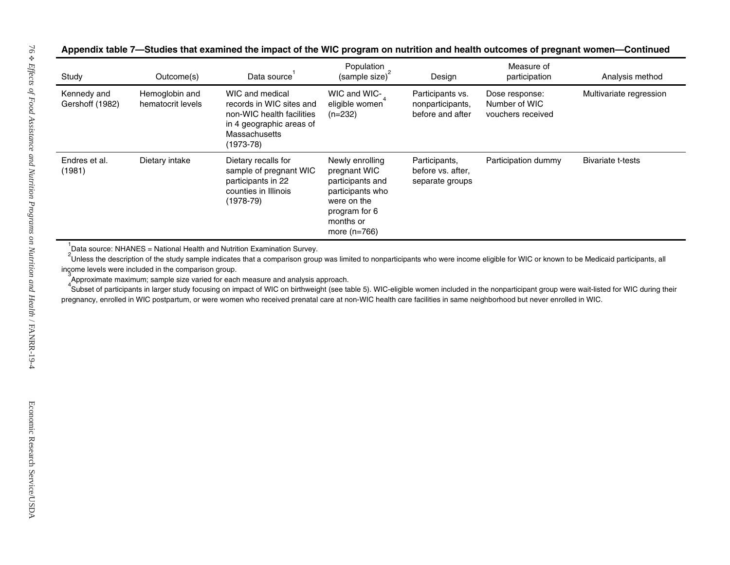#### 7—Studies that examined the impact of the WIC program on nutrition and health outcomes of pregnant women—Continued

| $\frac{1}{2}$ (sample size) <sup>2</sup><br>Kennedy and<br>Hemoglobin and<br>WIC and medical<br>WIC and WIC-<br>Participants vs.<br>Dose response:<br>Multivariate regression<br>eligible women<br>Gershoff (1982)<br>hematocrit levels<br>records in WIC sites and<br>Number of WIC<br>nonparticipants,<br>non-WIC health facilities<br>$(n=232)$<br>before and after<br>vouchers received<br>in 4 geographic areas of<br>Massachusetts<br>$(1973-78)$<br>Dietary intake<br>Dietary recalls for<br>Endres et al.<br>Newly enrolling<br>Participants,<br>Participation dummy<br><b>Bivariate t-tests</b><br>(1981)<br>sample of pregnant WIC<br>pregnant WIC<br>before vs. after, |
|-----------------------------------------------------------------------------------------------------------------------------------------------------------------------------------------------------------------------------------------------------------------------------------------------------------------------------------------------------------------------------------------------------------------------------------------------------------------------------------------------------------------------------------------------------------------------------------------------------------------------------------------------------------------------------------|
|                                                                                                                                                                                                                                                                                                                                                                                                                                                                                                                                                                                                                                                                                   |
| participants in 22<br>participants and<br>separate groups<br>counties in Illinois<br>participants who<br>$(1978-79)$<br>were on the<br>program for 6<br>months or<br>more $(n=766)$                                                                                                                                                                                                                                                                                                                                                                                                                                                                                               |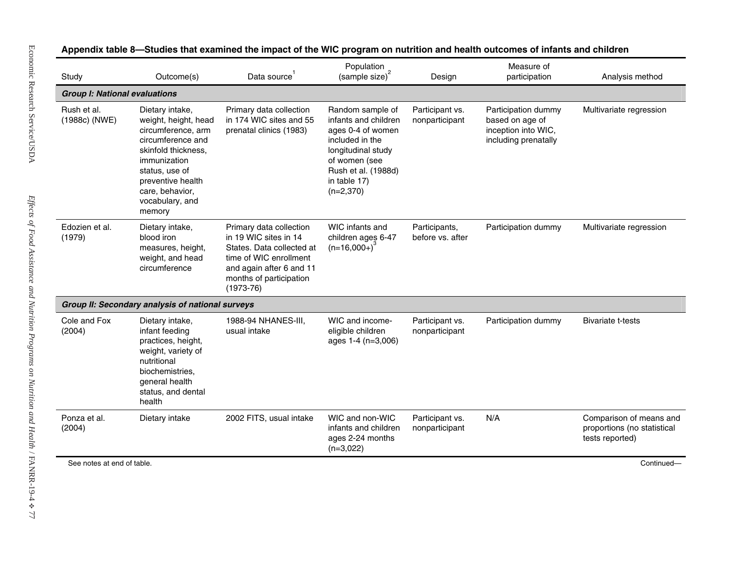| Study                                | Outcome(s)                                                                                                                                                                                                       | Data source                                                                                                                                                                   | Population<br>(sample size) <sup>2</sup>                                                                                                                                      | Design                            | Measure of<br>participation                                                           | Analysis method                                                           |
|--------------------------------------|------------------------------------------------------------------------------------------------------------------------------------------------------------------------------------------------------------------|-------------------------------------------------------------------------------------------------------------------------------------------------------------------------------|-------------------------------------------------------------------------------------------------------------------------------------------------------------------------------|-----------------------------------|---------------------------------------------------------------------------------------|---------------------------------------------------------------------------|
| <b>Group I: National evaluations</b> |                                                                                                                                                                                                                  |                                                                                                                                                                               |                                                                                                                                                                               |                                   |                                                                                       |                                                                           |
| Rush et al.<br>(1988c) (NWE)         | Dietary intake,<br>weight, height, head<br>circumference, arm<br>circumference and<br>skinfold thickness,<br>immunization<br>status, use of<br>preventive health<br>care, behavior,<br>vocabulary, and<br>memory | Primary data collection<br>in 174 WIC sites and 55<br>prenatal clinics (1983)                                                                                                 | Random sample of<br>infants and children<br>ages 0-4 of women<br>included in the<br>longitudinal study<br>of women (see<br>Rush et al. (1988d)<br>in table 17)<br>$(n=2,370)$ | Participant vs.<br>nonparticipant | Participation dummy<br>based on age of<br>inception into WIC,<br>including prenatally | Multivariate regression                                                   |
| Edozien et al.<br>(1979)             | Dietary intake,<br>blood iron<br>measures, height,<br>weight, and head<br>circumference                                                                                                                          | Primary data collection<br>in 19 WIC sites in 14<br>States. Data collected at<br>time of WIC enrollment<br>and again after 6 and 11<br>months of participation<br>$(1973-76)$ | WIC infants and<br>children ages 6-47<br>$(n=16,000+)$                                                                                                                        | Participants,<br>before vs. after | Participation dummy                                                                   | Multivariate regression                                                   |
|                                      | Group II: Secondary analysis of national surveys                                                                                                                                                                 |                                                                                                                                                                               |                                                                                                                                                                               |                                   |                                                                                       |                                                                           |
| Cole and Fox<br>(2004)               | Dietary intake,<br>infant feeding<br>practices, height,<br>weight, variety of<br>nutritional<br>biochemistries,<br>general health<br>status, and dental<br>health                                                | 1988-94 NHANES-III,<br>usual intake                                                                                                                                           | WIC and income-<br>eligible children<br>ages 1-4 (n=3,006)                                                                                                                    | Participant vs.<br>nonparticipant | Participation dummy                                                                   | <b>Bivariate t-tests</b>                                                  |
| Ponza et al.<br>(2004)               | Dietary intake                                                                                                                                                                                                   | 2002 FITS, usual intake                                                                                                                                                       | WIC and non-WIC<br>infants and children<br>ages 2-24 months<br>$(n=3,022)$                                                                                                    | Participant vs.<br>nonparticipant | N/A                                                                                   | Comparison of means and<br>proportions (no statistical<br>tests reported) |
| See notes at end of table.           |                                                                                                                                                                                                                  |                                                                                                                                                                               |                                                                                                                                                                               |                                   |                                                                                       | Continued-                                                                |

#### mpact of the WIC program on nutrition and health outcomes of infants and children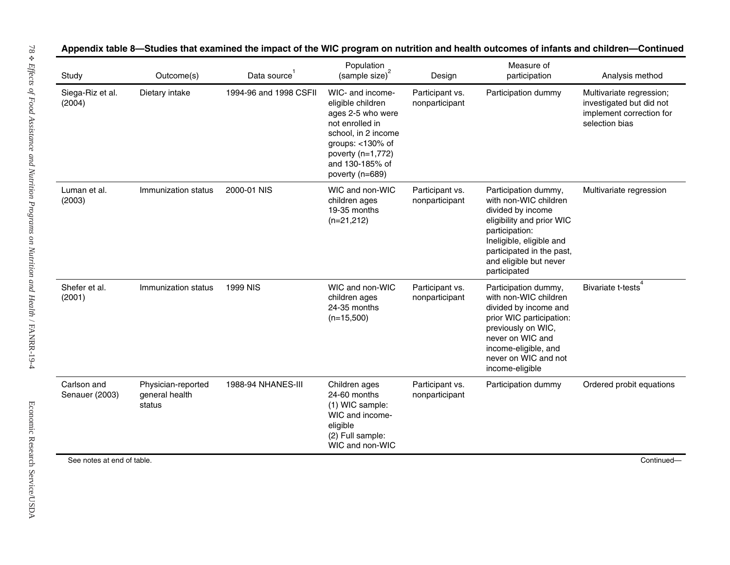| Study                         | Outcome(s)                                     | Data source <sup>1</sup> | Population<br>$(sample size)^2$                                                                                                                                                        | Design                            | Measure of<br>participation                                                                                                                                                                                          | Analysis method                                                                                    |
|-------------------------------|------------------------------------------------|--------------------------|----------------------------------------------------------------------------------------------------------------------------------------------------------------------------------------|-----------------------------------|----------------------------------------------------------------------------------------------------------------------------------------------------------------------------------------------------------------------|----------------------------------------------------------------------------------------------------|
| Siega-Riz et al.<br>(2004)    | Dietary intake                                 | 1994-96 and 1998 CSFII   | WIC- and income-<br>eligible children<br>ages 2-5 who were<br>not enrolled in<br>school, in 2 income<br>groups: $<$ 130% of<br>poverty (n=1,772)<br>and 130-185% of<br>poverty (n=689) | Participant vs.<br>nonparticipant | Participation dummy                                                                                                                                                                                                  | Multivariate regression;<br>investigated but did not<br>implement correction for<br>selection bias |
| Luman et al.<br>(2003)        | Immunization status                            | 2000-01 NIS              | WIC and non-WIC<br>children ages<br>19-35 months<br>$(n=21,212)$                                                                                                                       | Participant vs.<br>nonparticipant | Participation dummy,<br>with non-WIC children<br>divided by income<br>eligibility and prior WIC<br>participation:<br>Ineligible, eligible and<br>participated in the past,<br>and eligible but never<br>participated | Multivariate regression                                                                            |
| Shefer et al.<br>(2001)       | Immunization status                            | <b>1999 NIS</b>          | WIC and non-WIC<br>children ages<br>24-35 months<br>$(n=15,500)$                                                                                                                       | Participant vs.<br>nonparticipant | Participation dummy,<br>with non-WIC children<br>divided by income and<br>prior WIC participation:<br>previously on WIC,<br>never on WIC and<br>income-eligible, and<br>never on WIC and not<br>income-eligible      | Bivariate t-tests <sup>4</sup>                                                                     |
| Carlson and<br>Senauer (2003) | Physician-reported<br>general health<br>status | 1988-94 NHANES-III       | Children ages<br>24-60 months<br>(1) WIC sample:<br>WIC and income-<br>eligible<br>(2) Full sample:<br>WIC and non-WIC                                                                 | Participant vs.<br>nonparticipant | Participation dummy                                                                                                                                                                                                  | Ordered probit equations                                                                           |
| See notes at end of table.    |                                                |                          |                                                                                                                                                                                        |                                   |                                                                                                                                                                                                                      | Continued-                                                                                         |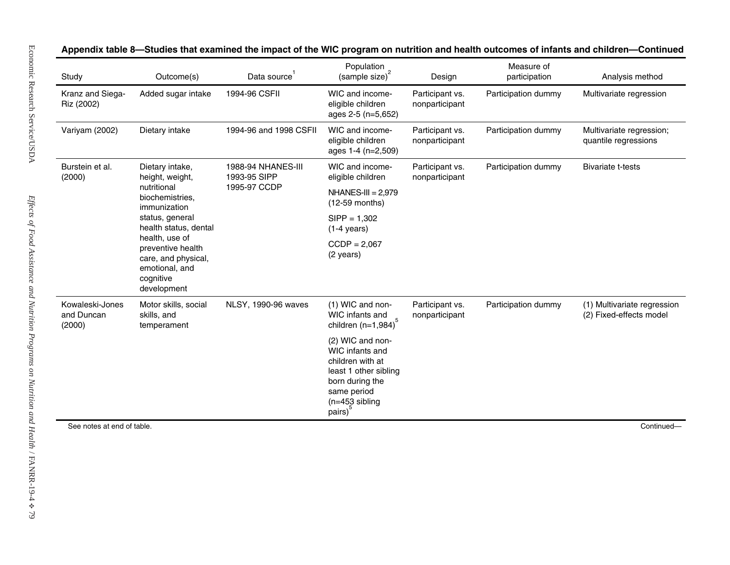| Kranz and Siega-<br>Added sugar intake<br>1994-96 CSFII<br>WIC and income-<br>Participant vs.<br>Participation dummy<br>Riz (2002)<br>eligible children<br>nonparticipant<br>ages 2-5 (n=5,652)<br>Participation dummy<br>Variyam (2002)<br>Dietary intake<br>1994-96 and 1998 CSFII<br>WIC and income-<br>Participant vs.<br>eligible children<br>quantile regressions<br>nonparticipant<br>ages 1-4 (n=2,509)<br>Burstein et al.<br>Dietary intake,<br>Participation dummy<br><b>1988-94 NHANES-III</b><br>WIC and income-<br>Participant vs.<br><b>Bivariate t-tests</b><br>1993-95 SIPP<br>(2000)<br>height, weight,<br>eligible children<br>nonparticipant<br>nutritional<br>1995-97 CCDP<br>$NHANES-III = 2,979$<br>biochemistries,<br>(12-59 months)<br>immunization<br>status, general<br>$SIPP = 1,302$<br>health status, dental<br>$(1-4 \text{ years})$<br>health, use of<br>$CCDP = 2,067$<br>preventive health<br>(2 years)<br>care, and physical,<br>emotional, and<br>cognitive<br>development<br>Kowaleski-Jones<br>NLSY, 1990-96 waves<br>(1) WIC and non-<br>Motor skills, social<br>Participant vs.<br>Participation dummy<br>and Duncan<br>skills, and<br>WIC infants and<br>nonparticipant<br>children (n=1,984) <sup>5</sup><br>(2000)<br>temperament<br>(2) WIC and non-<br>WIC infants and<br>children with at<br>least 1 other sibling<br>born during the<br>same period<br>$(n=453 sibling)$<br>pairs)<br>See notes at end of table. | Study | Outcome(s) | Data source <sup>1</sup> | Population<br>(sample size) <sup>2</sup> | Design | Measure of<br>participation | Analysis method                                        |
|----------------------------------------------------------------------------------------------------------------------------------------------------------------------------------------------------------------------------------------------------------------------------------------------------------------------------------------------------------------------------------------------------------------------------------------------------------------------------------------------------------------------------------------------------------------------------------------------------------------------------------------------------------------------------------------------------------------------------------------------------------------------------------------------------------------------------------------------------------------------------------------------------------------------------------------------------------------------------------------------------------------------------------------------------------------------------------------------------------------------------------------------------------------------------------------------------------------------------------------------------------------------------------------------------------------------------------------------------------------------------------------------------------------------------------------------------------------|-------|------------|--------------------------|------------------------------------------|--------|-----------------------------|--------------------------------------------------------|
|                                                                                                                                                                                                                                                                                                                                                                                                                                                                                                                                                                                                                                                                                                                                                                                                                                                                                                                                                                                                                                                                                                                                                                                                                                                                                                                                                                                                                                                                |       |            |                          |                                          |        |                             | Multivariate regression                                |
|                                                                                                                                                                                                                                                                                                                                                                                                                                                                                                                                                                                                                                                                                                                                                                                                                                                                                                                                                                                                                                                                                                                                                                                                                                                                                                                                                                                                                                                                |       |            |                          |                                          |        |                             | Multivariate regression;                               |
|                                                                                                                                                                                                                                                                                                                                                                                                                                                                                                                                                                                                                                                                                                                                                                                                                                                                                                                                                                                                                                                                                                                                                                                                                                                                                                                                                                                                                                                                |       |            |                          |                                          |        |                             |                                                        |
|                                                                                                                                                                                                                                                                                                                                                                                                                                                                                                                                                                                                                                                                                                                                                                                                                                                                                                                                                                                                                                                                                                                                                                                                                                                                                                                                                                                                                                                                |       |            |                          |                                          |        |                             |                                                        |
|                                                                                                                                                                                                                                                                                                                                                                                                                                                                                                                                                                                                                                                                                                                                                                                                                                                                                                                                                                                                                                                                                                                                                                                                                                                                                                                                                                                                                                                                |       |            |                          |                                          |        |                             |                                                        |
|                                                                                                                                                                                                                                                                                                                                                                                                                                                                                                                                                                                                                                                                                                                                                                                                                                                                                                                                                                                                                                                                                                                                                                                                                                                                                                                                                                                                                                                                |       |            |                          |                                          |        |                             |                                                        |
|                                                                                                                                                                                                                                                                                                                                                                                                                                                                                                                                                                                                                                                                                                                                                                                                                                                                                                                                                                                                                                                                                                                                                                                                                                                                                                                                                                                                                                                                |       |            |                          |                                          |        |                             | (1) Multivariate regression<br>(2) Fixed-effects model |
|                                                                                                                                                                                                                                                                                                                                                                                                                                                                                                                                                                                                                                                                                                                                                                                                                                                                                                                                                                                                                                                                                                                                                                                                                                                                                                                                                                                                                                                                |       |            |                          |                                          |        |                             |                                                        |
|                                                                                                                                                                                                                                                                                                                                                                                                                                                                                                                                                                                                                                                                                                                                                                                                                                                                                                                                                                                                                                                                                                                                                                                                                                                                                                                                                                                                                                                                |       |            |                          |                                          |        |                             | Continued-                                             |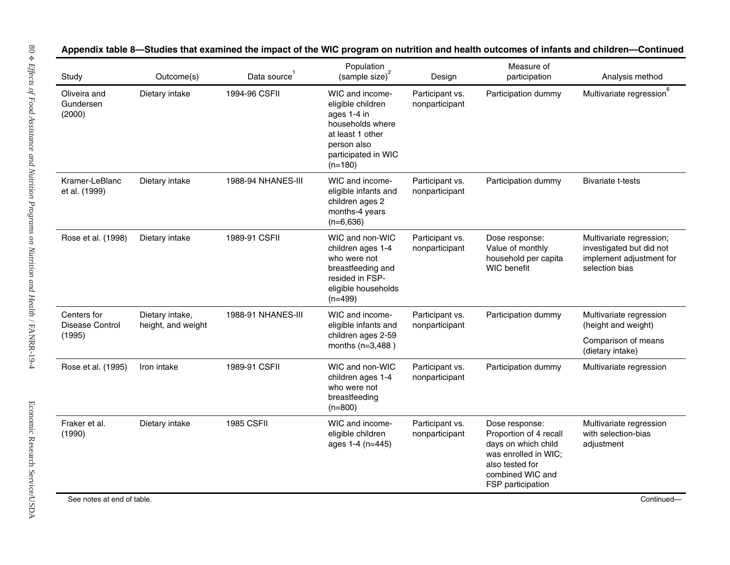| Study                               | Outcome(s)                            | Data source <sup>1</sup> | Population<br>(sample size) <sup>2</sup>                                                                                                       | Design                            | Measure of<br>participation                                                                                                                         | Analysis method                                                                                    |
|-------------------------------------|---------------------------------------|--------------------------|------------------------------------------------------------------------------------------------------------------------------------------------|-----------------------------------|-----------------------------------------------------------------------------------------------------------------------------------------------------|----------------------------------------------------------------------------------------------------|
| Oliveira and<br>Gundersen<br>(2000) | Dietary intake                        | 1994-96 CSFII            | WIC and income-<br>eligible children<br>ages 1-4 in<br>households where<br>at least 1 other<br>person also<br>participated in WIC<br>$(n=180)$ | Participant vs.<br>nonparticipant | Participation dummy                                                                                                                                 | Multivariate regression <sup>6</sup>                                                               |
| Kramer-LeBlanc<br>et al. (1999)     | Dietary intake                        | 1988-94 NHANES-III       | WIC and income-<br>eligible infants and<br>children ages 2<br>months-4 years<br>$(n=6,636)$                                                    | Participant vs.<br>nonparticipant | Participation dummy                                                                                                                                 | <b>Bivariate t-tests</b>                                                                           |
| Rose et al. (1998)                  | Dietary intake                        | 1989-91 CSFII            | WIC and non-WIC<br>children ages 1-4<br>who were not<br>breastfeeding and<br>resided in FSP-<br>eligible households<br>$(n=499)$               | Participant vs.<br>nonparticipant | Dose response:<br>Value of monthly<br>household per capita<br><b>WIC</b> benefit                                                                    | Multivariate regression;<br>investigated but did not<br>implement adjustment for<br>selection bias |
| Centers for<br>Disease Control      | Dietary intake,<br>height, and weight | 1988-91 NHANES-III       | WIC and income-<br>eligible infants and                                                                                                        | Participant vs.<br>nonparticipant | Participation dummy                                                                                                                                 | Multivariate regression<br>(height and weight)                                                     |
| (1995)                              |                                       |                          | children ages 2-59<br>months (n=3,488)                                                                                                         |                                   |                                                                                                                                                     | Comparison of means<br>(dietary intake)                                                            |
| Rose et al. (1995)                  | Iron intake                           | 1989-91 CSFII            | WIC and non-WIC<br>children ages 1-4<br>who were not<br>breastfeeding<br>$(n=800)$                                                             | Participant vs.<br>nonparticipant | Participation dummy                                                                                                                                 | Multivariate regression                                                                            |
| Fraker et al.<br>(1990)             | Dietary intake                        | <b>1985 CSFII</b>        | WIC and income-<br>eligible children<br>ages 1-4 (n=445)                                                                                       | Participant vs.<br>nonparticipant | Dose response:<br>Proportion of 4 recall<br>days on which child<br>was enrolled in WIC;<br>also tested for<br>combined WIC and<br>FSP participation | Multivariate regression<br>with selection-bias<br>adjustment                                       |

#### 8—Studies that examined the impact of the WIC program on nutrition and health outcomes of infants and children—Continued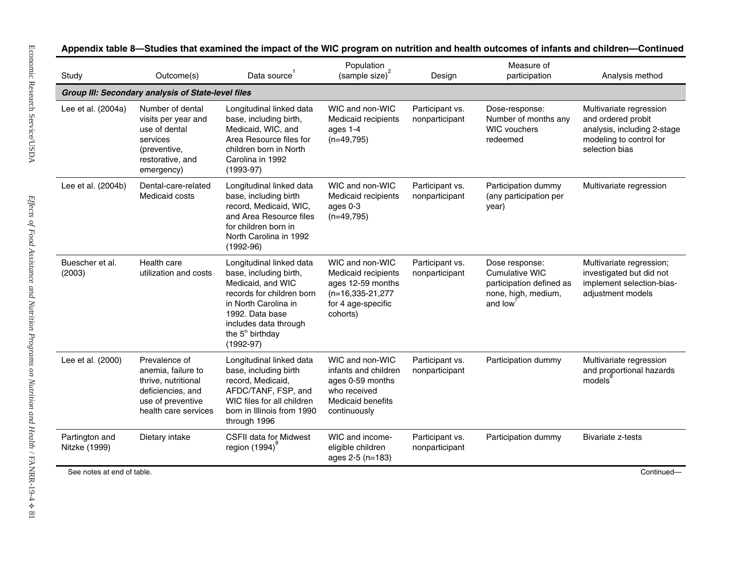| Study                           | Outcome(s)                                                                                                                   | Data source                                                                                                                                                                                                             | Population<br>(sample size) <sup>2</sup>                                                                                | Design                            | Measure of<br>participation                                                                           | Analysis method                                                                                                           |
|---------------------------------|------------------------------------------------------------------------------------------------------------------------------|-------------------------------------------------------------------------------------------------------------------------------------------------------------------------------------------------------------------------|-------------------------------------------------------------------------------------------------------------------------|-----------------------------------|-------------------------------------------------------------------------------------------------------|---------------------------------------------------------------------------------------------------------------------------|
|                                 | Group III: Secondary analysis of State-level files                                                                           |                                                                                                                                                                                                                         |                                                                                                                         |                                   |                                                                                                       |                                                                                                                           |
| Lee et al. (2004a)              | Number of dental<br>visits per year and<br>use of dental<br>services<br>(preventive,<br>restorative, and<br>emergency)       | Longitudinal linked data<br>base, including birth,<br>Medicaid, WIC, and<br>Area Resource files for<br>children born in North<br>Carolina in 1992<br>$(1993-97)$                                                        | WIC and non-WIC<br>Medicaid recipients<br>ages 1-4<br>$(n=49,795)$                                                      | Participant vs.<br>nonparticipant | Dose-response:<br>Number of months any<br><b>WIC vouchers</b><br>redeemed                             | Multivariate regression<br>and ordered probit<br>analysis, including 2-stage<br>modeling to control for<br>selection bias |
| Lee et al. (2004b)              | Dental-care-related<br>Medicaid costs                                                                                        | Longitudinal linked data<br>base, including birth<br>record, Medicaid, WIC,<br>and Area Resource files<br>for children born in<br>North Carolina in 1992<br>$(1992-96)$                                                 | WIC and non-WIC<br>Medicaid recipients<br>ages 0-3<br>$(n=49,795)$                                                      | Participant vs.<br>nonparticipant | Participation dummy<br>(any participation per<br>year)                                                | Multivariate regression                                                                                                   |
| Buescher et al.<br>(2003)       | Health care<br>utilization and costs                                                                                         | Longitudinal linked data<br>base, including birth,<br>Medicaid, and WIC<br>records for children born<br>in North Carolina in<br>1992. Data base<br>includes data through<br>the 5 <sup>th</sup> birthday<br>$(1992-97)$ | WIC and non-WIC<br>Medicaid recipients<br>ages 12-59 months<br>$(n=16, 335-21, 277)$<br>for 4 age-specific<br>cohorts)  | Participant vs.<br>nonparticipant | Dose response:<br><b>Cumulative WIC</b><br>participation defined as<br>none, high, medium,<br>and low | Multivariate regression;<br>investigated but did not<br>implement selection-bias-<br>adjustment models                    |
| Lee et al. (2000)               | Prevalence of<br>anemia, failure to<br>thrive, nutritional<br>deficiencies, and<br>use of preventive<br>health care services | Longitudinal linked data<br>base, including birth<br>record, Medicaid,<br>AFDC/TANF, FSP, and<br>WIC files for all children<br>born in Illinois from 1990<br>through 1996                                               | WIC and non-WIC<br>infants and children<br>ages 0-59 months<br>who received<br><b>Medicaid benefits</b><br>continuously | Participant vs.<br>nonparticipant | Participation dummy                                                                                   | Multivariate regression<br>and proportional hazards<br>models <sup>®</sup>                                                |
| Partington and<br>Nitzke (1999) | Dietary intake                                                                                                               | <b>CSFII data for Midwest</b><br>region $(1994)$                                                                                                                                                                        | WIC and income-<br>eligible children<br>ages 2-5 (n=183)                                                                | Participant vs.<br>nonparticipant | Participation dummy                                                                                   | <b>Bivariate z-tests</b>                                                                                                  |
| See notes at end of table.      |                                                                                                                              |                                                                                                                                                                                                                         |                                                                                                                         |                                   |                                                                                                       | Continued-                                                                                                                |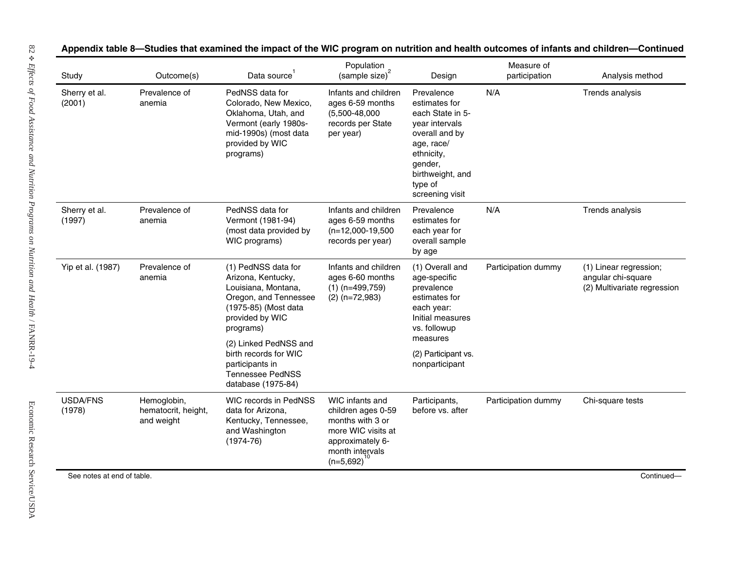| Study                      | Outcome(s)                                       | Data source <sup>1</sup>                                                                                                                          | Population<br>(sample size) <sup>2</sup>                                                                                                   | Design                                                                                                                                                                       | Measure of<br>participation | Analysis method                                                             |
|----------------------------|--------------------------------------------------|---------------------------------------------------------------------------------------------------------------------------------------------------|--------------------------------------------------------------------------------------------------------------------------------------------|------------------------------------------------------------------------------------------------------------------------------------------------------------------------------|-----------------------------|-----------------------------------------------------------------------------|
| Sherry et al.<br>(2001)    | Prevalence of<br>anemia                          | PedNSS data for<br>Colorado, New Mexico,<br>Oklahoma, Utah, and<br>Vermont (early 1980s-<br>mid-1990s) (most data<br>provided by WIC<br>programs) | Infants and children<br>ages 6-59 months<br>$(5,500-48,000)$<br>records per State<br>per year)                                             | Prevalence<br>estimates for<br>each State in 5-<br>year intervals<br>overall and by<br>age, race/<br>ethnicity,<br>gender,<br>birthweight, and<br>type of<br>screening visit | N/A                         | Trends analysis                                                             |
| Sherry et al.<br>(1997)    | Prevalence of<br>anemia                          | PedNSS data for<br>Vermont (1981-94)<br>(most data provided by<br>WIC programs)                                                                   | Infants and children<br>ages 6-59 months<br>$(n=12,000-19,500)$<br>records per year)                                                       | Prevalence<br>estimates for<br>each year for<br>overall sample<br>by age                                                                                                     | N/A                         | Trends analysis                                                             |
| Yip et al. (1987)          | Prevalence of<br>anemia                          | (1) PedNSS data for<br>Arizona, Kentucky,<br>Louisiana, Montana,<br>Oregon, and Tennessee<br>(1975-85) (Most data<br>provided by WIC<br>programs) | Infants and children<br>ages 6-60 months<br>$(1)$ (n=499,759)<br>$(2)$ (n=72,983)                                                          | (1) Overall and<br>age-specific<br>prevalence<br>estimates for<br>each year:<br>Initial measures<br>vs. followup                                                             | Participation dummy         | (1) Linear regression;<br>angular chi-square<br>(2) Multivariate regression |
|                            |                                                  | (2) Linked PedNSS and<br>birth records for WIC<br>participants in<br><b>Tennessee PedNSS</b><br>database (1975-84)                                |                                                                                                                                            | measures<br>(2) Participant vs.<br>nonparticipant                                                                                                                            |                             |                                                                             |
| <b>USDA/FNS</b><br>(1978)  | Hemoglobin,<br>hematocrit, height,<br>and weight | WIC records in PedNSS<br>data for Arizona,<br>Kentucky, Tennessee,<br>and Washington<br>$(1974 - 76)$                                             | WIC infants and<br>children ages 0-59<br>months with 3 or<br>more WIC visits at<br>approximately 6-<br>month intervals<br>$(n=5,692)^{10}$ | Participants,<br>before vs. after                                                                                                                                            | Participation dummy         | Chi-square tests                                                            |
| See notes at end of table. |                                                  |                                                                                                                                                   |                                                                                                                                            |                                                                                                                                                                              |                             | Continued-                                                                  |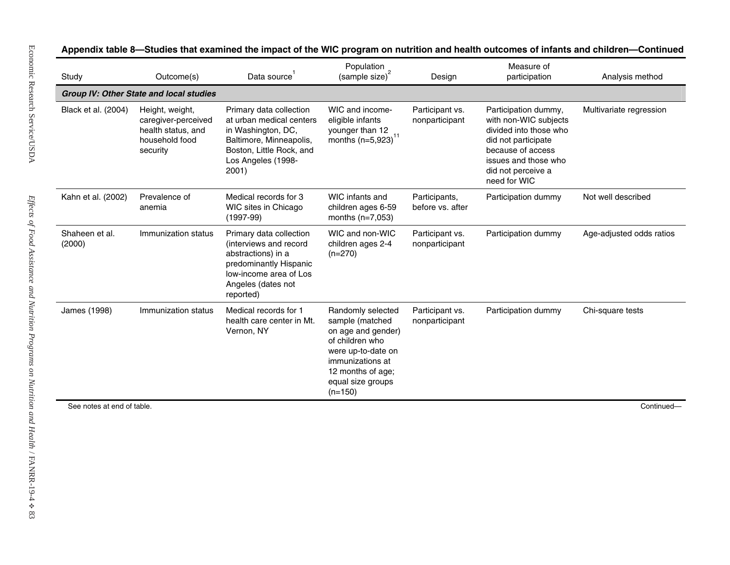| Study                      | Outcome(s)                                                                                 | Data source                                                                                                                                                     | Population<br>(sample size) <sup>2</sup>                                                                                                                                       | Design                            | Measure of<br>participation                                                                                                                                                       | Analysis method          |
|----------------------------|--------------------------------------------------------------------------------------------|-----------------------------------------------------------------------------------------------------------------------------------------------------------------|--------------------------------------------------------------------------------------------------------------------------------------------------------------------------------|-----------------------------------|-----------------------------------------------------------------------------------------------------------------------------------------------------------------------------------|--------------------------|
|                            | <b>Group IV: Other State and local studies</b>                                             |                                                                                                                                                                 |                                                                                                                                                                                |                                   |                                                                                                                                                                                   |                          |
| Black et al. (2004)        | Height, weight,<br>caregiver-perceived<br>health status, and<br>household food<br>security | Primary data collection<br>at urban medical centers<br>in Washington, DC,<br>Baltimore, Minneapolis,<br>Boston, Little Rock, and<br>Los Angeles (1998-<br>2001) | WIC and income-<br>eligible infants<br>younger than 12<br>months $(n=5,923)^{11}$                                                                                              | Participant vs.<br>nonparticipant | Participation dummy,<br>with non-WIC subjects<br>divided into those who<br>did not participate<br>because of access<br>issues and those who<br>did not perceive a<br>need for WIC | Multivariate regression  |
| Kahn et al. (2002)         | Prevalence of<br>anemia                                                                    | Medical records for 3<br>WIC sites in Chicago<br>$(1997-99)$                                                                                                    | WIC infants and<br>children ages 6-59<br>months $(n=7,053)$                                                                                                                    | Participants,<br>before vs. after | Participation dummy                                                                                                                                                               | Not well described       |
| Shaheen et al.<br>(2000)   | Immunization status                                                                        | Primary data collection<br>(interviews and record<br>abstractions) in a<br>predominantly Hispanic<br>low-income area of Los<br>Angeles (dates not<br>reported)  | WIC and non-WIC<br>children ages 2-4<br>$(n=270)$                                                                                                                              | Participant vs.<br>nonparticipant | Participation dummy                                                                                                                                                               | Age-adjusted odds ratios |
| James (1998)               | Immunization status                                                                        | Medical records for 1<br>health care center in Mt.<br>Vernon, NY                                                                                                | Randomly selected<br>sample (matched<br>on age and gender)<br>of children who<br>were up-to-date on<br>immunizations at<br>12 months of age;<br>equal size groups<br>$(n=150)$ | Participant vs.<br>nonparticipant | Participation dummy                                                                                                                                                               | Chi-square tests         |
| See notes at end of table. |                                                                                            |                                                                                                                                                                 |                                                                                                                                                                                |                                   |                                                                                                                                                                                   | Continued-               |
|                            |                                                                                            |                                                                                                                                                                 |                                                                                                                                                                                |                                   |                                                                                                                                                                                   |                          |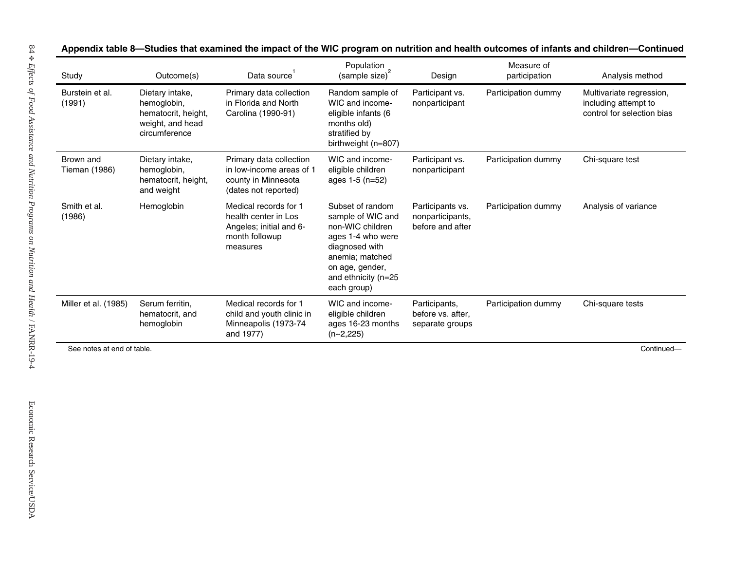| Dietary intake,<br>hemoglobin,<br>hematocrit, height,<br>weight, and head<br>circumference | Primary data collection<br>in Florida and North<br>Carolina (1990-91)                                  | Random sample of<br>WIC and income-<br>eligible infants (6                                                                                                                   | Participant vs.<br>nonparticipant                        | Participation dummy | Multivariate regression,<br>including attempt to |
|--------------------------------------------------------------------------------------------|--------------------------------------------------------------------------------------------------------|------------------------------------------------------------------------------------------------------------------------------------------------------------------------------|----------------------------------------------------------|---------------------|--------------------------------------------------|
|                                                                                            |                                                                                                        | months old)<br>stratified by<br>birthweight (n=807)                                                                                                                          |                                                          |                     | control for selection bias                       |
| Dietary intake,<br>hemoglobin,<br>hematocrit, height,<br>and weight                        | Primary data collection<br>in low-income areas of 1<br>county in Minnesota<br>(dates not reported)     | WIC and income-<br>eligible children<br>ages 1-5 (n=52)                                                                                                                      | Participant vs.<br>nonparticipant                        | Participation dummy | Chi-square test                                  |
| Hemoglobin                                                                                 | Medical records for 1<br>health center in Los<br>Angeles; initial and 6-<br>month followup<br>measures | Subset of random<br>sample of WIC and<br>non-WIC children<br>ages 1-4 who were<br>diagnosed with<br>anemia; matched<br>on age, gender,<br>and ethnicity (n=25<br>each group) | Participants vs.<br>nonparticipants,<br>before and after | Participation dummy | Analysis of variance                             |
| Serum ferritin,<br>hematocrit, and<br>hemoglobin                                           | Medical records for 1<br>child and youth clinic in<br>Minneapolis (1973-74<br>and 1977)                | WIC and income-<br>eligible children<br>ages 16-23 months<br>$(n-2,225)$                                                                                                     | Participants,<br>before vs. after,<br>separate groups    | Participation dummy | Chi-square tests                                 |
| See notes at end of table.                                                                 |                                                                                                        |                                                                                                                                                                              |                                                          |                     | Continued-                                       |
|                                                                                            |                                                                                                        |                                                                                                                                                                              |                                                          |                     |                                                  |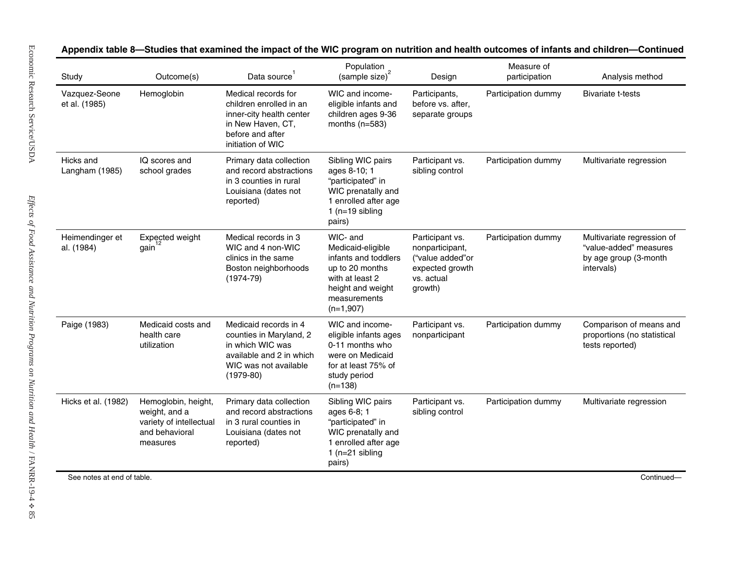| Study                          | Outcome(s)                                                                                    | Data source                                                                                                                              | Population<br>(sample size) <sup>2</sup>                                                                                                        | Design                                                                                             | Measure of<br>participation | Analysis method                                                                             |
|--------------------------------|-----------------------------------------------------------------------------------------------|------------------------------------------------------------------------------------------------------------------------------------------|-------------------------------------------------------------------------------------------------------------------------------------------------|----------------------------------------------------------------------------------------------------|-----------------------------|---------------------------------------------------------------------------------------------|
| Vazquez-Seone<br>et al. (1985) | Hemoglobin                                                                                    | Medical records for<br>children enrolled in an<br>inner-city health center<br>in New Haven, CT,<br>before and after<br>initiation of WIC | WIC and income-<br>eligible infants and<br>children ages 9-36<br>months $(n=583)$                                                               | Participants,<br>before vs. after,<br>separate groups                                              | Participation dummy         | <b>Bivariate t-tests</b>                                                                    |
| Hicks and<br>Langham (1985)    | IQ scores and<br>school grades                                                                | Primary data collection<br>and record abstractions<br>in 3 counties in rural<br>Louisiana (dates not<br>reported)                        | Sibling WIC pairs<br>ages 8-10; 1<br>"participated" in<br>WIC prenatally and<br>1 enrolled after age<br>1 ( $n=19$ sibling<br>pairs)            | Participant vs.<br>sibling control                                                                 | Participation dummy         | Multivariate regression                                                                     |
| Heimendinger et<br>al. (1984)  | Expected weight<br>gain                                                                       | Medical records in 3<br>WIC and 4 non-WIC<br>clinics in the same<br>Boston neighborhoods<br>$(1974-79)$                                  | WIC- and<br>Medicaid-eligible<br>infants and toddlers<br>up to 20 months<br>with at least 2<br>height and weight<br>measurements<br>$(n=1,907)$ | Participant vs.<br>nonparticipant,<br>("value added"or<br>expected growth<br>vs. actual<br>growth) | Participation dummy         | Multivariate regression of<br>"value-added" measures<br>by age group (3-month<br>intervals) |
| Paige (1983)                   | Medicaid costs and<br>health care<br>utilization                                              | Medicaid records in 4<br>counties in Maryland, 2<br>in which WIC was<br>available and 2 in which<br>WIC was not available<br>$(1979-80)$ | WIC and income-<br>eligible infants ages<br>0-11 months who<br>were on Medicaid<br>for at least 75% of<br>study period<br>$(n=138)$             | Participant vs.<br>nonparticipant                                                                  | Participation dummy         | Comparison of means and<br>proportions (no statistical<br>tests reported)                   |
| Hicks et al. (1982)            | Hemoglobin, height,<br>weight, and a<br>variety of intellectual<br>and behavioral<br>measures | Primary data collection<br>and record abstractions<br>in 3 rural counties in<br>Louisiana (dates not<br>reported)                        | Sibling WIC pairs<br>ages 6-8; 1<br>"participated" in<br>WIC prenatally and<br>1 enrolled after age<br>$1$ (n=21 sibling<br>pairs)              | Participant vs.<br>sibling control                                                                 | Participation dummy         | Multivariate regression                                                                     |
| See notes at end of table.     |                                                                                               |                                                                                                                                          |                                                                                                                                                 |                                                                                                    |                             | Continued-                                                                                  |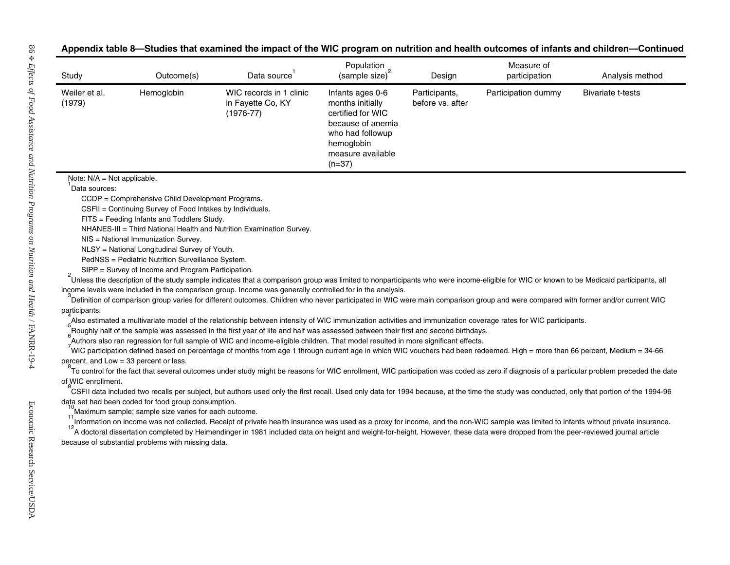| Appendix table 8—Studies that examined the impact of the WIC program on nutrition and health outcomes of infants and children—Continued |  |  |  |
|-----------------------------------------------------------------------------------------------------------------------------------------|--|--|--|
|-----------------------------------------------------------------------------------------------------------------------------------------|--|--|--|

|                               | Outcome(s)                                                | Data source                                                                                                                                                                                                                                                                                         | Population<br>$\frac{1}{2}$ (sample size) <sup>2</sup>                                                                                            | Design                            | Measure of<br>participation | Analysis method                                                                                                                                                                  |
|-------------------------------|-----------------------------------------------------------|-----------------------------------------------------------------------------------------------------------------------------------------------------------------------------------------------------------------------------------------------------------------------------------------------------|---------------------------------------------------------------------------------------------------------------------------------------------------|-----------------------------------|-----------------------------|----------------------------------------------------------------------------------------------------------------------------------------------------------------------------------|
| Weiler et al.<br>(1979)       | Hemoglobin                                                | WIC records in 1 clinic<br>in Fayette Co, KY<br>$(1976-77)$                                                                                                                                                                                                                                         | Infants ages 0-6<br>months initially<br>certified for WIC<br>because of anemia<br>who had followup<br>hemoglobin<br>measure available<br>$(n=37)$ | Participants,<br>before vs. after | Participation dummy         | <b>Bivariate t-tests</b>                                                                                                                                                         |
| Note: $N/A = Not applicable.$ |                                                           |                                                                                                                                                                                                                                                                                                     |                                                                                                                                                   |                                   |                             |                                                                                                                                                                                  |
| Data sources:                 |                                                           |                                                                                                                                                                                                                                                                                                     |                                                                                                                                                   |                                   |                             |                                                                                                                                                                                  |
|                               | CCDP = Comprehensive Child Development Programs.          |                                                                                                                                                                                                                                                                                                     |                                                                                                                                                   |                                   |                             |                                                                                                                                                                                  |
|                               | CSFII = Continuing Survey of Food Intakes by Individuals. |                                                                                                                                                                                                                                                                                                     |                                                                                                                                                   |                                   |                             |                                                                                                                                                                                  |
|                               | FITS = Feeding Infants and Toddlers Study.                |                                                                                                                                                                                                                                                                                                     |                                                                                                                                                   |                                   |                             |                                                                                                                                                                                  |
|                               |                                                           | NHANES-III = Third National Health and Nutrition Examination Survey.                                                                                                                                                                                                                                |                                                                                                                                                   |                                   |                             |                                                                                                                                                                                  |
|                               | NIS = National Immunization Survey.                       |                                                                                                                                                                                                                                                                                                     |                                                                                                                                                   |                                   |                             |                                                                                                                                                                                  |
|                               | NLSY = National Longitudinal Survey of Youth.             |                                                                                                                                                                                                                                                                                                     |                                                                                                                                                   |                                   |                             |                                                                                                                                                                                  |
|                               | PedNSS = Pediatric Nutrition Surveillance System.         |                                                                                                                                                                                                                                                                                                     |                                                                                                                                                   |                                   |                             |                                                                                                                                                                                  |
|                               | SIPP = Survey of Income and Program Participation.        |                                                                                                                                                                                                                                                                                                     |                                                                                                                                                   |                                   |                             |                                                                                                                                                                                  |
|                               |                                                           | Unless the description of the study sample indicates that a comparison group was limited to nonparticipants who were income-eligible for WIC or known to be Medicaid participants, all                                                                                                              |                                                                                                                                                   |                                   |                             |                                                                                                                                                                                  |
|                               |                                                           | income levels were included in the comparison group. Income was generally controlled for in the analysis.                                                                                                                                                                                           |                                                                                                                                                   |                                   |                             |                                                                                                                                                                                  |
|                               |                                                           |                                                                                                                                                                                                                                                                                                     |                                                                                                                                                   |                                   |                             |                                                                                                                                                                                  |
|                               |                                                           |                                                                                                                                                                                                                                                                                                     |                                                                                                                                                   |                                   |                             |                                                                                                                                                                                  |
| participants.                 |                                                           |                                                                                                                                                                                                                                                                                                     |                                                                                                                                                   |                                   |                             |                                                                                                                                                                                  |
|                               |                                                           | Also estimated a multivariate model of the relationship between intensity of WIC immunization activities and immunization coverage rates for WIC participants.<br>Roughly half of the sample was assessed in the first year of life and half was assessed between their first and second birthdays. |                                                                                                                                                   |                                   |                             |                                                                                                                                                                                  |
|                               |                                                           | <sup>5</sup> Authors also ran regression for full sample of WIC and income-eligible children. That model resulted in more significant effects.                                                                                                                                                      |                                                                                                                                                   |                                   |                             |                                                                                                                                                                                  |
|                               |                                                           | WIC participation defined based on percentage of months from age 1 through current age in which WIC vouchers had been redeemed. High = more than 66 percent, Medium = 34-66                                                                                                                         |                                                                                                                                                   |                                   |                             |                                                                                                                                                                                  |
|                               | percent, and Low = 33 percent or less.                    |                                                                                                                                                                                                                                                                                                     |                                                                                                                                                   |                                   |                             |                                                                                                                                                                                  |
|                               |                                                           | To control for the fact that several outcomes under study might be reasons for WIC enrollment, WIC participation was coded as zero if diagnosis of a particular problem preceded the date                                                                                                           |                                                                                                                                                   |                                   |                             |                                                                                                                                                                                  |
| of WIC enrollment.            |                                                           |                                                                                                                                                                                                                                                                                                     |                                                                                                                                                   |                                   |                             |                                                                                                                                                                                  |
|                               |                                                           | CSFII data included two recalls per subject, but authors used only the first recall. Used only data for 1994 because, at the time the study was conducted, only that portion of the 1994-96                                                                                                         |                                                                                                                                                   |                                   |                             |                                                                                                                                                                                  |
|                               | data set had been coded for food group consumption.       |                                                                                                                                                                                                                                                                                                     |                                                                                                                                                   |                                   |                             |                                                                                                                                                                                  |
|                               | Maximum sample; sample size varies for each outcome.      |                                                                                                                                                                                                                                                                                                     |                                                                                                                                                   |                                   |                             |                                                                                                                                                                                  |
|                               |                                                           | Information on income was not collected. Receipt of private health insurance was used as a proxy for income, and the non-WIC sample was limited to infants without private insurance.                                                                                                               |                                                                                                                                                   |                                   |                             |                                                                                                                                                                                  |
|                               |                                                           | A doctoral dissertation completed by Heimendinger in 1981 included data on height and weight-for-height. However, these data were dropped from the peer-reviewed journal article                                                                                                                    |                                                                                                                                                   |                                   |                             |                                                                                                                                                                                  |
|                               | because of substantial problems with missing data.        |                                                                                                                                                                                                                                                                                                     |                                                                                                                                                   |                                   |                             | Definition of comparison group varies for different outcomes. Children who never participated in WIC were main comparison group and were compared with former and/or current WIC |
|                               |                                                           |                                                                                                                                                                                                                                                                                                     |                                                                                                                                                   |                                   |                             |                                                                                                                                                                                  |
|                               |                                                           |                                                                                                                                                                                                                                                                                                     |                                                                                                                                                   |                                   |                             |                                                                                                                                                                                  |
|                               |                                                           |                                                                                                                                                                                                                                                                                                     |                                                                                                                                                   |                                   |                             |                                                                                                                                                                                  |
|                               |                                                           |                                                                                                                                                                                                                                                                                                     |                                                                                                                                                   |                                   |                             |                                                                                                                                                                                  |
|                               |                                                           |                                                                                                                                                                                                                                                                                                     |                                                                                                                                                   |                                   |                             |                                                                                                                                                                                  |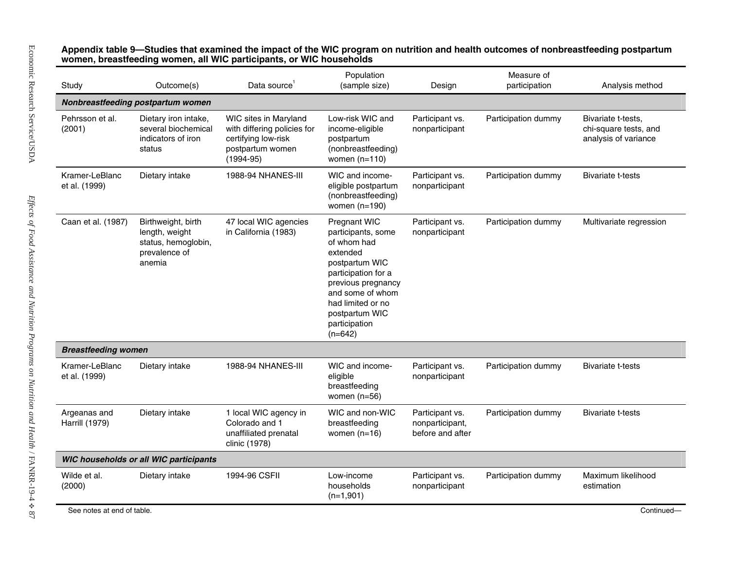| Study                                 | Outcome(s)                                                                             | Data source                                                                                                      | Population<br>(sample size)                                                                                                                                                                                           | Design                                                 | Measure of<br>participation | Analysis method                                                     |
|---------------------------------------|----------------------------------------------------------------------------------------|------------------------------------------------------------------------------------------------------------------|-----------------------------------------------------------------------------------------------------------------------------------------------------------------------------------------------------------------------|--------------------------------------------------------|-----------------------------|---------------------------------------------------------------------|
|                                       | Nonbreastfeeding postpartum women                                                      |                                                                                                                  |                                                                                                                                                                                                                       |                                                        |                             |                                                                     |
| Pehrsson et al.<br>(2001)             | Dietary iron intake,<br>several biochemical<br>indicators of iron<br>status            | WIC sites in Maryland<br>with differing policies for<br>certifying low-risk<br>postpartum women<br>$(1994 - 95)$ | Low-risk WIC and<br>income-eligible<br>postpartum<br>(nonbreastfeeding)<br>women $(n=110)$                                                                                                                            | Participant vs.<br>nonparticipant                      | Participation dummy         | Bivariate t-tests,<br>chi-square tests, and<br>analysis of variance |
| Kramer-LeBlanc<br>et al. (1999)       | Dietary intake                                                                         | <b>1988-94 NHANES-III</b>                                                                                        | WIC and income-<br>eligible postpartum<br>(nonbreastfeeding)<br>women $(n=190)$                                                                                                                                       | Participant vs.<br>nonparticipant                      | Participation dummy         | <b>Bivariate t-tests</b>                                            |
| Caan et al. (1987)                    | Birthweight, birth<br>length, weight<br>status, hemoglobin,<br>prevalence of<br>anemia | 47 local WIC agencies<br>in California (1983)                                                                    | Pregnant WIC<br>participants, some<br>of whom had<br>extended<br>postpartum WIC<br>participation for a<br>previous pregnancy<br>and some of whom<br>had limited or no<br>postpartum WIC<br>participation<br>$(n=642)$ | Participant vs.<br>nonparticipant                      | Participation dummy         | Multivariate regression                                             |
| <b>Breastfeeding women</b>            |                                                                                        |                                                                                                                  |                                                                                                                                                                                                                       |                                                        |                             |                                                                     |
| Kramer-LeBlanc<br>et al. (1999)       | Dietary intake                                                                         | <b>1988-94 NHANES-III</b>                                                                                        | WIC and income-<br>eligible<br>breastfeeding<br>women $(n=56)$                                                                                                                                                        | Participant vs.<br>nonparticipant                      | Participation dummy         | <b>Bivariate t-tests</b>                                            |
| Argeanas and<br><b>Harrill (1979)</b> | Dietary intake                                                                         | 1 local WIC agency in<br>Colorado and 1<br>unaffiliated prenatal<br>clinic (1978)                                | WIC and non-WIC<br>breastfeeding<br>women $(n=16)$                                                                                                                                                                    | Participant vs.<br>nonparticipant,<br>before and after | Participation dummy         | <b>Bivariate t-tests</b>                                            |
|                                       | <b>WIC households or all WIC participants</b>                                          |                                                                                                                  |                                                                                                                                                                                                                       |                                                        |                             |                                                                     |
| Wilde et al.<br>(2000)                | Dietary intake                                                                         | 1994-96 CSFII                                                                                                    | Low-income<br>households<br>$(n=1,901)$                                                                                                                                                                               | Participant vs.<br>nonparticipant                      | Participation dummy         | Maximum likelihood<br>estimation                                    |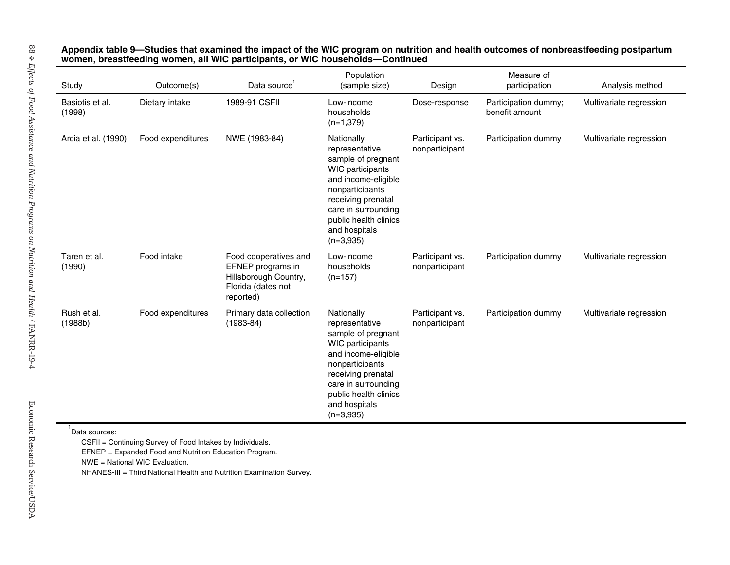| Dietary intake<br>Food expenditures | 1989-91 CSFII<br>NWE (1983-84)                                                                         | Low-income<br>households<br>$(n=1,379)$<br>Nationally<br>representative<br>sample of pregnant<br>WIC participants<br>and income-eligible                                                                               | Dose-response<br>Participant vs.<br>nonparticipant | Participation dummy;<br>benefit amount<br>Participation dummy | Multivariate regression |
|-------------------------------------|--------------------------------------------------------------------------------------------------------|------------------------------------------------------------------------------------------------------------------------------------------------------------------------------------------------------------------------|----------------------------------------------------|---------------------------------------------------------------|-------------------------|
|                                     |                                                                                                        |                                                                                                                                                                                                                        |                                                    |                                                               | Multivariate regression |
|                                     |                                                                                                        | nonparticipants<br>receiving prenatal<br>care in surrounding<br>public health clinics<br>and hospitals<br>$(n=3,935)$                                                                                                  |                                                    |                                                               |                         |
| Food intake                         | Food cooperatives and<br>EFNEP programs in<br>Hillsborough Country,<br>Florida (dates not<br>reported) | Low-income<br>households<br>$(n=157)$                                                                                                                                                                                  | Participant vs.<br>nonparticipant                  | Participation dummy                                           | Multivariate regression |
| Food expenditures                   | Primary data collection<br>$(1983 - 84)$                                                               | Nationally<br>representative<br>sample of pregnant<br>WIC participants<br>and income-eligible<br>nonparticipants<br>receiving prenatal<br>care in surrounding<br>public health clinics<br>and hospitals<br>$(n=3,935)$ | Participant vs.<br>nonparticipant                  | Participation dummy                                           | Multivariate regression |
|                                     | NWE = National WIC Evaluation.                                                                         | CSFII = Continuing Survey of Food Intakes by Individuals.<br>EFNEP = Expanded Food and Nutrition Education Program.<br>NHANES-III = Third National Health and Nutrition Examination Survey.                            |                                                    |                                                               |                         |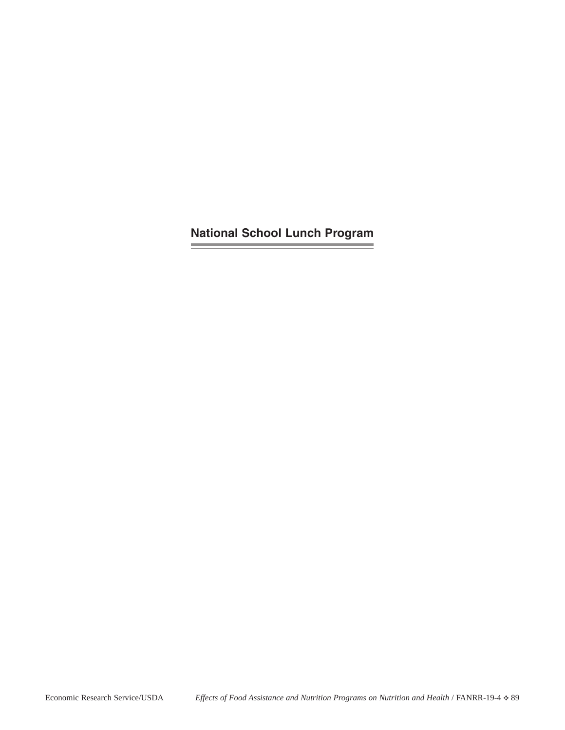**National School Lunch Program**

and the control of the control of

<u>expertise</u>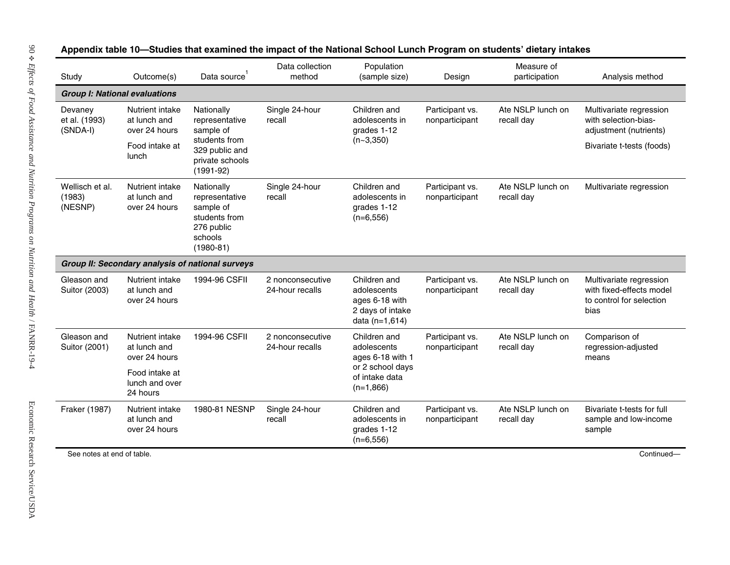| Study                                | Outcome(s)                                       | Data source                                                                                          | Data collection<br>method           | Population<br>(sample size)                                                         | Design                            | Measure of<br>participation     | Analysis method                                                                         |
|--------------------------------------|--------------------------------------------------|------------------------------------------------------------------------------------------------------|-------------------------------------|-------------------------------------------------------------------------------------|-----------------------------------|---------------------------------|-----------------------------------------------------------------------------------------|
|                                      | <b>Group I: National evaluations</b>             |                                                                                                      |                                     |                                                                                     |                                   |                                 |                                                                                         |
| Devaney<br>et al. (1993)<br>(SNDA-I) | Nutrient intake<br>at lunch and<br>over 24 hours | Nationally<br>representative<br>sample of                                                            | Single 24-hour<br>recall            | Children and<br>adolescents in<br>grades 1-12                                       | Participant vs.<br>nonparticipant | Ate NSLP lunch on<br>recall day | Multivariate regression<br>with selection-bias-<br>adjustment (nutrients)               |
|                                      | Food intake at<br>lunch                          | students from<br>329 public and<br>private schools<br>$(1991 - 92)$                                  |                                     | $(n-3,350)$                                                                         |                                   |                                 | Bivariate t-tests (foods)                                                               |
| Wellisch et al.<br>(1983)<br>(NESNP) | Nutrient intake<br>at lunch and<br>over 24 hours | Nationally<br>representative<br>sample of<br>students from<br>276 public<br>schools<br>$(1980 - 81)$ | Single 24-hour<br>recall            | Children and<br>adolescents in<br>grades 1-12<br>$(n=6,556)$                        | Participant vs.<br>nonparticipant | Ate NSLP lunch on<br>recall day | Multivariate regression                                                                 |
|                                      |                                                  | Group II: Secondary analysis of national surveys                                                     |                                     |                                                                                     |                                   |                                 |                                                                                         |
| Gleason and<br>Suitor (2003)         | Nutrient intake<br>at lunch and<br>over 24 hours | 1994-96 CSFII                                                                                        | 2 nonconsecutive<br>24-hour recalls | Children and<br>adolescents<br>ages 6-18 with<br>2 days of intake<br>data (n=1,614) | Participant vs.<br>nonparticipant | Ate NSLP lunch on<br>recall day | Multivariate regression<br>with fixed-effects model<br>to control for selection<br>bias |
| Gleason and<br>Suitor (2001)         | Nutrient intake<br>at lunch and<br>over 24 hours | 1994-96 CSFII                                                                                        | 2 nonconsecutive<br>24-hour recalls | Children and<br>adolescents<br>ages $6-18$ with 1                                   | Participant vs.<br>nonparticipant | Ate NSLP lunch on<br>recall day | Comparison of<br>regression-adjusted<br>means                                           |
|                                      | Food intake at<br>lunch and over<br>24 hours     |                                                                                                      |                                     | or 2 school days<br>of intake data<br>$(n=1,866)$                                   |                                   |                                 |                                                                                         |
| Fraker (1987)                        | Nutrient intake<br>at lunch and<br>over 24 hours | 1980-81 NESNP                                                                                        | Single 24-hour<br>recall            | Children and<br>adolescents in<br>grades 1-12<br>$(n=6,556)$                        | Participant vs.<br>nonparticipant | Ate NSLP lunch on<br>recall day | Bivariate t-tests for full<br>sample and low-income<br>sample                           |
|                                      | See notes at end of table.                       |                                                                                                      |                                     |                                                                                     |                                   |                                 | Continued-                                                                              |

Appendix table 10-Studies that examined the impact of the National School Lunch Program on students' dietary intakes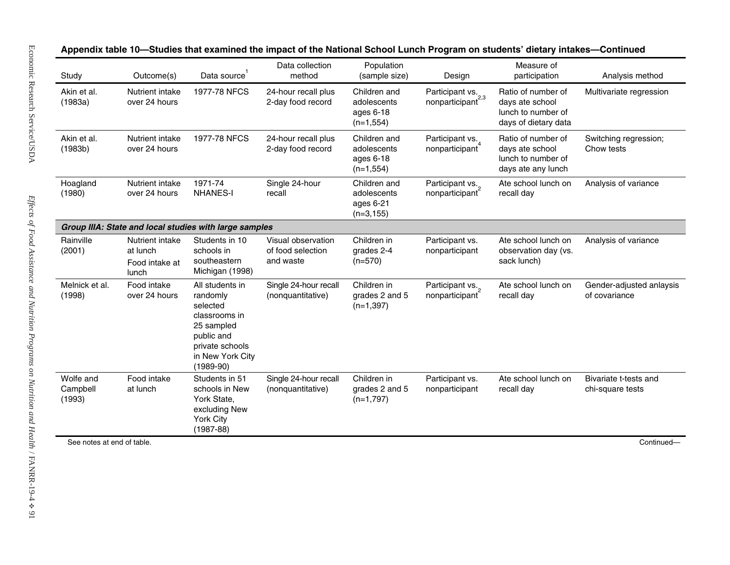| 1977-78 NFCS<br>Nutrient intake<br>over 24 hours<br>Nutrient intake<br>1977-78 NFCS<br>over 24 hours<br>1971-74<br>Nutrient intake<br>over 24 hours<br><b>NHANES-I</b><br>Group IIIA: State and local studies with large samples<br>Students in 10<br>Nutrient intake<br>at lunch<br>schools in<br>southeastern<br>Food intake at<br>Michigan (1998) | 24-hour recall plus<br>2-day food record<br>24-hour recall plus<br>2-day food record<br>Single 24-hour<br>recall<br>Visual observation<br>of food selection<br>and waste | Children and<br>adolescents<br>ages 6-18<br>$(n=1,554)$<br>Children and<br>adolescents<br>ages 6-18<br>$(n=1,554)$<br>Children and<br>adolescents<br>ages 6-21<br>$(n=3, 155)$<br>Children in<br>grades 2-4 | Participant vs.<br>nonparticipant <sup>2,3</sup><br>Participant vs.<br>nonparticipant<br>Participant vs.<br>nonparticipant<br>Participant vs. | Ratio of number of<br>days ate school<br>lunch to number of<br>days of dietary data<br>Ratio of number of<br>days ate school<br>lunch to number of<br>days ate any lunch<br>Ate school lunch on<br>recall day<br>Ate school lunch on | Multivariate regression<br>Switching regression;<br>Chow tests<br>Analysis of variance<br>Analysis of variance |
|------------------------------------------------------------------------------------------------------------------------------------------------------------------------------------------------------------------------------------------------------------------------------------------------------------------------------------------------------|--------------------------------------------------------------------------------------------------------------------------------------------------------------------------|-------------------------------------------------------------------------------------------------------------------------------------------------------------------------------------------------------------|-----------------------------------------------------------------------------------------------------------------------------------------------|--------------------------------------------------------------------------------------------------------------------------------------------------------------------------------------------------------------------------------------|----------------------------------------------------------------------------------------------------------------|
|                                                                                                                                                                                                                                                                                                                                                      |                                                                                                                                                                          |                                                                                                                                                                                                             |                                                                                                                                               |                                                                                                                                                                                                                                      |                                                                                                                |
|                                                                                                                                                                                                                                                                                                                                                      |                                                                                                                                                                          |                                                                                                                                                                                                             |                                                                                                                                               |                                                                                                                                                                                                                                      |                                                                                                                |
|                                                                                                                                                                                                                                                                                                                                                      |                                                                                                                                                                          |                                                                                                                                                                                                             |                                                                                                                                               |                                                                                                                                                                                                                                      |                                                                                                                |
|                                                                                                                                                                                                                                                                                                                                                      |                                                                                                                                                                          |                                                                                                                                                                                                             |                                                                                                                                               |                                                                                                                                                                                                                                      |                                                                                                                |
|                                                                                                                                                                                                                                                                                                                                                      |                                                                                                                                                                          | $(n=570)$                                                                                                                                                                                                   | nonparticipant                                                                                                                                | observation day (vs.<br>sack lunch)                                                                                                                                                                                                  |                                                                                                                |
| Food intake<br>All students in<br>over 24 hours<br>randomly<br>selected<br>25 sampled<br>public and<br>$(1989-90)$                                                                                                                                                                                                                                   | Single 24-hour recall<br>(nonquantitative)                                                                                                                               | Children in<br>grades 2 and 5<br>$(n=1,397)$                                                                                                                                                                | Participant vs.<br>nonparticipant                                                                                                             | Ate school lunch on<br>recall day                                                                                                                                                                                                    | Gender-adjusted anlaysis<br>of covariance                                                                      |
| Food intake<br>at lunch<br>York State,<br>York City<br>$(1987 - 88)$                                                                                                                                                                                                                                                                                 | Single 24-hour recall<br>(nonguantitative)                                                                                                                               | Children in<br>grades 2 and 5<br>$(n=1,797)$                                                                                                                                                                | Participant vs.<br>nonparticipant                                                                                                             | Ate school lunch on<br>recall day                                                                                                                                                                                                    | Bivariate t-tests and<br>chi-square tests                                                                      |
|                                                                                                                                                                                                                                                                                                                                                      |                                                                                                                                                                          | classrooms in<br>private schools<br>in New York City<br>Students in 51<br>schools in New<br>excluding New                                                                                                   |                                                                                                                                               |                                                                                                                                                                                                                                      |                                                                                                                |

# Appendix table 10-Studies that examined the impact of the National School Lunch Program on students' dietary intakes-Continued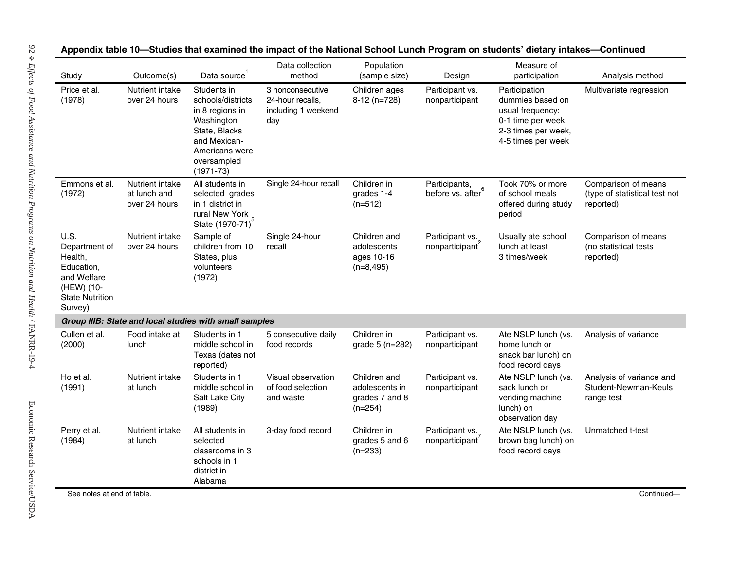| Study                                                                                                            | Outcome(s)                                       | Data source                                                                                                                                          | Data collection<br>method                                          | Population<br>(sample size)                                   | Design                                | Measure of<br>participation                                                                                              | Analysis method                                                   |
|------------------------------------------------------------------------------------------------------------------|--------------------------------------------------|------------------------------------------------------------------------------------------------------------------------------------------------------|--------------------------------------------------------------------|---------------------------------------------------------------|---------------------------------------|--------------------------------------------------------------------------------------------------------------------------|-------------------------------------------------------------------|
| Price et al.<br>(1978)                                                                                           | Nutrient intake<br>over 24 hours                 | Students in<br>schools/districts<br>in 8 regions in<br>Washington<br>State, Blacks<br>and Mexican-<br>Americans were<br>oversampled<br>$(1971 - 73)$ | 3 nonconsecutive<br>24-hour recalls,<br>including 1 weekend<br>day | Children ages<br>$8-12$ (n=728)                               | Participant vs.<br>nonparticipant     | Participation<br>dummies based on<br>usual frequency:<br>0-1 time per week,<br>2-3 times per week,<br>4-5 times per week | Multivariate regression                                           |
| Emmons et al.<br>(1972)                                                                                          | Nutrient intake<br>at lunch and<br>over 24 hours | All students in<br>selected grades<br>in 1 district in<br>rural New York<br>State (1970-71) <sup>5</sup>                                             | Single 24-hour recall                                              | Children in<br>grades 1-4<br>$(n=512)$                        | Participants,<br>before vs. after $6$ | Took 70% or more<br>of school meals<br>offered during study<br>period                                                    | Comparison of means<br>(type of statistical test not<br>reported) |
| U.S.<br>Department of<br>Health,<br>Education,<br>and Welfare<br>(HEW) (10-<br><b>State Nutrition</b><br>Survey) | Nutrient intake<br>over 24 hours                 | Sample of<br>children from 10<br>States, plus<br>volunteers<br>(1972)                                                                                | Single 24-hour<br>recall                                           | Children and<br>adolescents<br>ages 10-16<br>$(n=8, 495)$     | Participant vs.<br>nonparticipant     | Usually ate school<br>lunch at least<br>3 times/week                                                                     | Comparison of means<br>(no statistical tests<br>reported)         |
|                                                                                                                  |                                                  | Group IIIB: State and local studies with small samples                                                                                               |                                                                    |                                                               |                                       |                                                                                                                          |                                                                   |
| Cullen et al.<br>(2000)                                                                                          | Food intake at<br>lunch                          | Students in 1<br>middle school in<br>Texas (dates not<br>reported)                                                                                   | 5 consecutive daily<br>food records                                | Children in<br>grade 5 (n=282)                                | Participant vs.<br>nonparticipant     | Ate NSLP lunch (vs.<br>home lunch or<br>snack bar lunch) on<br>food record days                                          | Analysis of variance                                              |
| Ho et al.<br>(1991)                                                                                              | Nutrient intake<br>at lunch                      | Students in 1<br>middle school in<br>Salt Lake City<br>(1989)                                                                                        | Visual observation<br>of food selection<br>and waste               | Children and<br>adolescents in<br>grades 7 and 8<br>$(n=254)$ | Participant vs.<br>nonparticipant     | Ate NSLP lunch (vs.<br>sack lunch or<br>vending machine<br>lunch) on<br>observation day                                  | Analysis of variance and<br>Student-Newman-Keuls<br>range test    |
| Perry et al.<br>(1984)                                                                                           | Nutrient intake<br>at lunch                      | All students in<br>selected<br>classrooms in 3<br>schools in 1<br>district in                                                                        | 3-day food record                                                  | Children in<br>grades 5 and 6<br>$(n=233)$                    | Participant vs.<br>nonparticipant     | Ate NSLP lunch (vs.<br>brown bag lunch) on<br>food record days                                                           | Unmatched t-test                                                  |

# Appendix table 10-Studies that examined the impact of the National School Lunch Program on students' dietary intakes-Continued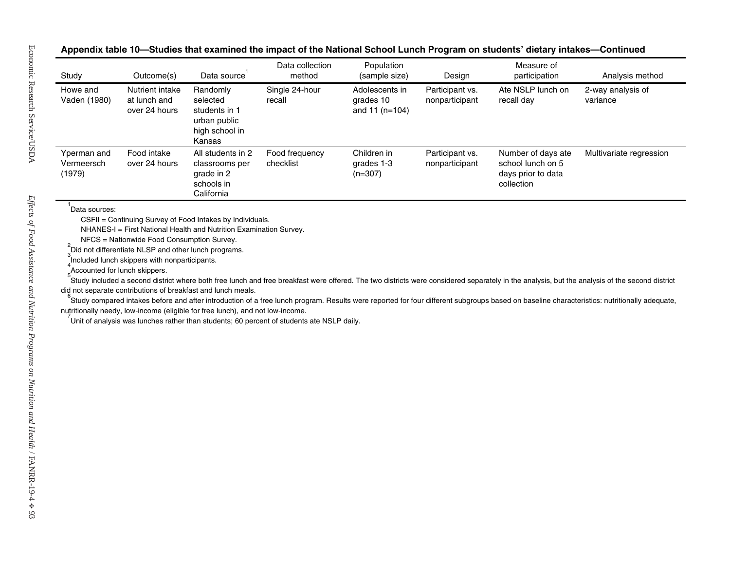# Appendix table 10-Studies that examined the impact of the National School Lunch Program on students' dietary intakes-Continued

| Study                               | Outcome(s)                                                                     | Data source <sup>1</sup>                                                                                                                       | Data collection<br>method                                                                 | Population<br>(sample size)                     | Design                            | Measure of<br>participation                                                                                                                                                                                                                                                                                                                                                                  | Analysis method               |
|-------------------------------------|--------------------------------------------------------------------------------|------------------------------------------------------------------------------------------------------------------------------------------------|-------------------------------------------------------------------------------------------|-------------------------------------------------|-----------------------------------|----------------------------------------------------------------------------------------------------------------------------------------------------------------------------------------------------------------------------------------------------------------------------------------------------------------------------------------------------------------------------------------------|-------------------------------|
| Howe and<br>Vaden (1980)            | Nutrient intake<br>at lunch and<br>over 24 hours                               | Randomly<br>selected<br>students in 1<br>urban public<br>high school in<br>Kansas                                                              | Single 24-hour<br>recall                                                                  | Adolescents in<br>grades 10<br>and 11 $(n=104)$ | Participant vs.<br>nonparticipant | Ate NSLP lunch on<br>recall day                                                                                                                                                                                                                                                                                                                                                              | 2-way analysis of<br>variance |
| Yperman and<br>Vermeersch<br>(1979) | Food intake<br>over 24 hours                                                   | All students in 2<br>classrooms per<br>grade in 2<br>schools in<br>California                                                                  | Food frequency<br>checklist                                                               | Children in<br>grades 1-3<br>$(n=307)$          | Participant vs.<br>nonparticipant | Number of days ate<br>school lunch on 5<br>days prior to data<br>collection                                                                                                                                                                                                                                                                                                                  | Multivariate regression       |
|                                     | Included lunch skippers with nonparticipants.<br>Accounted for lunch skippers. | did not separate contributions of breakfast and lunch meals.<br>nutritionally needy, low-income (eligible for free lunch), and not low-income. |                                                                                           |                                                 |                                   | Study included a second district where both free lunch and free breakfast were offered. The two districts were considered separately in the analysis, but the analysis of the second district<br>Study compared intakes before and after introduction of a free lunch program. Results were reported for four different subgroups based on baseline characteristics: nutritionally adequate, |                               |
|                                     |                                                                                |                                                                                                                                                | Unit of analysis was lunches rather than students; 60 percent of students ate NSLP daily. |                                                 |                                   |                                                                                                                                                                                                                                                                                                                                                                                              |                               |
|                                     |                                                                                |                                                                                                                                                |                                                                                           |                                                 |                                   |                                                                                                                                                                                                                                                                                                                                                                                              |                               |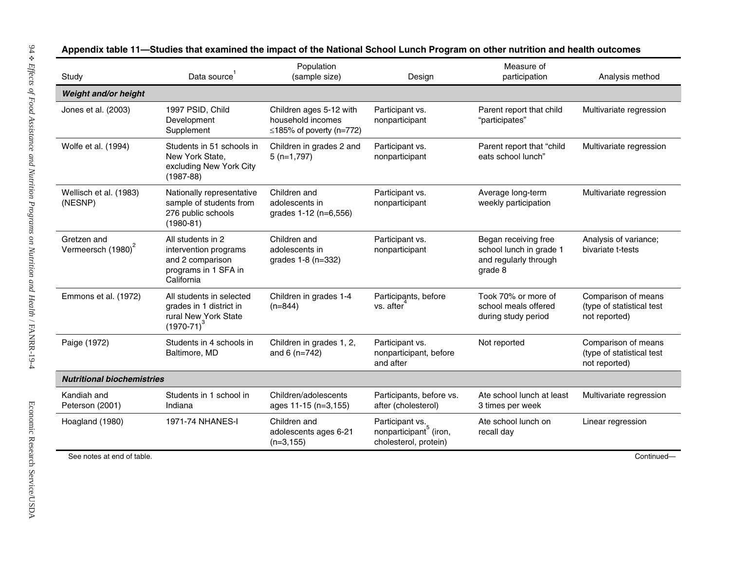| Study                                         | Data source                                                                                                                                                                                 | Population<br>(sample size)                                                    | Design                                                                         | Measure of<br>participation                                                         | Analysis method                                                   |
|-----------------------------------------------|---------------------------------------------------------------------------------------------------------------------------------------------------------------------------------------------|--------------------------------------------------------------------------------|--------------------------------------------------------------------------------|-------------------------------------------------------------------------------------|-------------------------------------------------------------------|
| Weight and/or height                          |                                                                                                                                                                                             |                                                                                |                                                                                |                                                                                     |                                                                   |
| Jones et al. (2003)                           | 1997 PSID, Child<br>Development<br>Supplement                                                                                                                                               | Children ages 5-12 with<br>household incomes<br>$\leq$ 185% of poverty (n=772) | Participant vs.<br>nonparticipant                                              | Parent report that child<br>"participates"                                          | Multivariate regression                                           |
| Wolfe et al. (1994)                           | Students in 51 schools in<br>New York State,<br>excluding New York City<br>$(1987 - 88)$                                                                                                    | Children in grades 2 and<br>$5(n=1,797)$                                       | Participant vs.<br>nonparticipant                                              | Parent report that "child<br>eats school lunch"                                     | Multivariate regression                                           |
| Wellisch et al. (1983)<br>(NESNP)             | Children and<br>Nationally representative<br>Participant vs.<br>sample of students from<br>adolescents in<br>nonparticipant<br>276 public schools<br>grades 1-12 (n=6,556)<br>$(1980 - 81)$ |                                                                                | Average long-term<br>weekly participation                                      | Multivariate regression                                                             |                                                                   |
| Gretzen and<br>Vermeersch (1980) <sup>2</sup> | All students in 2<br>intervention programs<br>and 2 comparison<br>programs in 1 SFA in<br>California                                                                                        | Children and<br>adolescents in<br>grades 1-8 (n=332)                           | Participant vs.<br>nonparticipant                                              | Began receiving free<br>school lunch in grade 1<br>and regularly through<br>grade 8 | Analysis of variance;<br>bivariate t-tests                        |
| Emmons et al. (1972)                          | All students in selected<br>grades in 1 district in<br>rural New York State<br>$(1970-71)^3$                                                                                                | Children in grades 1-4<br>$(n=844)$                                            | Participants, before<br>vs. after                                              | Took 70% or more of<br>school meals offered<br>during study period                  | Comparison of means<br>(type of statistical test<br>not reported) |
| Paige (1972)                                  | Students in 4 schools in<br>Baltimore, MD                                                                                                                                                   | Children in grades 1, 2,<br>and 6 (n=742)                                      | Participant vs.<br>nonparticipant, before<br>and after                         | Not reported                                                                        | Comparison of means<br>(type of statistical test<br>not reported) |
| <b>Nutritional biochemistries</b>             |                                                                                                                                                                                             |                                                                                |                                                                                |                                                                                     |                                                                   |
| Kandiah and<br>Peterson (2001)                | Students in 1 school in<br>Indiana                                                                                                                                                          | Children/adolescents<br>ages 11-15 (n=3,155)                                   | Participants, before vs.<br>after (cholesterol)                                | Ate school lunch at least<br>3 times per week                                       | Multivariate regression                                           |
| Hoagland (1980)                               | 1971-74 NHANES-I                                                                                                                                                                            | Children and<br>adolescents ages 6-21<br>$(n=3, 155)$                          | Participant vs.<br>nonparticipant <sup>°</sup> (iron,<br>cholesterol, protein) | Ate school lunch on<br>recall day                                                   | Linear regression                                                 |
| See notes at end of table.                    |                                                                                                                                                                                             |                                                                                |                                                                                |                                                                                     | Continued-                                                        |

Appendix table 11—Studies that examined the impact of the National School Lunch Program on other nutrition and health outcomes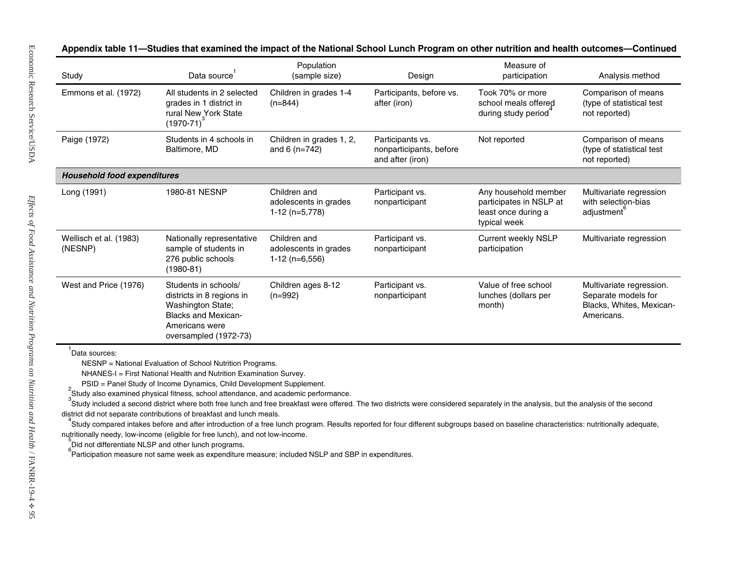|  |  |  | Appendix table 11—Studies that examined the impact of the National School Lunch Program on other nutrition and health outcomes—Continued |  |
|--|--|--|------------------------------------------------------------------------------------------------------------------------------------------|--|
|--|--|--|------------------------------------------------------------------------------------------------------------------------------------------|--|

| Study                              | Data source                                                                                                                                                                                                                                                                                                                                                                                                                                                                                                                                                                                                                                                                                                                                                                                                                                                                                                                                                                                              | Population<br>(sample size)                             | Design                                                          | Measure of<br>participation                                                            | Analysis method                                                                           |
|------------------------------------|----------------------------------------------------------------------------------------------------------------------------------------------------------------------------------------------------------------------------------------------------------------------------------------------------------------------------------------------------------------------------------------------------------------------------------------------------------------------------------------------------------------------------------------------------------------------------------------------------------------------------------------------------------------------------------------------------------------------------------------------------------------------------------------------------------------------------------------------------------------------------------------------------------------------------------------------------------------------------------------------------------|---------------------------------------------------------|-----------------------------------------------------------------|----------------------------------------------------------------------------------------|-------------------------------------------------------------------------------------------|
| Emmons et al. (1972)               | All students in 2 selected<br>grades in 1 district in<br>rural New York State<br>$(1970-71)^3$                                                                                                                                                                                                                                                                                                                                                                                                                                                                                                                                                                                                                                                                                                                                                                                                                                                                                                           | Children in grades 1-4<br>$(n=844)$                     | Participants, before vs.<br>after (iron)                        | Took 70% or more<br>school meals offered<br>during study period                        | Comparison of means<br>(type of statistical test<br>not reported)                         |
| Paige (1972)                       | Students in 4 schools in<br>Baltimore, MD                                                                                                                                                                                                                                                                                                                                                                                                                                                                                                                                                                                                                                                                                                                                                                                                                                                                                                                                                                | Children in grades 1, 2,<br>and 6 $(n=742)$             | Participants vs.<br>nonparticipants, before<br>and after (iron) | Not reported                                                                           | Comparison of means<br>(type of statistical test<br>not reported)                         |
| <b>Household food expenditures</b> |                                                                                                                                                                                                                                                                                                                                                                                                                                                                                                                                                                                                                                                                                                                                                                                                                                                                                                                                                                                                          |                                                         |                                                                 |                                                                                        |                                                                                           |
| Long (1991)                        | 1980-81 NESNP                                                                                                                                                                                                                                                                                                                                                                                                                                                                                                                                                                                                                                                                                                                                                                                                                                                                                                                                                                                            | Children and<br>adolescents in grades<br>1-12 (n=5,778) | Participant vs.<br>nonparticipant                               | Any household member<br>participates in NSLP at<br>least once during a<br>typical week | Multivariate regression<br>with selection-bias<br>adjustment                              |
| Wellisch et al. (1983)<br>(NESNP)  | Nationally representative<br>sample of students in<br>276 public schools<br>$(1980-81)$                                                                                                                                                                                                                                                                                                                                                                                                                                                                                                                                                                                                                                                                                                                                                                                                                                                                                                                  | Children and<br>adolescents in grades<br>1-12 (n=6,556) | Participant vs.<br>nonparticipant                               | <b>Current weekly NSLP</b><br>participation                                            | Multivariate regression                                                                   |
| West and Price (1976)              | Students in schools/<br>districts in 8 regions in<br>Washington State;<br><b>Blacks and Mexican-</b><br>Americans were<br>oversampled (1972-73)                                                                                                                                                                                                                                                                                                                                                                                                                                                                                                                                                                                                                                                                                                                                                                                                                                                          | Children ages 8-12<br>$(n=992)$                         | Participant vs.<br>nonparticipant                               | Value of free school<br>lunches (dollars per<br>month)                                 | Multivariate regression.<br>Separate models for<br>Blacks, Whites, Mexican-<br>Americans. |
| Data sources:                      | NESNP = National Evaluation of School Nutrition Programs.<br>NHANES-I = First National Health and Nutrition Examination Survey.<br>PSID = Panel Study of Income Dynamics, Child Development Supplement.<br>Study also examined physical fitness, school attendance, and academic performance.<br>Study included a second district where both free lunch and free breakfast were offered. The two districts were considered separately in the analysis, but the analysis of the second<br>district did not separate contributions of breakfast and lunch meals.<br>Study compared intakes before and after introduction of a free lunch program. Results reported for four different subgroups based on baseline characteristics: nutritionally adequate,<br>nutritionally needy, low-income (eligible for free lunch), and not low-income.<br>Did not differentiate NLSP and other lunch programs.<br>Participation measure not same week as expenditure measure; included NSLP and SBP in expenditures. |                                                         |                                                                 |                                                                                        |                                                                                           |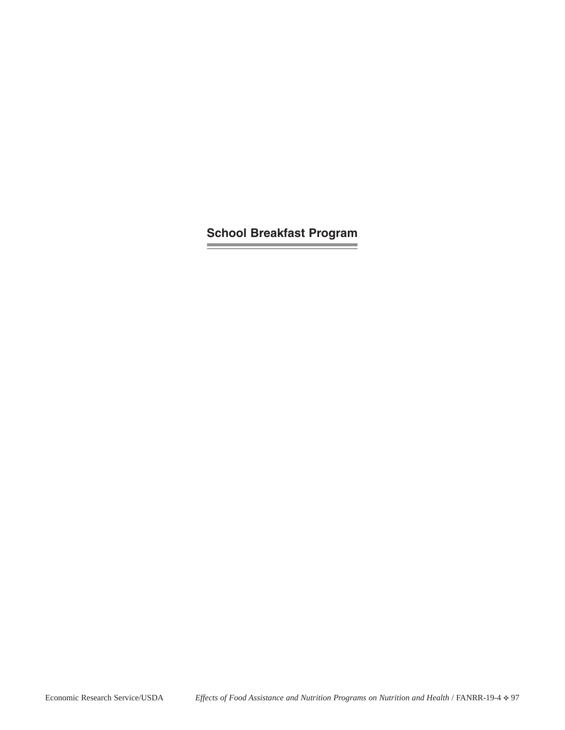**School Breakfast Program**

**Contract Contract Contract**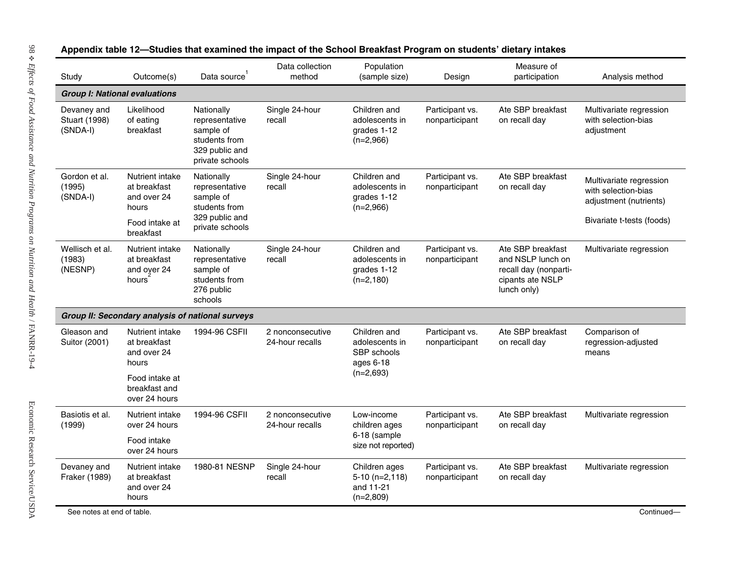| Study                                           | Outcome(s)                                                                                 | Data source                                                                                     | Data collection<br>method           | Population<br>(sample size)                                               | Design                            | Measure of<br>participation                                                                        | Analysis method                                                                                       |
|-------------------------------------------------|--------------------------------------------------------------------------------------------|-------------------------------------------------------------------------------------------------|-------------------------------------|---------------------------------------------------------------------------|-----------------------------------|----------------------------------------------------------------------------------------------------|-------------------------------------------------------------------------------------------------------|
| <b>Group I: National evaluations</b>            |                                                                                            |                                                                                                 |                                     |                                                                           |                                   |                                                                                                    |                                                                                                       |
| Devaney and<br><b>Stuart (1998)</b><br>(SNDA-I) | Likelihood<br>of eating<br>breakfast                                                       | Nationally<br>representative<br>sample of<br>students from<br>329 public and<br>private schools | Single 24-hour<br>recall            | Children and<br>adolescents in<br>grades 1-12<br>$(n=2,966)$              | Participant vs.<br>nonparticipant | Ate SBP breakfast<br>on recall day                                                                 | Multivariate regression<br>with selection-bias<br>adjustment                                          |
| Gordon et al.<br>(1995)<br>(SNDA-I)             | Nutrient intake<br>at breakfast<br>and over 24<br>hours<br>Food intake at<br>breakfast     | Nationally<br>representative<br>sample of<br>students from<br>329 public and<br>private schools | Single 24-hour<br>recall            | Children and<br>adolescents in<br>grades 1-12<br>$(n=2,966)$              | Participant vs.<br>nonparticipant | Ate SBP breakfast<br>on recall day                                                                 | Multivariate regression<br>with selection-bias<br>adjustment (nutrients)<br>Bivariate t-tests (foods) |
| Wellisch et al.<br>(1983)<br>(NESNP)            | Nutrient intake<br>at breakfast<br>and over 24<br>hours                                    | Nationally<br>representative<br>sample of<br>students from<br>276 public<br>schools             | Single 24-hour<br>recall            | Children and<br>adolescents in<br>grades 1-12<br>$(n=2,180)$              | Participant vs.<br>nonparticipant | Ate SBP breakfast<br>and NSLP lunch on<br>recall day (nonparti-<br>cipants ate NSLP<br>lunch only) | Multivariate regression                                                                               |
|                                                 |                                                                                            | Group II: Secondary analysis of national surveys                                                |                                     |                                                                           |                                   |                                                                                                    |                                                                                                       |
| Gleason and<br>Suitor (2001)                    | Nutrient intake<br>at breakfast<br>and over 24<br>hours<br>Food intake at<br>breakfast and | 1994-96 CSFII                                                                                   | 2 nonconsecutive<br>24-hour recalls | Children and<br>adolescents in<br>SBP schools<br>ages 6-18<br>$(n=2,693)$ | Participant vs.<br>nonparticipant | Ate SBP breakfast<br>on recall day                                                                 | Comparison of<br>regression-adjusted<br>means                                                         |
|                                                 | over 24 hours                                                                              |                                                                                                 |                                     |                                                                           |                                   |                                                                                                    |                                                                                                       |
| Basiotis et al.<br>(1999)                       | Nutrient intake<br>over 24 hours                                                           | 1994-96 CSFII                                                                                   | 2 nonconsecutive<br>24-hour recalls | Low-income<br>children ages                                               | Participant vs.<br>nonparticipant | Ate SBP breakfast<br>on recall day                                                                 | Multivariate regression                                                                               |
|                                                 | Food intake<br>over 24 hours                                                               |                                                                                                 |                                     | 6-18 (sample<br>size not reported)                                        |                                   |                                                                                                    |                                                                                                       |
| Devaney and<br>Fraker (1989)                    | Nutrient intake<br>at breakfast<br>and over 24<br>hours                                    | 1980-81 NESNP                                                                                   | Single 24-hour<br>recall            | Children ages<br>$5-10$ (n=2,118)<br>and 11-21<br>$(n=2,809)$             | Participant vs.<br>nonparticipant | Ate SBP breakfast<br>on recall day                                                                 | Multivariate regression                                                                               |

# Appendix table 12-Studies that examined the impact of the School Breakfast Program on students' dietary intakes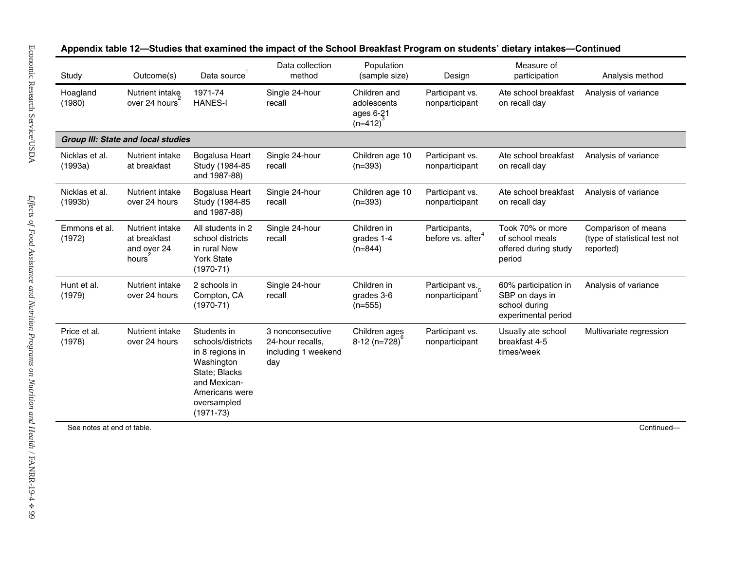| Study                      | Outcome(s)                                                           | Data source <sup>1</sup>                                                                                                                             | Data collection<br>method                                          | Population<br>(sample size)                               | Design                            | Measure of<br>participation                                                    | Analysis method                                                   |
|----------------------------|----------------------------------------------------------------------|------------------------------------------------------------------------------------------------------------------------------------------------------|--------------------------------------------------------------------|-----------------------------------------------------------|-----------------------------------|--------------------------------------------------------------------------------|-------------------------------------------------------------------|
| Hoagland<br>(1980)         | Nutrient intake<br>over 24 hours                                     | 1971-74<br><b>HANES-I</b>                                                                                                                            | Single 24-hour<br>recall                                           | Children and<br>adolescents<br>ages 6-21<br>$(n=412)^{3}$ | Participant vs.<br>nonparticipant | Ate school breakfast<br>on recall day                                          | Analysis of variance                                              |
|                            | <b>Group III: State and local studies</b>                            |                                                                                                                                                      |                                                                    |                                                           |                                   |                                                                                |                                                                   |
| Nicklas et al.<br>(1993a)  | Nutrient intake<br>at breakfast                                      | Bogalusa Heart<br>Study (1984-85<br>and 1987-88)                                                                                                     | Single 24-hour<br>recall                                           | Children age 10<br>$(n=393)$                              | Participant vs.<br>nonparticipant | Ate school breakfast<br>on recall day                                          | Analysis of variance                                              |
| Nicklas et al.<br>(1993b)  | Nutrient intake<br>over 24 hours                                     | Bogalusa Heart<br>Study (1984-85<br>and 1987-88)                                                                                                     | Single 24-hour<br>recall                                           | Children age 10<br>$(n=393)$                              | Participant vs.<br>nonparticipant | Ate school breakfast<br>on recall day                                          | Analysis of variance                                              |
| Emmons et al.<br>(1972)    | Nutrient intake<br>at breakfast<br>and over 24<br>hours <sup>2</sup> | All students in 2<br>school districts<br>in rural New<br><b>York State</b><br>$(1970-71)$                                                            | Single 24-hour<br>recall                                           | Children in<br>grades 1-4<br>$(n=844)$                    | Participants,<br>before vs. after | Took 70% or more<br>of school meals<br>offered during study<br>period          | Comparison of means<br>(type of statistical test not<br>reported) |
| Hunt et al.<br>(1979)      | Nutrient intake<br>over 24 hours                                     | 2 schools in<br>Compton, CA<br>$(1970-71)$                                                                                                           | Single 24-hour<br>recall                                           | Children in<br>grades 3-6<br>$(n=555)$                    | Participant vs.<br>nonparticipant | 60% participation in<br>SBP on days in<br>school during<br>experimental period | Analysis of variance                                              |
| Price et al.<br>(1978)     | Nutrient intake<br>over 24 hours                                     | Students in<br>schools/districts<br>in 8 regions in<br>Washington<br>State; Blacks<br>and Mexican-<br>Americans were<br>oversampled<br>$(1971 - 73)$ | 3 nonconsecutive<br>24-hour recalls,<br>including 1 weekend<br>day | Children ages<br>8-12 $(n=728)^{6}$                       | Participant vs.<br>nonparticipant | Usually ate school<br>breakfast 4-5<br>times/week                              | Multivariate regression                                           |
| See notes at end of table. |                                                                      |                                                                                                                                                      |                                                                    |                                                           |                                   |                                                                                | Continued-                                                        |

# Appendix table 12-Studies that examined the impact of the School Breakfast Program on students' dietary intakes-Continued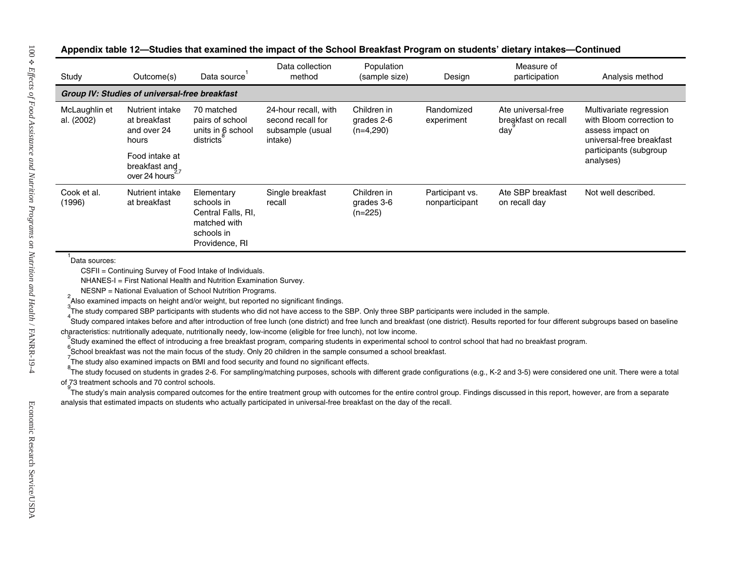| Study                       | Outcome(s)                                                                                                  | Data source                                                                                    | Data collection<br>method                                                                                                                                                                                                                                                                                                                                                                                                                                                                                                        | Population<br>(sample size)              | Design                            | Measure of<br>participation                                                                                                                                                                                                                                                                                                                                                                                                                                                                                                                                       | Analysis method                                                                                                                            |
|-----------------------------|-------------------------------------------------------------------------------------------------------------|------------------------------------------------------------------------------------------------|----------------------------------------------------------------------------------------------------------------------------------------------------------------------------------------------------------------------------------------------------------------------------------------------------------------------------------------------------------------------------------------------------------------------------------------------------------------------------------------------------------------------------------|------------------------------------------|-----------------------------------|-------------------------------------------------------------------------------------------------------------------------------------------------------------------------------------------------------------------------------------------------------------------------------------------------------------------------------------------------------------------------------------------------------------------------------------------------------------------------------------------------------------------------------------------------------------------|--------------------------------------------------------------------------------------------------------------------------------------------|
|                             | Group IV: Studies of universal-free breakfast                                                               |                                                                                                |                                                                                                                                                                                                                                                                                                                                                                                                                                                                                                                                  |                                          |                                   |                                                                                                                                                                                                                                                                                                                                                                                                                                                                                                                                                                   |                                                                                                                                            |
| McLaughlin et<br>al. (2002) | Nutrient intake<br>at breakfast<br>and over 24<br>hours<br>Food intake at<br>breakfast and<br>over 24 hours | 70 matched<br>pairs of school<br>units in 6 school<br>districts                                | 24-hour recall, with<br>second recall for<br>subsample (usual<br>intake)                                                                                                                                                                                                                                                                                                                                                                                                                                                         | Children in<br>grades 2-6<br>$(n=4,290)$ | Randomized<br>experiment          | Ate universal-free<br>breakfast on recall<br>$day^{\frac{3}{2}}$                                                                                                                                                                                                                                                                                                                                                                                                                                                                                                  | Multivariate regression<br>with Bloom correction to<br>assess impact on<br>universal-free breakfast<br>participants (subgroup<br>analyses) |
| Cook et al.<br>(1996)       | Nutrient intake<br>at breakfast                                                                             | Elementary<br>schools in<br>Central Falls, RI,<br>matched with<br>schools in<br>Providence, RI | Single breakfast<br>recall                                                                                                                                                                                                                                                                                                                                                                                                                                                                                                       | Children in<br>grades 3-6<br>$(n=225)$   | Participant vs.<br>nonparticipant | Ate SBP breakfast<br>on recall day                                                                                                                                                                                                                                                                                                                                                                                                                                                                                                                                | Not well described.                                                                                                                        |
|                             | of 73 treatment schools and 70 control schools.                                                             |                                                                                                | characteristics: nutritionally adequate, nutritionally needy, low-income (eligible for free lunch), not low income.<br>School breakfast was not the main focus of the study. Only 20 children in the sample consumed a school breakfast.<br>The study also examined impacts on BMI and food security and found no significant effects.<br>The study's main analysis compared outcomes for the entire treatment group with outcomes for the entire control group. Findings discussed in this report, however, are from a separate |                                          |                                   | .<br>Study compared intakes before and after introduction of free lunch (one district) and free lunch and breakfast (one district). Results reported for four different subgroups based on baseline<br>Study examined the effect of introducing a free breakfast program, comparing students in experimental school to control school that had no breakfast program.<br>The study focused on students in grades 2-6. For sampling/matching purposes, schools with different grade configurations (e.g., K-2 and 3-5) were considered one unit. There were a total |                                                                                                                                            |

#### Appendix table 12-Studies that examined the impact of the School Breakfast Program on students' dietary intakes-Continued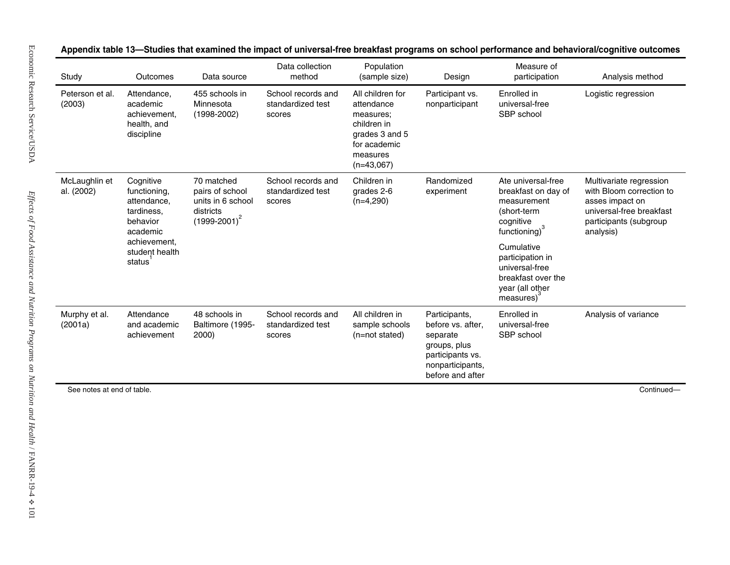| Peterson et al.<br>(2003)                                                                                     | Attendance,<br>academic                                                              |                                                   | method                                            | (sample size)                                                                                                            | Design                                                                                                                     | Measure of<br>participation                                                                                                               | Analysis method      |
|---------------------------------------------------------------------------------------------------------------|--------------------------------------------------------------------------------------|---------------------------------------------------|---------------------------------------------------|--------------------------------------------------------------------------------------------------------------------------|----------------------------------------------------------------------------------------------------------------------------|-------------------------------------------------------------------------------------------------------------------------------------------|----------------------|
|                                                                                                               | achievement.<br>health, and<br>discipline                                            | 455 schools in<br>Minnesota<br>$(1998-2002)$      | School records and<br>standardized test<br>scores | All children for<br>attendance<br>measures:<br>children in<br>grades 3 and 5<br>for academic<br>measures<br>$(n=43,067)$ | Participant vs.<br>nonparticipant                                                                                          | Enrolled in<br>universal-free<br>SBP school                                                                                               | Logistic regression  |
| McLaughlin et<br>Cognitive<br>al. (2002)<br>functioning,<br>attendance,<br>tardiness,<br>behavior<br>academic | 70 matched<br>pairs of school<br>units in 6 school<br>districts<br>$(1999 - 2001)^2$ | School records and<br>standardized test<br>scores | Children in<br>grades 2-6<br>$(n=4,290)$          | Randomized<br>experiment                                                                                                 | Ate universal-free<br>breakfast on day of<br>measurement<br>(short-term<br>cognitive<br>functioning) <sup>3</sup>          | Multivariate regression<br>with Bloom correction to<br>asses impact on<br>universal-free breakfast<br>participants (subgroup<br>analysis) |                      |
|                                                                                                               | achievement,<br>student health<br>status                                             |                                                   |                                                   |                                                                                                                          |                                                                                                                            | Cumulative<br>participation in<br>universal-free<br>breakfast over the<br>year (all other<br>measures)                                    |                      |
| Murphy et al.<br>(2001a)                                                                                      | Attendance<br>and academic<br>achievement                                            | 48 schools in<br>Baltimore (1995-<br>2000)        | School records and<br>standardized test<br>scores | All children in<br>sample schools<br>(n=not stated)                                                                      | Participants,<br>before vs. after,<br>separate<br>groups, plus<br>participants vs.<br>nonparticipants,<br>before and after | Enrolled in<br>universal-free<br>SBP school                                                                                               | Analysis of variance |

**mpact of universal-free breakfast programs on school performance and b ehavioral/cognitive outcomes**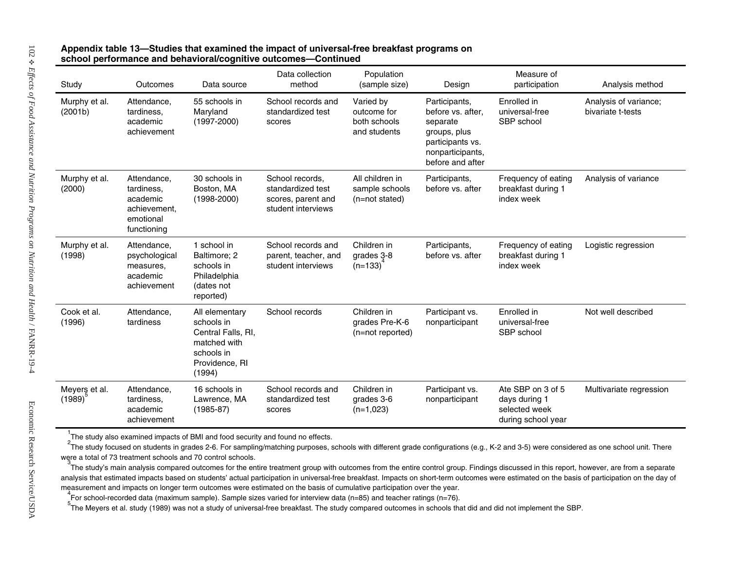## **mpact of univers al-free breakfast programs on school performance and behavioral/cognitive outcomes—Continued**

| Study                    | Outcomes                                                                          | Data source                                                                                                  | Data collection<br>method                                                        | Population<br>(sample size)                              | Design                                                                                                                     | Measure of<br>participation                                               | Analysis method                            |
|--------------------------|-----------------------------------------------------------------------------------|--------------------------------------------------------------------------------------------------------------|----------------------------------------------------------------------------------|----------------------------------------------------------|----------------------------------------------------------------------------------------------------------------------------|---------------------------------------------------------------------------|--------------------------------------------|
| Murphy et al.<br>(2001b) | Attendance,<br>tardiness,<br>academic<br>achievement                              | 55 schools in<br>Maryland<br>$(1997 - 2000)$                                                                 | School records and<br>standardized test<br>scores                                | Varied by<br>outcome for<br>both schools<br>and students | Participants,<br>before vs. after,<br>separate<br>groups, plus<br>participants vs.<br>nonparticipants,<br>before and after | Enrolled in<br>universal-free<br>SBP school                               | Analysis of variance;<br>bivariate t-tests |
| Murphy et al.<br>(2000)  | Attendance,<br>tardiness,<br>academic<br>achievement,<br>emotional<br>functioning | 30 schools in<br>Boston, MA<br>$(1998 - 2000)$                                                               | School records,<br>standardized test<br>scores, parent and<br>student interviews | All children in<br>sample schools<br>(n=not stated)      | Participants,<br>before vs. after                                                                                          | Frequency of eating<br>breakfast during 1<br>index week                   | Analysis of variance                       |
| Murphy et al.<br>(1998)  | Attendance,<br>psychological<br>measures,<br>academic<br>achievement              | 1 school in<br>Baltimore; 2<br>schools in<br>Philadelphia<br>(dates not<br>reported)                         | School records and<br>parent, teacher, and<br>student interviews                 | Children in<br>grades 3-8<br>$(n=133)$                   | Participants,<br>before vs. after                                                                                          | Frequency of eating<br>breakfast during 1<br>index week                   | Logistic regression                        |
| Cook et al.<br>(1996)    | Attendance,<br>tardiness                                                          | All elementary<br>schools in<br>Central Falls, RI,<br>matched with<br>schools in<br>Providence, RI<br>(1994) | School records                                                                   | Children in<br>grades Pre-K-6<br>(n=not reported)        | Participant vs.<br>nonparticipant                                                                                          | Enrolled in<br>universal-free<br>SBP school                               | Not well described                         |
| Meyers et al.<br>(1989)  | Attendance,<br>tardiness,<br>academic<br>achievement                              | 16 schools in<br>Lawrence, MA<br>$(1985 - 87)$                                                               | School records and<br>standardized test<br>scores                                | Children in<br>grades 3-6<br>$(n=1,023)$                 | Participant vs.<br>nonparticipant                                                                                          | Ate SBP on 3 of 5<br>days during 1<br>selected week<br>during school year | Multivariate regression                    |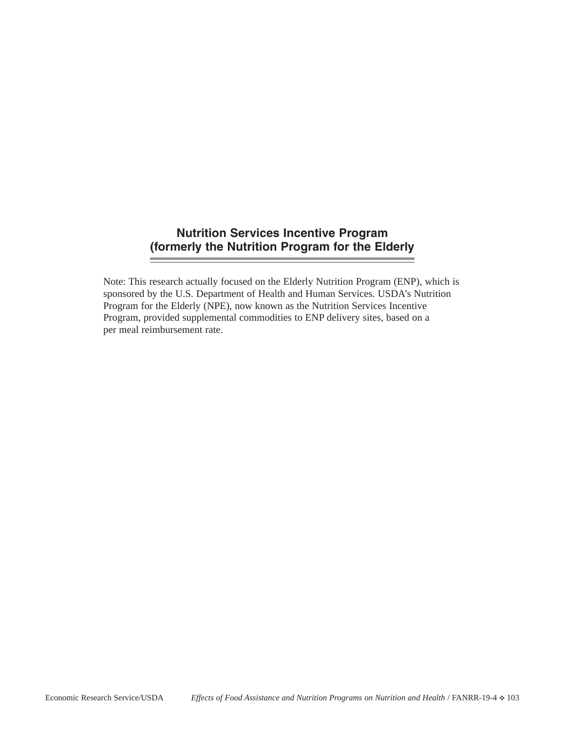# **Nutrition Services Incentive Program (formerly the Nutrition Program for the Elderly**

Note: This research actually focused on the Elderly Nutrition Program (ENP), which is sponsored by the U.S. Department of Health and Human Services. USDA's Nutrition Program for the Elderly (NPE), now known as the Nutrition Services Incentive Program, provided supplemental commodities to ENP delivery sites, based on a per meal reimbursement rate.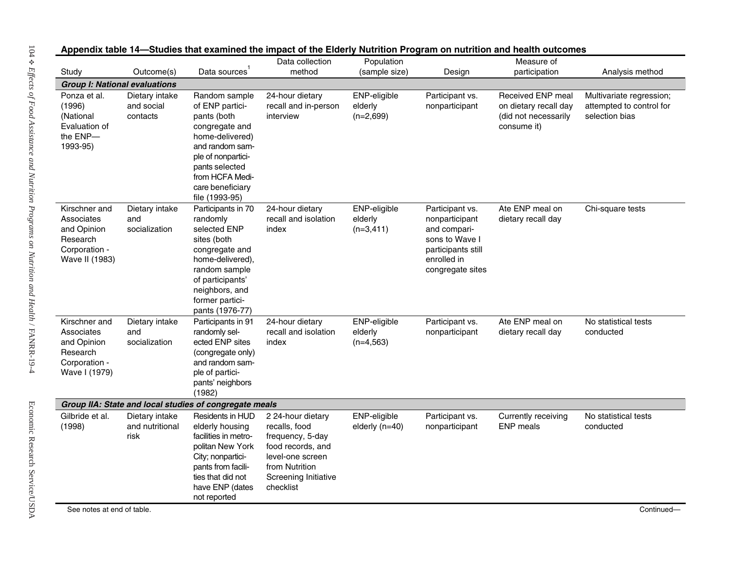| Study                                                                                     | Outcome(s)                                | Data sources                                                                                                                                                                                             | Data collection<br>method                                                                                                                              | Population<br>(sample size)            | Design                                                                                                                       | Measure of<br>participation                                                       | Analysis method                                                        |
|-------------------------------------------------------------------------------------------|-------------------------------------------|----------------------------------------------------------------------------------------------------------------------------------------------------------------------------------------------------------|--------------------------------------------------------------------------------------------------------------------------------------------------------|----------------------------------------|------------------------------------------------------------------------------------------------------------------------------|-----------------------------------------------------------------------------------|------------------------------------------------------------------------|
| <b>Group I: National evaluations</b>                                                      |                                           |                                                                                                                                                                                                          |                                                                                                                                                        |                                        |                                                                                                                              |                                                                                   |                                                                        |
| Ponza et al.<br>(1996)<br>(National<br>Evaluation of<br>the ENP-<br>1993-95)              | Dietary intake<br>and social<br>contacts  | Random sample<br>of ENP partici-<br>pants (both<br>congregate and<br>home-delivered)<br>and random sam-<br>ple of nonpartici-<br>pants selected<br>from HCFA Medi-<br>care beneficiary<br>file (1993-95) | 24-hour dietary<br>recall and in-person<br>interview                                                                                                   | ENP-eligible<br>elderly<br>$(n=2,699)$ | Participant vs.<br>nonparticipant                                                                                            | Received ENP meal<br>on dietary recall day<br>(did not necessarily<br>consume it) | Multivariate regression;<br>attempted to control for<br>selection bias |
| Kirschner and<br>Associates<br>and Opinion<br>Research<br>Corporation -<br>Wave II (1983) | Dietary intake<br>and<br>socialization    | Participants in 70<br>randomly<br>selected ENP<br>sites (both<br>congregate and<br>home-delivered),<br>random sample<br>of participants'<br>neighbors, and<br>former partici-<br>pants (1976-77)         | 24-hour dietary<br>recall and isolation<br>index                                                                                                       | ENP-eligible<br>elderly<br>$(n=3,411)$ | Participant vs.<br>nonparticipant<br>and compari-<br>sons to Wave I<br>participants still<br>enrolled in<br>congregate sites | Ate ENP meal on<br>dietary recall day                                             | Chi-square tests                                                       |
| Kirschner and<br>Associates<br>and Opinion<br>Research<br>Corporation -<br>Wave I (1979)  | Dietary intake<br>and<br>socialization    | Participants in 91<br>randomly sel-<br>ected ENP sites<br>(congregate only)<br>and random sam-<br>ple of partici-<br>pants' neighbors<br>(1982)                                                          | 24-hour dietary<br>recall and isolation<br>index                                                                                                       | ENP-eligible<br>elderly<br>$(n=4,563)$ | Participant vs.<br>nonparticipant                                                                                            | Ate ENP meal on<br>dietary recall day                                             | No statistical tests<br>conducted                                      |
|                                                                                           |                                           | Group IIA: State and local studies of congregate meals                                                                                                                                                   |                                                                                                                                                        |                                        |                                                                                                                              |                                                                                   |                                                                        |
| Gilbride et al.<br>(1998)                                                                 | Dietary intake<br>and nutritional<br>risk | Residents in HUD<br>elderly housing<br>facilities in metro-<br>politan New York<br>City; nonpartici-<br>pants from facili-<br>ties that did not<br>have ENP (dates<br>not reported                       | 2 24-hour dietary<br>recalls, food<br>frequency, 5-day<br>food records, and<br>level-one screen<br>from Nutrition<br>Screening Initiative<br>checklist | ENP-eligible<br>elderly $(n=40)$       | Participant vs.<br>nonparticipant                                                                                            | Currently receiving<br><b>ENP</b> meals                                           | No statistical tests<br>conducted                                      |

Appendix table 14—Studies that examined the impact of the Elderly Nutrition Program on nutrition and health outcomes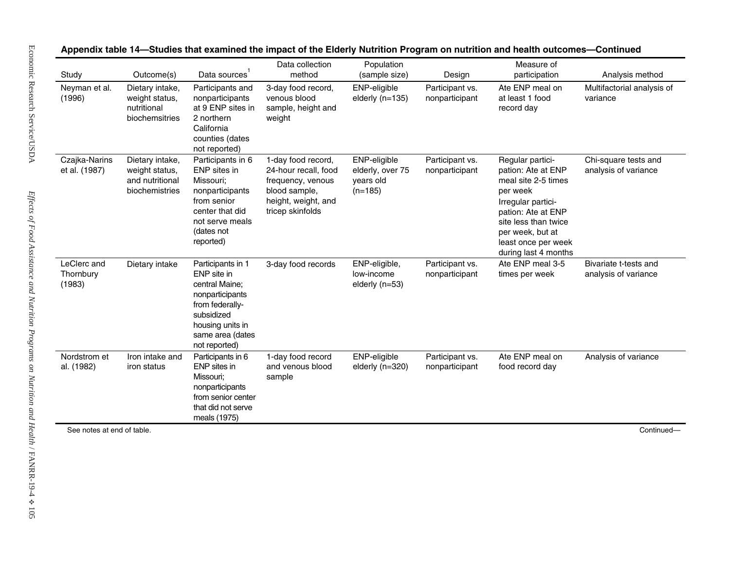| Neyman et al.<br>(1996)            | Dietary intake,<br>weight status,                                      | Participants and                                                                                                                                                |                                                                                                                             | (sample size)                                              | Design                            | Measure of<br>participation                                                                                                                                                                                      | Analysis method                               |
|------------------------------------|------------------------------------------------------------------------|-----------------------------------------------------------------------------------------------------------------------------------------------------------------|-----------------------------------------------------------------------------------------------------------------------------|------------------------------------------------------------|-----------------------------------|------------------------------------------------------------------------------------------------------------------------------------------------------------------------------------------------------------------|-----------------------------------------------|
|                                    | nutritional<br>biochemsitries                                          | nonparticipants<br>at 9 ENP sites in<br>2 northern<br>California<br>counties (dates<br>not reported)                                                            | 3-day food record,<br>venous blood<br>sample, height and<br>weight                                                          | ENP-eligible<br>elderly $(n=135)$                          | Participant vs.<br>nonparticipant | Ate ENP meal on<br>at least 1 food<br>record day                                                                                                                                                                 | Multifactorial analysis of<br>variance        |
| Czajka-Narins<br>et al. (1987)     | Dietary intake,<br>weight status,<br>and nutritional<br>biochemistries | Participants in 6<br>ENP sites in<br>Missouri;<br>nonparticipants<br>from senior<br>center that did<br>not serve meals<br>(dates not<br>reported)               | 1-day food record,<br>24-hour recall, food<br>frequency, venous<br>blood sample,<br>height, weight, and<br>tricep skinfolds | ENP-eligible<br>elderly, over 75<br>years old<br>$(n=185)$ | Participant vs.<br>nonparticipant | Regular partici-<br>pation: Ate at ENP<br>meal site 2-5 times<br>per week<br>Irregular partici-<br>pation: Ate at ENP<br>site less than twice<br>per week, but at<br>least once per week<br>during last 4 months | Chi-square tests and<br>analysis of variance  |
| LeClerc and<br>Thornbury<br>(1983) | Dietary intake                                                         | Participants in 1<br>ENP site in<br>central Maine;<br>nonparticipants<br>from federally-<br>subsidized<br>housing units in<br>same area (dates<br>not reported) | 3-day food records                                                                                                          | ENP-eligible,<br>low-income<br>elderly (n=53)              | Participant vs.<br>nonparticipant | Ate ENP meal 3-5<br>times per week                                                                                                                                                                               | Bivariate t-tests and<br>analysis of variance |
| Nordstrom et<br>al. (1982)         | Iron intake and<br>iron status                                         | Participants in 6<br>ENP sites in<br>Missouri;<br>nonparticipants<br>from senior center<br>that did not serve<br>meals (1975)                                   | 1-day food record<br>and venous blood<br>sample                                                                             | ENP-eligible<br>elderly (n=320)                            | Participant vs.<br>nonparticipant | Ate ENP meal on<br>food record day                                                                                                                                                                               | Analysis of variance                          |

Appendix table 14-Studies that examined the impact of the Elderly Nutrition Program on nutrition and health outcomes-Continued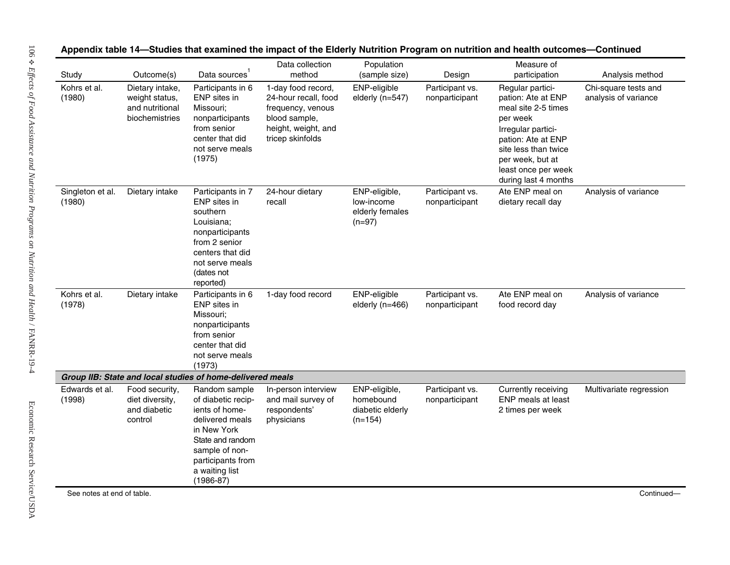| Study                      | Outcome(s)                                                             | Data sources                                                                                                                                                                        | Data collection<br>method                                                                                                   | Population<br>(sample size)                                 | Design                            | Measure of<br>participation                                                                                                                                                                                      | Analysis method                              |
|----------------------------|------------------------------------------------------------------------|-------------------------------------------------------------------------------------------------------------------------------------------------------------------------------------|-----------------------------------------------------------------------------------------------------------------------------|-------------------------------------------------------------|-----------------------------------|------------------------------------------------------------------------------------------------------------------------------------------------------------------------------------------------------------------|----------------------------------------------|
| Kohrs et al.<br>(1980)     | Dietary intake,<br>weight status,<br>and nutritional<br>biochemistries | Participants in 6<br>ENP sites in<br>Missouri;<br>nonparticipants<br>from senior<br>center that did<br>not serve meals<br>(1975)                                                    | 1-day food record,<br>24-hour recall, food<br>frequency, venous<br>blood sample,<br>height, weight, and<br>tricep skinfolds | ENP-eligible<br>elderly (n=547)                             | Participant vs.<br>nonparticipant | Regular partici-<br>pation: Ate at ENP<br>meal site 2-5 times<br>per week<br>Irregular partici-<br>pation: Ate at ENP<br>site less than twice<br>per week, but at<br>least once per week<br>during last 4 months | Chi-square tests and<br>analysis of variance |
| Singleton et al.<br>(1980) | Dietary intake                                                         | Participants in 7<br>ENP sites in<br>southern<br>Louisiana;<br>nonparticipants<br>from 2 senior<br>centers that did<br>not serve meals<br>(dates not<br>reported)                   | 24-hour dietary<br>recall                                                                                                   | ENP-eligible,<br>low-income<br>elderly females<br>$(n=97)$  | Participant vs.<br>nonparticipant | Ate ENP meal on<br>dietary recall day                                                                                                                                                                            | Analysis of variance                         |
| Kohrs et al.<br>(1978)     | Dietary intake                                                         | Participants in 6<br>ENP sites in<br>Missouri;<br>nonparticipants<br>from senior<br>center that did<br>not serve meals<br>(1973)                                                    | 1-day food record                                                                                                           | ENP-eligible<br>elderly (n=466)                             | Participant vs.<br>nonparticipant | Ate ENP meal on<br>food record day                                                                                                                                                                               | Analysis of variance                         |
|                            |                                                                        | Group IIB: State and local studies of home-delivered meals                                                                                                                          |                                                                                                                             |                                                             |                                   |                                                                                                                                                                                                                  |                                              |
| Edwards et al.<br>(1998)   | Food security,<br>diet diversity,<br>and diabetic<br>control           | Random sample<br>of diabetic recip-<br>ients of home-<br>delivered meals<br>in New York<br>State and random<br>sample of non-<br>participants from<br>a waiting list<br>$(1986-87)$ | In-person interview<br>and mail survey of<br>respondents'<br>physicians                                                     | ENP-eligible,<br>homebound<br>diabetic elderly<br>$(n=154)$ | Participant vs.<br>nonparticipant | Currently receiving<br>ENP meals at least<br>2 times per week                                                                                                                                                    | Multivariate regression                      |

Appendix table 14—Studies that examined the impact of the Elderly Nutrition Program on nutrition and health outcomes—Continued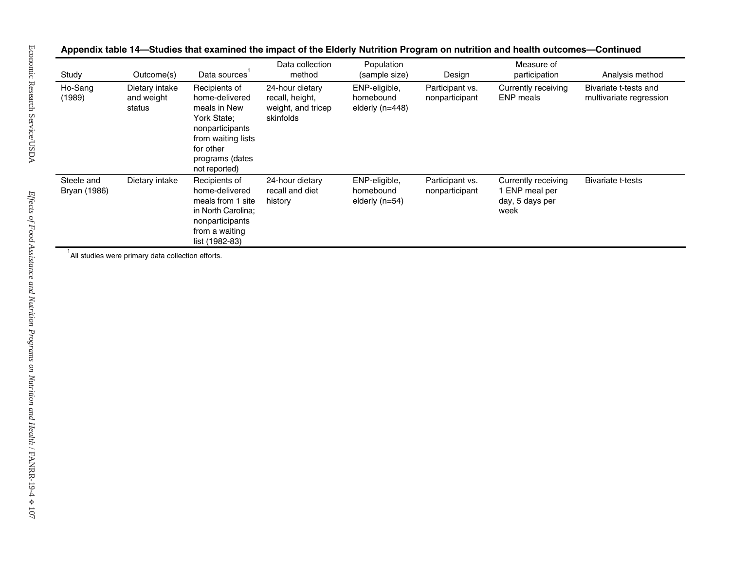| Dietary intake<br>Recipients of<br>24-hour dietary<br>ENP-eligible,<br>Participant vs.<br>Currently receiving<br>Ho-Sang<br>(1989)<br>and weight<br>home-delivered<br>ENP meals<br>recall, height,<br>homebound<br>nonparticipant<br>status<br>meals in New<br>weight, and tricep<br>elderly (n=448)<br>York State;<br>skinfolds<br>nonparticipants<br>from waiting lists<br>for other<br>programs (dates | Bivariate t-tests and<br>multivariate regression |
|-----------------------------------------------------------------------------------------------------------------------------------------------------------------------------------------------------------------------------------------------------------------------------------------------------------------------------------------------------------------------------------------------------------|--------------------------------------------------|
| not reported)                                                                                                                                                                                                                                                                                                                                                                                             |                                                  |
| Steele and<br>Dietary intake<br>24-hour dietary<br>ENP-eligible,<br>Participant vs.<br>Currently receiving<br>Recipients of<br>Bryan (1986)<br>home-delivered<br>recall and diet<br>homebound<br>1 ENP meal per<br>nonparticipant<br>meals from 1 site<br>elderly $(n=54)$<br>day, 5 days per<br>history<br>in North Carolina;<br>week<br>nonparticipants<br>from a waiting<br>list (1982-83)             | <b>Bivariate t-tests</b>                         |

Appendix table 14-Studies that examined the impact of the Elderly Nutrition Program on nutrition and health outcomes-Continued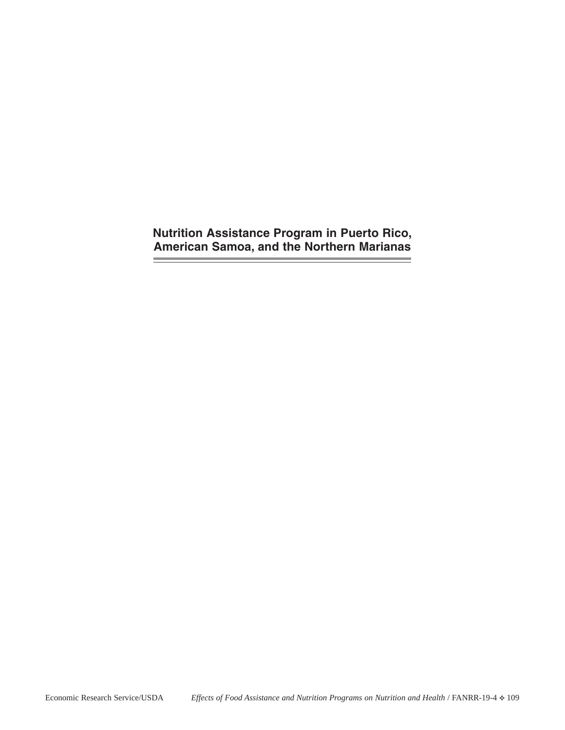**Nutrition Assistance Program in Puerto Rico, American Samoa, and the Northern Marianas**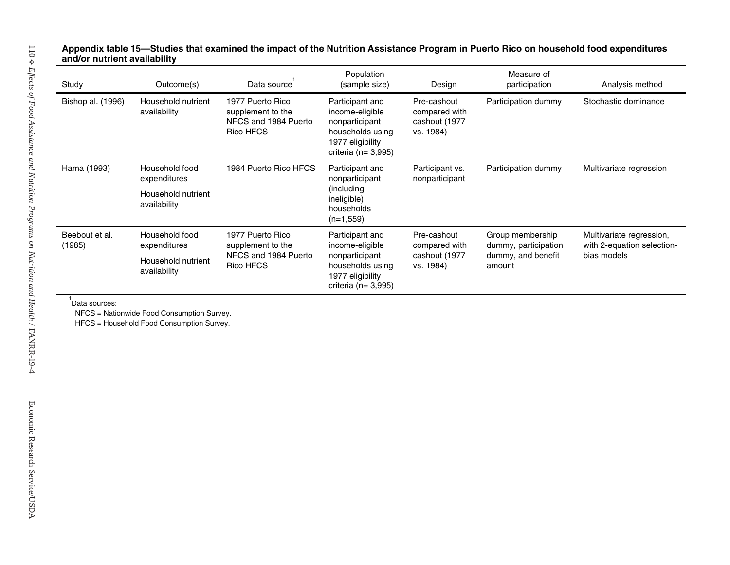## **mpact of the Nutrition Assistance Pr ogram in Puerto Rico on household food expenditures and/or nutrient availability**

| Study                    | Outcome(s)                                                                              | Data source <sup>1</sup>                                                   | Population<br>(sample size)                                                                                            | Design                                                     | Measure of<br>participation                                              | Analysis method                                                       |
|--------------------------|-----------------------------------------------------------------------------------------|----------------------------------------------------------------------------|------------------------------------------------------------------------------------------------------------------------|------------------------------------------------------------|--------------------------------------------------------------------------|-----------------------------------------------------------------------|
| Bishop al. (1996)        | Household nutrient<br>availability                                                      | 1977 Puerto Rico<br>supplement to the<br>NFCS and 1984 Puerto<br>Rico HFCS | Participant and<br>income-eligible<br>nonparticipant<br>households using<br>1977 eligibility<br>criteria ( $n=3,995$ ) | Pre-cashout<br>compared with<br>cashout (1977<br>vs. 1984) | Participation dummy                                                      | Stochastic dominance                                                  |
| Hama (1993)              | Household food<br>expenditures                                                          | 1984 Puerto Rico HFCS                                                      | Participant and<br>nonparticipant<br>(including<br>ineligible)<br>households<br>$(n=1,559)$                            | Participant vs.<br>nonparticipant                          | Participation dummy                                                      | Multivariate regression                                               |
|                          | Household nutrient<br>availability                                                      |                                                                            |                                                                                                                        |                                                            |                                                                          |                                                                       |
| Beebout et al.<br>(1985) | Household food<br>expenditures                                                          | 1977 Puerto Rico<br>supplement to the                                      | Participant and<br>income-eligible<br>nonparticipant<br>households using<br>1977 eligibility<br>criteria ( $n=3,995$ ) | Pre-cashout<br>compared with                               | Group membership<br>dummy, participation<br>dummy, and benefit<br>amount | Multivariate regression,<br>with 2-equation selection-<br>bias models |
|                          | Household nutrient<br>availability                                                      | NFCS and 1984 Puerto<br><b>Rico HFCS</b>                                   |                                                                                                                        | cashout (1977<br>vs. 1984)                                 |                                                                          |                                                                       |
| Data sources:            |                                                                                         |                                                                            |                                                                                                                        |                                                            |                                                                          |                                                                       |
|                          | NFCS = Nationwide Food Consumption Survey.<br>HFCS = Household Food Consumption Survey. |                                                                            |                                                                                                                        |                                                            |                                                                          |                                                                       |
|                          |                                                                                         |                                                                            |                                                                                                                        |                                                            |                                                                          |                                                                       |
|                          |                                                                                         |                                                                            |                                                                                                                        |                                                            |                                                                          |                                                                       |
|                          |                                                                                         |                                                                            |                                                                                                                        |                                                            |                                                                          |                                                                       |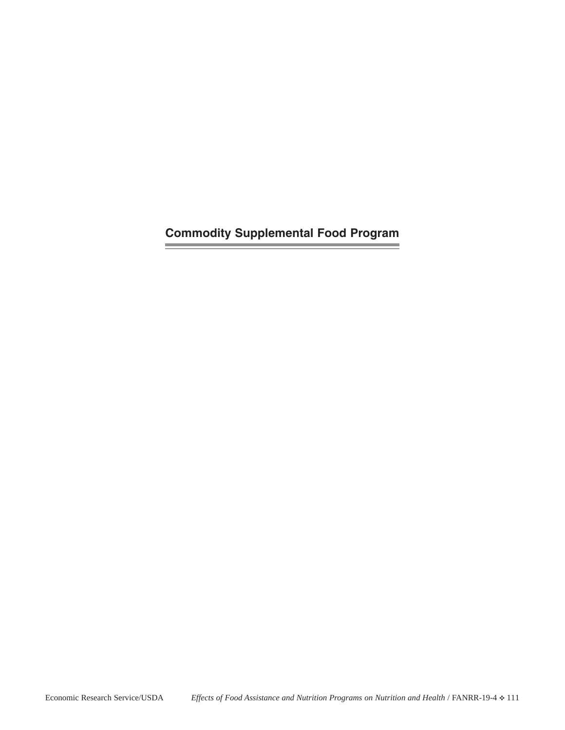**Commodity Supplemental Food Program**

**Contract Contract** 

 $\overline{\phantom{a}}$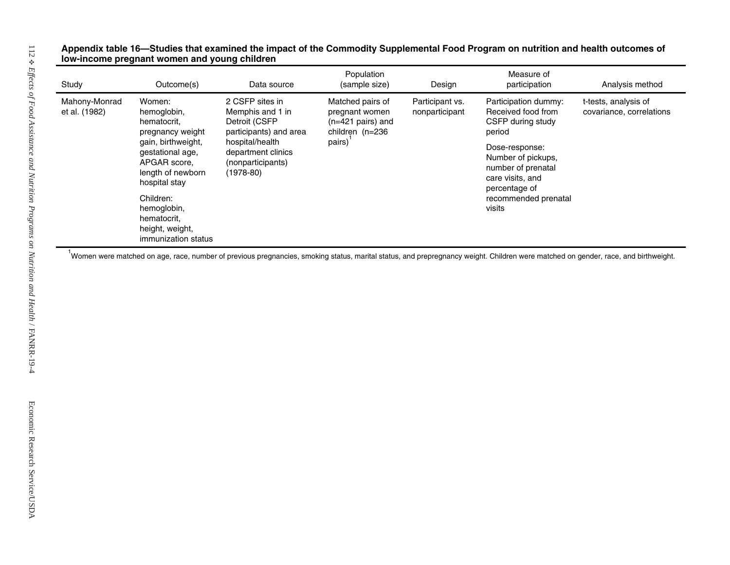# Appendix table 16—Studies that examined the impact of the Commodity Supplemental Food Program on nutrition and health outcomes of<br>Iow-income pregnant women and young children

| Study                          | Outcome(s)                                                                                   | Data source                                                                    | Population<br>(sample size)                                                          | Design                            | Measure of<br>participation                                                                     | Analysis method                                  |
|--------------------------------|----------------------------------------------------------------------------------------------|--------------------------------------------------------------------------------|--------------------------------------------------------------------------------------|-----------------------------------|-------------------------------------------------------------------------------------------------|--------------------------------------------------|
| Mahony-Monrad<br>et al. (1982) | Women:<br>hemoglobin,<br>hematocrit,<br>pregnancy weight                                     | 2 CSFP sites in<br>Memphis and 1 in<br>Detroit (CSFP<br>participants) and area | Matched pairs of<br>pregnant women<br>$(n=421 \text{ pairs})$ and<br>children (n=236 | Participant vs.<br>nonparticipant | Participation dummy:<br>Received food from<br>CSFP during study<br>period                       | t-tests, analysis of<br>covariance, correlations |
|                                | gain, birthweight,<br>gestational age,<br>APGAR score,<br>length of newborn<br>hospital stay | hospital/health<br>department clinics<br>(nonparticipants)<br>$(1978-80)$      | pairs)                                                                               |                                   | Dose-response:<br>Number of pickups,<br>number of prenatal<br>care visits, and<br>percentage of |                                                  |
|                                | Children:<br>hemoglobin,<br>hematocrit,<br>height, weight,<br>immunization status            |                                                                                |                                                                                      |                                   | recommended prenatal<br>visits                                                                  |                                                  |
|                                |                                                                                              |                                                                                |                                                                                      |                                   |                                                                                                 |                                                  |
|                                |                                                                                              |                                                                                |                                                                                      |                                   |                                                                                                 |                                                  |
|                                |                                                                                              |                                                                                |                                                                                      |                                   |                                                                                                 |                                                  |
|                                |                                                                                              |                                                                                |                                                                                      |                                   |                                                                                                 |                                                  |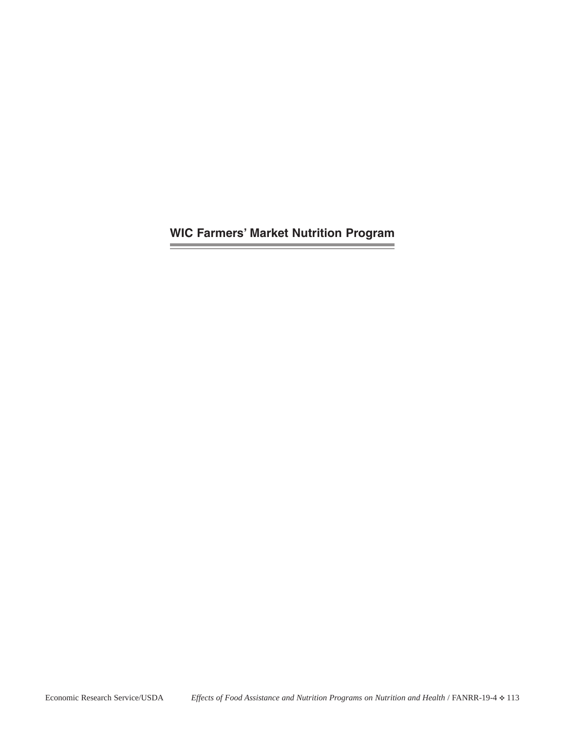**WIC Farmers' Market Nutrition Program**

the control of the control of the control of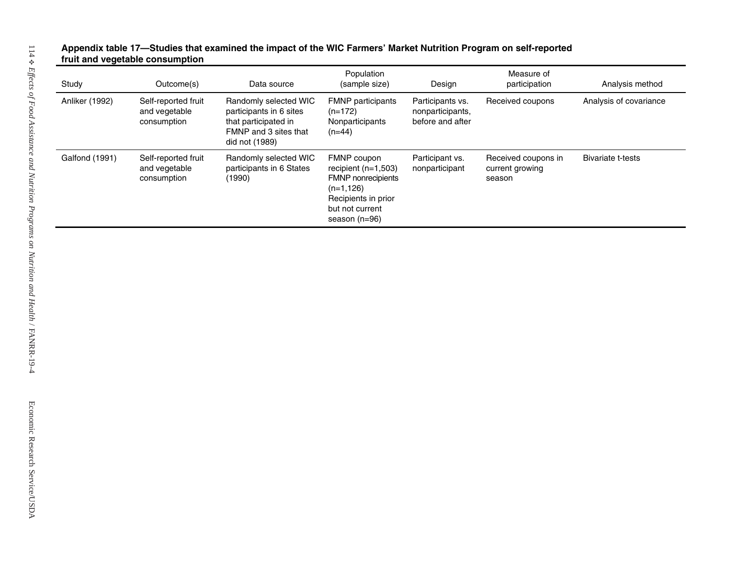# **dies that examined the impact of the WIC Farmers' Market Nutrition Program on self-reported fruit and veg etable consu mption**

| Study                 | Outcome(s)                                          | Data source                                                                                                         | Population<br>(sample size)                                                                                                           | Design                                                   | Measure of<br>participation                      | Analysis method          |
|-----------------------|-----------------------------------------------------|---------------------------------------------------------------------------------------------------------------------|---------------------------------------------------------------------------------------------------------------------------------------|----------------------------------------------------------|--------------------------------------------------|--------------------------|
| <b>Anliker (1992)</b> | Self-reported fruit<br>and vegetable<br>consumption | Randomly selected WIC<br>participants in 6 sites<br>that participated in<br>FMNP and 3 sites that<br>did not (1989) | <b>FMNP</b> participants<br>$(n=172)$<br>Nonparticipants<br>$(n=44)$                                                                  | Participants vs.<br>nonparticipants,<br>before and after | Received coupons                                 | Analysis of covariance   |
| Galfond (1991)        | Self-reported fruit<br>and vegetable<br>consumption | Randomly selected WIC<br>participants in 6 States<br>(1990)                                                         | FMNP coupon<br>recipient $(n=1,503)$<br>FMNP nonrecipients<br>$(n=1, 126)$<br>Recipients in prior<br>but not current<br>season (n=96) | Participant vs.<br>nonparticipant                        | Received coupons in<br>current growing<br>season | <b>Bivariate t-tests</b> |
|                       |                                                     |                                                                                                                     |                                                                                                                                       |                                                          |                                                  |                          |
|                       |                                                     |                                                                                                                     |                                                                                                                                       |                                                          |                                                  |                          |
|                       |                                                     |                                                                                                                     |                                                                                                                                       |                                                          |                                                  |                          |
|                       |                                                     |                                                                                                                     |                                                                                                                                       |                                                          |                                                  |                          |
|                       |                                                     |                                                                                                                     |                                                                                                                                       |                                                          |                                                  |                          |
|                       |                                                     |                                                                                                                     |                                                                                                                                       |                                                          |                                                  |                          |
|                       |                                                     |                                                                                                                     |                                                                                                                                       |                                                          |                                                  |                          |
|                       |                                                     |                                                                                                                     |                                                                                                                                       |                                                          |                                                  |                          |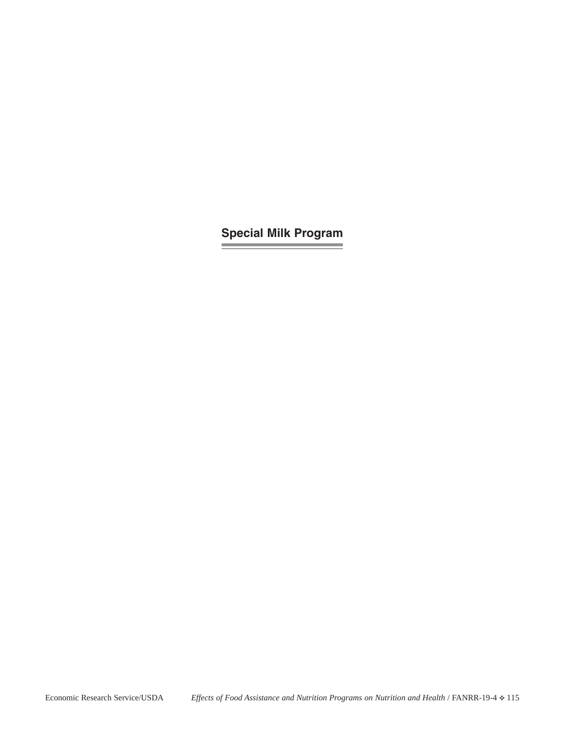## **Special Milk Program**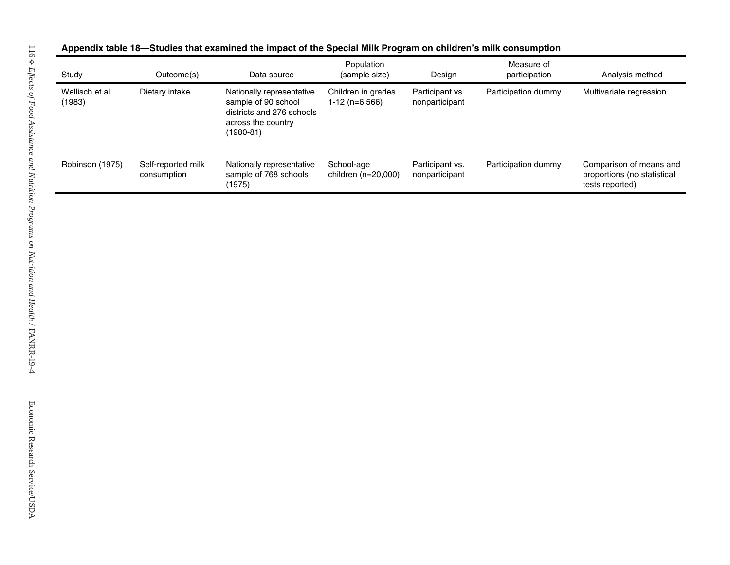| ppendix table 18—Studies that examined the impact of the Special Milk Program on children's milk consumption |  |  |  |
|--------------------------------------------------------------------------------------------------------------|--|--|--|
|                                                                                                              |  |  |  |

| Study                     | Outcome(s)                        | Data source                                                                                                          | Population<br>(sample size)            | Design                            | Measure of<br>participation | Analysis method                                                           |
|---------------------------|-----------------------------------|----------------------------------------------------------------------------------------------------------------------|----------------------------------------|-----------------------------------|-----------------------------|---------------------------------------------------------------------------|
| Wellisch et al.<br>(1983) | Dietary intake                    | Nationally representative<br>sample of 90 school<br>districts and 276 schools<br>across the country<br>$(1980 - 81)$ | Children in grades<br>$1-12$ (n=6,566) | Participant vs.<br>nonparticipant | Participation dummy         | Multivariate regression                                                   |
| Robinson (1975)           | Self-reported milk<br>consumption | Nationally representative<br>sample of 768 schools<br>(1975)                                                         | School-age<br>children (n=20,000)      | Participant vs.<br>nonparticipant | Participation dummy         | Comparison of means and<br>proportions (no statistical<br>tests reported) |
|                           |                                   |                                                                                                                      |                                        |                                   |                             |                                                                           |
|                           |                                   |                                                                                                                      |                                        |                                   |                             |                                                                           |
|                           |                                   |                                                                                                                      |                                        |                                   |                             |                                                                           |
|                           |                                   |                                                                                                                      |                                        |                                   |                             |                                                                           |
|                           |                                   |                                                                                                                      |                                        |                                   |                             |                                                                           |
|                           |                                   |                                                                                                                      |                                        |                                   |                             |                                                                           |
|                           |                                   |                                                                                                                      |                                        |                                   |                             |                                                                           |
|                           |                                   |                                                                                                                      |                                        |                                   |                             |                                                                           |
|                           |                                   |                                                                                                                      |                                        |                                   |                             |                                                                           |
|                           |                                   |                                                                                                                      |                                        |                                   |                             |                                                                           |
|                           |                                   |                                                                                                                      |                                        |                                   |                             |                                                                           |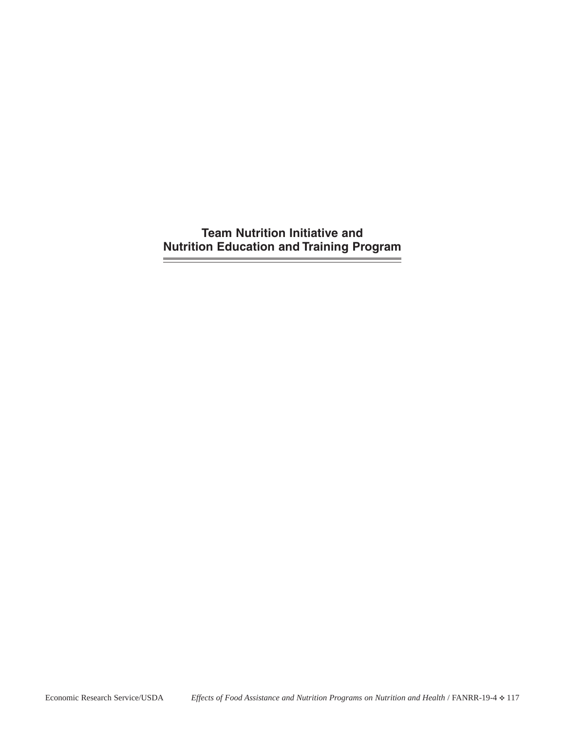**Team Nutrition Initiative and Nutrition Education and Training Program**

**Since**